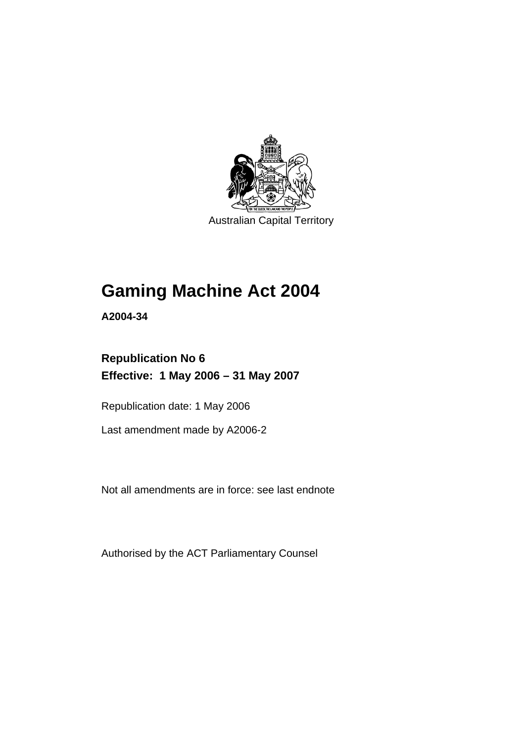

Australian Capital Territory

# **Gaming Machine Act 2004**

**A2004-34** 

# **Republication No 6 Effective: 1 May 2006 – 31 May 2007**

Republication date: 1 May 2006

Last amendment made by A2006-2

Not all amendments are in force: see last endnote

Authorised by the ACT Parliamentary Counsel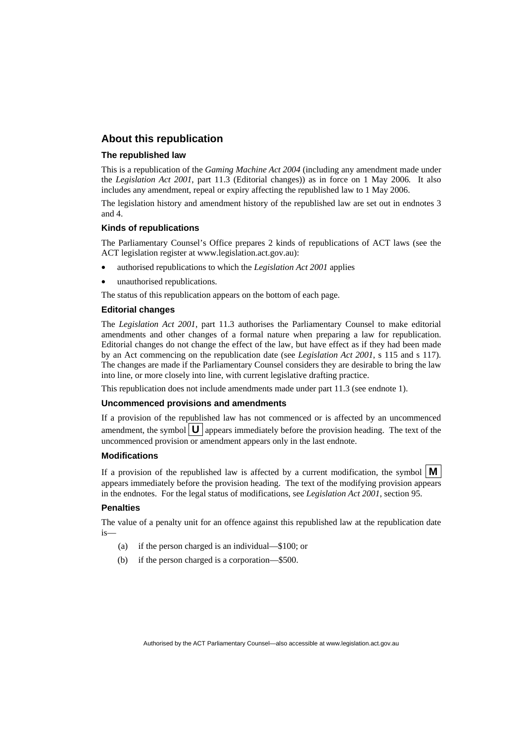### **About this republication**

#### **The republished law**

This is a republication of the *Gaming Machine Act 2004* (including any amendment made under the *Legislation Act 2001*, part 11.3 (Editorial changes)) as in force on 1 May 2006*.* It also includes any amendment, repeal or expiry affecting the republished law to 1 May 2006.

The legislation history and amendment history of the republished law are set out in endnotes 3 and 4.

#### **Kinds of republications**

The Parliamentary Counsel's Office prepares 2 kinds of republications of ACT laws (see the ACT legislation register at www.legislation.act.gov.au):

- authorised republications to which the *Legislation Act 2001* applies
- unauthorised republications.

The status of this republication appears on the bottom of each page.

#### **Editorial changes**

The *Legislation Act 2001*, part 11.3 authorises the Parliamentary Counsel to make editorial amendments and other changes of a formal nature when preparing a law for republication. Editorial changes do not change the effect of the law, but have effect as if they had been made by an Act commencing on the republication date (see *Legislation Act 2001*, s 115 and s 117). The changes are made if the Parliamentary Counsel considers they are desirable to bring the law into line, or more closely into line, with current legislative drafting practice.

This republication does not include amendments made under part 11.3 (see endnote 1).

#### **Uncommenced provisions and amendments**

If a provision of the republished law has not commenced or is affected by an uncommenced amendment, the symbol  $\mathbf{U}$  appears immediately before the provision heading. The text of the uncommenced provision or amendment appears only in the last endnote.

#### **Modifications**

If a provision of the republished law is affected by a current modification, the symbol  $\mathbf{M}$ appears immediately before the provision heading. The text of the modifying provision appears in the endnotes. For the legal status of modifications, see *Legislation Act 2001*, section 95.

#### **Penalties**

The value of a penalty unit for an offence against this republished law at the republication date is—

- (a) if the person charged is an individual—\$100; or
- (b) if the person charged is a corporation—\$500.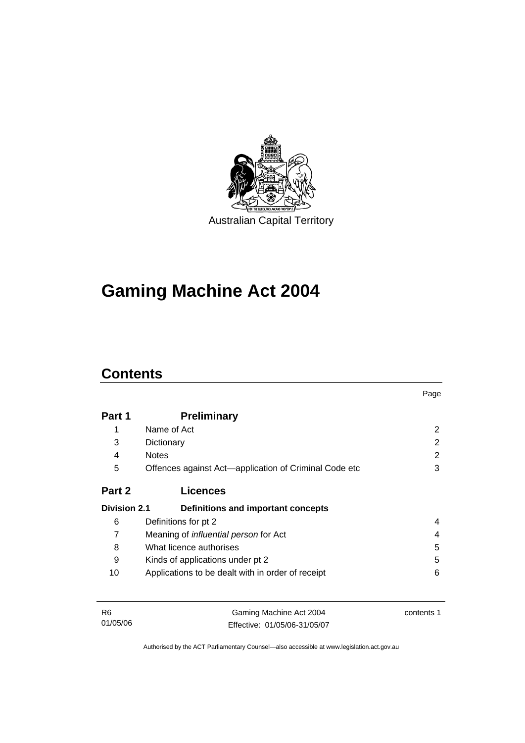

# **Gaming Machine Act 2004**

# **Contents**

|                     |                                                       | Page |
|---------------------|-------------------------------------------------------|------|
| Part 1              | <b>Preliminary</b>                                    |      |
| 1                   | Name of Act                                           | 2    |
| 3                   | Dictionary                                            | 2    |
| 4                   | <b>Notes</b>                                          | 2    |
| 5                   | Offences against Act—application of Criminal Code etc | 3    |
| Part 2              | <b>Licences</b>                                       |      |
| <b>Division 2.1</b> | Definitions and important concepts                    |      |
| 6                   | Definitions for pt 2                                  | 4    |
| 7                   | Meaning of <i>influential person</i> for Act          | 4    |
| 8                   | What licence authorises                               | 5    |
| 9                   | Kinds of applications under pt 2                      | 5    |
| 10                  | Applications to be dealt with in order of receipt     | 6    |
|                     |                                                       |      |
|                     |                                                       |      |

| - R6     | Gaming Machine Act 2004      | contents 1 |
|----------|------------------------------|------------|
| 01/05/06 | Effective: 01/05/06-31/05/07 |            |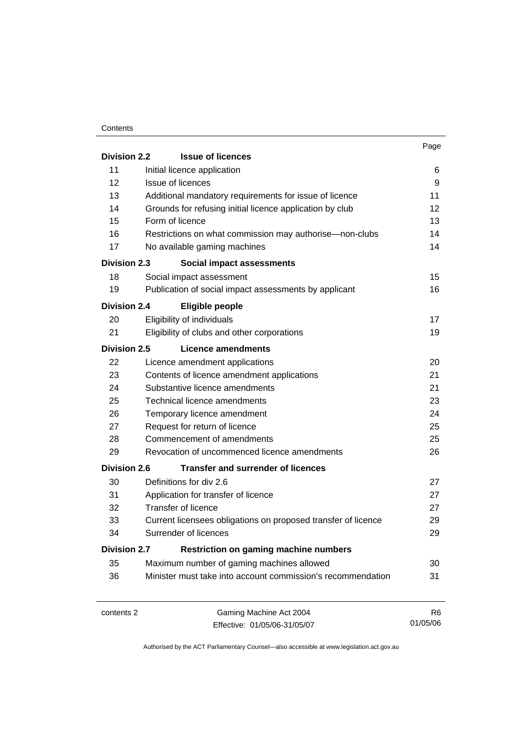#### **Contents**

|                                                                     |                                                               | Page |
|---------------------------------------------------------------------|---------------------------------------------------------------|------|
| <b>Division 2.2</b>                                                 | <b>Issue of licences</b>                                      |      |
| 11                                                                  | Initial licence application                                   | 6    |
| 12                                                                  | Issue of licences                                             | 9    |
| 13                                                                  | Additional mandatory requirements for issue of licence        | 11   |
| 14                                                                  | Grounds for refusing initial licence application by club      | 12   |
| 15                                                                  | Form of licence                                               | 13   |
| 16                                                                  | Restrictions on what commission may authorise—non-clubs       | 14   |
| 17                                                                  | No available gaming machines                                  | 14   |
| <b>Division 2.3</b>                                                 | Social impact assessments                                     |      |
| 18                                                                  | Social impact assessment                                      | 15   |
| 19                                                                  | Publication of social impact assessments by applicant         | 16   |
| <b>Division 2.4</b>                                                 | <b>Eligible people</b>                                        |      |
| 20                                                                  | Eligibility of individuals                                    | 17   |
| 21                                                                  | Eligibility of clubs and other corporations                   | 19   |
| Division 2.5                                                        | Licence amendments                                            |      |
| 22                                                                  | Licence amendment applications                                | 20   |
| 23                                                                  | Contents of licence amendment applications                    | 21   |
| 24                                                                  | Substantive licence amendments                                | 21   |
| 25                                                                  | Technical licence amendments                                  | 23   |
| 26                                                                  | Temporary licence amendment                                   | 24   |
| 27                                                                  | Request for return of licence                                 | 25   |
| 28                                                                  | Commencement of amendments                                    | 25   |
| 29                                                                  | Revocation of uncommenced licence amendments                  | 26   |
| <b>Division 2.6</b>                                                 | Transfer and surrender of licences                            |      |
| 30                                                                  | Definitions for div 2.6                                       | 27   |
| 31                                                                  | Application for transfer of licence                           | 27   |
| 32                                                                  | <b>Transfer of licence</b>                                    | 27   |
| 33                                                                  | Current licensees obligations on proposed transfer of licence | 29   |
| 34                                                                  | Surrender of licences                                         | 29   |
| <b>Restriction on gaming machine numbers</b><br><b>Division 2.7</b> |                                                               |      |
| 35                                                                  | Maximum number of gaming machines allowed                     | 30   |
| 36                                                                  | Minister must take into account commission's recommendation   | 31   |
|                                                                     |                                                               |      |
|                                                                     |                                                               |      |

contents 2 Gaming Machine Act 2004 Effective: 01/05/06-31/05/07

R6 01/05/06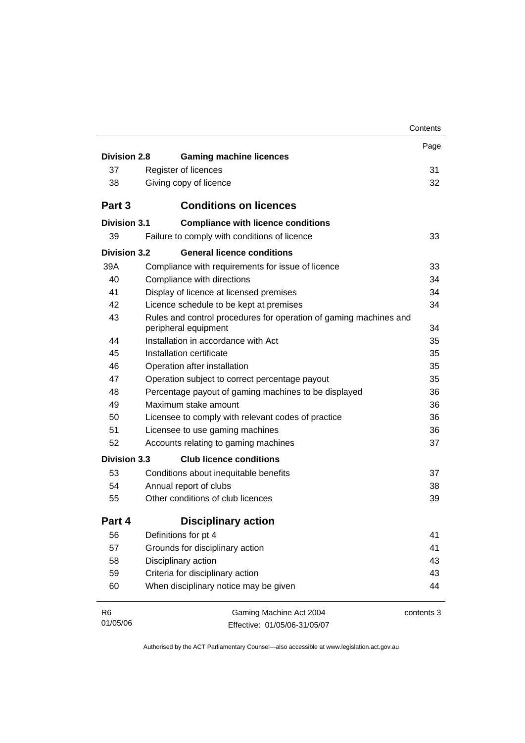|                     |                                                                                                        | Contents   |
|---------------------|--------------------------------------------------------------------------------------------------------|------------|
|                     |                                                                                                        | Page       |
| <b>Division 2.8</b> | <b>Gaming machine licences</b>                                                                         |            |
| 37                  | Register of licences                                                                                   | 31         |
| 38                  | Giving copy of licence                                                                                 | 32         |
| Part 3              | <b>Conditions on licences</b>                                                                          |            |
| Division 3.1        | <b>Compliance with licence conditions</b>                                                              |            |
| 39                  | Failure to comply with conditions of licence                                                           | 33         |
| Division 3.2        | <b>General licence conditions</b>                                                                      |            |
| 39A                 | Compliance with requirements for issue of licence                                                      | 33         |
| 40                  | Compliance with directions                                                                             | 34         |
| 41                  | Display of licence at licensed premises                                                                | 34         |
| 42                  | Licence schedule to be kept at premises                                                                | 34         |
| 43                  | Rules and control procedures for operation of gaming machines and                                      |            |
| 44                  | peripheral equipment<br>Installation in accordance with Act                                            | 34         |
| 45                  | Installation certificate                                                                               | 35         |
| 46                  |                                                                                                        | 35<br>35   |
| 47                  | Operation after installation                                                                           | 35         |
| 48                  | Operation subject to correct percentage payout<br>Percentage payout of gaming machines to be displayed | 36         |
| 49                  | Maximum stake amount                                                                                   | 36         |
| 50                  | Licensee to comply with relevant codes of practice                                                     | 36         |
| 51                  | Licensee to use gaming machines                                                                        | 36         |
| 52                  | Accounts relating to gaming machines                                                                   | 37         |
|                     |                                                                                                        |            |
| <b>Division 3.3</b> | <b>Club licence conditions</b>                                                                         |            |
| 53                  | Conditions about inequitable benefits                                                                  | 37         |
| 54                  | Annual report of clubs                                                                                 | 38         |
| 55                  | Other conditions of club licences                                                                      | 39         |
| Part 4              | <b>Disciplinary action</b>                                                                             |            |
| 56                  | Definitions for pt 4                                                                                   | 41         |
| 57                  | Grounds for disciplinary action                                                                        | 41         |
| 58                  | Disciplinary action                                                                                    | 43         |
| 59                  | Criteria for disciplinary action                                                                       | 43         |
| 60                  | When disciplinary notice may be given                                                                  | 44         |
| R <sub>6</sub>      | Gaming Machine Act 2004                                                                                | contents 3 |
| 01/05/06            | Effective: 01/05/06-31/05/07                                                                           |            |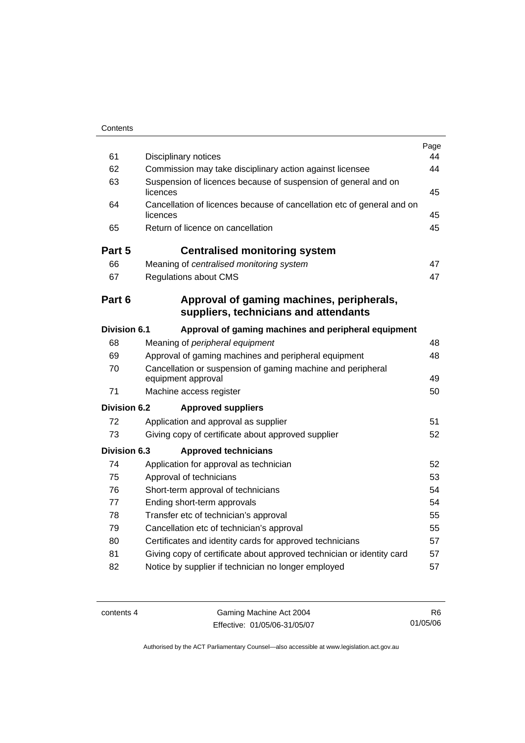| 61                  | Disciplinary notices                                                               | Page<br>44 |
|---------------------|------------------------------------------------------------------------------------|------------|
| 62                  | Commission may take disciplinary action against licensee                           | 44         |
| 63                  | Suspension of licences because of suspension of general and on<br>licences         | 45         |
| 64                  | Cancellation of licences because of cancellation etc of general and on<br>licences | 45         |
| 65                  | Return of licence on cancellation                                                  | 45         |
| Part 5              | <b>Centralised monitoring system</b>                                               |            |
| 66                  | Meaning of centralised monitoring system                                           | 47         |
| 67                  | <b>Regulations about CMS</b>                                                       | 47         |
| Part 6              | Approval of gaming machines, peripherals,<br>suppliers, technicians and attendants |            |
| <b>Division 6.1</b> | Approval of gaming machines and peripheral equipment                               |            |
| 68                  | Meaning of peripheral equipment                                                    | 48         |
| 69                  | Approval of gaming machines and peripheral equipment                               | 48         |
| 70                  | Cancellation or suspension of gaming machine and peripheral<br>equipment approval  | 49         |
| 71                  | Machine access register                                                            | 50         |
| Division 6.2        | <b>Approved suppliers</b>                                                          |            |
| 72                  | Application and approval as supplier                                               | 51         |
| 73                  | Giving copy of certificate about approved supplier                                 | 52         |
| <b>Division 6.3</b> | <b>Approved technicians</b>                                                        |            |
| 74                  | Application for approval as technician                                             | 52         |
| 75                  | Approval of technicians                                                            | 53         |
| 76                  | Short-term approval of technicians                                                 | 54         |
| 77                  | Ending short-term approvals                                                        | 54         |
| 78                  | Transfer etc of technician's approval                                              | 55         |
| 79                  | Cancellation etc of technician's approval                                          | 55         |
| 80                  | Certificates and identity cards for approved technicians                           | 57         |
| 81                  | Giving copy of certificate about approved technician or identity card              | 57         |
| 82                  | Notice by supplier if technician no longer employed                                | 57         |

contents 4 Gaming Machine Act 2004 Effective: 01/05/06-31/05/07

R6 01/05/06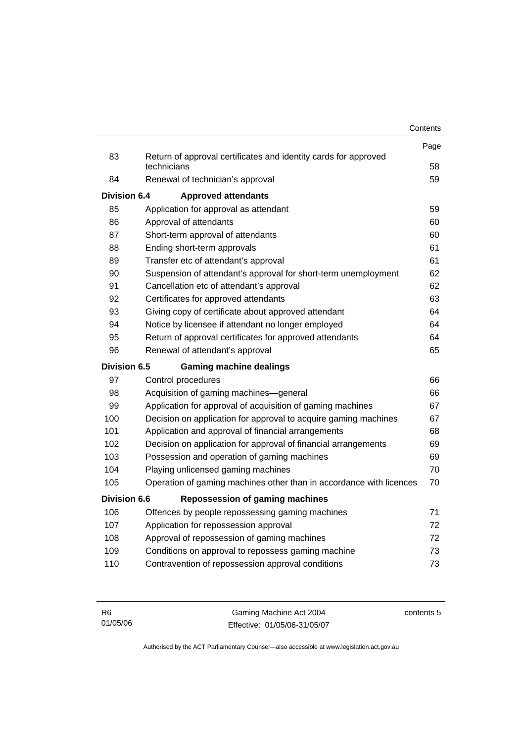|              |                                                                                | Contents |
|--------------|--------------------------------------------------------------------------------|----------|
|              |                                                                                | Page     |
| 83           | Return of approval certificates and identity cards for approved<br>technicians | 58       |
| 84           | Renewal of technician's approval                                               | 59       |
| Division 6.4 | <b>Approved attendants</b>                                                     |          |
| 85           | Application for approval as attendant                                          | 59       |
| 86           | Approval of attendants                                                         | 60       |
| 87           | Short-term approval of attendants                                              | 60       |
| 88           | Ending short-term approvals                                                    | 61       |
| 89           | Transfer etc of attendant's approval                                           | 61       |
| 90           | Suspension of attendant's approval for short-term unemployment                 | 62       |
| 91           | Cancellation etc of attendant's approval                                       | 62       |
| 92           | Certificates for approved attendants                                           | 63       |
| 93           | Giving copy of certificate about approved attendant                            | 64       |
| 94           | Notice by licensee if attendant no longer employed                             | 64       |
| 95           | Return of approval certificates for approved attendants                        | 64       |
| 96           | Renewal of attendant's approval                                                | 65       |
| Division 6.5 | <b>Gaming machine dealings</b>                                                 |          |
| 97           | Control procedures                                                             | 66       |
| 98           | Acquisition of gaming machines-general                                         | 66       |
| 99           | Application for approval of acquisition of gaming machines                     | 67       |
| 100          | Decision on application for approval to acquire gaming machines                | 67       |
| 101          | Application and approval of financial arrangements                             | 68       |
| 102          | Decision on application for approval of financial arrangements                 | 69       |
| 103          | Possession and operation of gaming machines                                    | 69       |
| 104          | Playing unlicensed gaming machines                                             | 70       |
| 105          | Operation of gaming machines other than in accordance with licences            | 70       |
| Division 6.6 | <b>Repossession of gaming machines</b>                                         |          |
| 106          | Offences by people repossessing gaming machines                                | 71       |
| 107          | Application for repossession approval                                          | 72       |
| 108          | Approval of repossession of gaming machines                                    | 72       |
| 109          | Conditions on approval to repossess gaming machine                             | 73       |
| 110          | Contravention of repossession approval conditions                              | 73       |

| - R6     | Gaming Machine Act 2004      | contents 5 |
|----------|------------------------------|------------|
| 01/05/06 | Effective: 01/05/06-31/05/07 |            |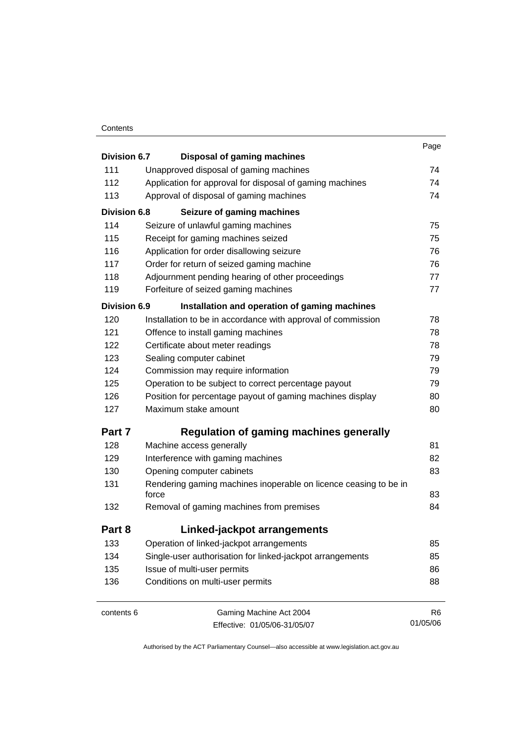#### **Contents**

|                     |                                                                  | Page |
|---------------------|------------------------------------------------------------------|------|
| Division 6.7        | <b>Disposal of gaming machines</b>                               |      |
| 111                 | Unapproved disposal of gaming machines                           | 74   |
| 112                 | Application for approval for disposal of gaming machines         | 74   |
| 113                 | Approval of disposal of gaming machines                          | 74   |
| <b>Division 6.8</b> | Seizure of gaming machines                                       |      |
| 114                 | Seizure of unlawful gaming machines                              | 75   |
| 115                 | Receipt for gaming machines seized                               | 75   |
| 116                 | Application for order disallowing seizure                        | 76   |
| 117                 | Order for return of seized gaming machine                        | 76   |
| 118                 | Adjournment pending hearing of other proceedings                 | 77   |
| 119                 | Forfeiture of seized gaming machines                             | 77   |
| <b>Division 6.9</b> | Installation and operation of gaming machines                    |      |
| 120                 | Installation to be in accordance with approval of commission     | 78   |
| 121                 | Offence to install gaming machines                               | 78   |
| 122                 | Certificate about meter readings                                 | 78   |
| 123                 | Sealing computer cabinet                                         | 79   |
| 124                 | Commission may require information                               | 79   |
| 125                 | Operation to be subject to correct percentage payout             | 79   |
| 126                 | Position for percentage payout of gaming machines display        | 80   |
| 127                 | Maximum stake amount                                             | 80   |
| Part 7              | <b>Regulation of gaming machines generally</b>                   |      |
| 128                 | Machine access generally                                         | 81   |
| 129                 | Interference with gaming machines                                | 82   |
| 130                 | Opening computer cabinets                                        | 83   |
| 131                 | Rendering gaming machines inoperable on licence ceasing to be in |      |
|                     | force                                                            | 83   |
| 132                 | Removal of gaming machines from premises                         | 84   |
| Part 8              | Linked-jackpot arrangements                                      |      |
| 133                 | Operation of linked-jackpot arrangements                         | 85   |
| 134                 | Single-user authorisation for linked-jackpot arrangements        | 85   |
| 135                 | Issue of multi-user permits                                      | 86   |
| 136                 | Conditions on multi-user permits                                 | 88   |
|                     |                                                                  |      |

contents 6 Gaming Machine Act 2004 Effective: 01/05/06-31/05/07

R6 01/05/06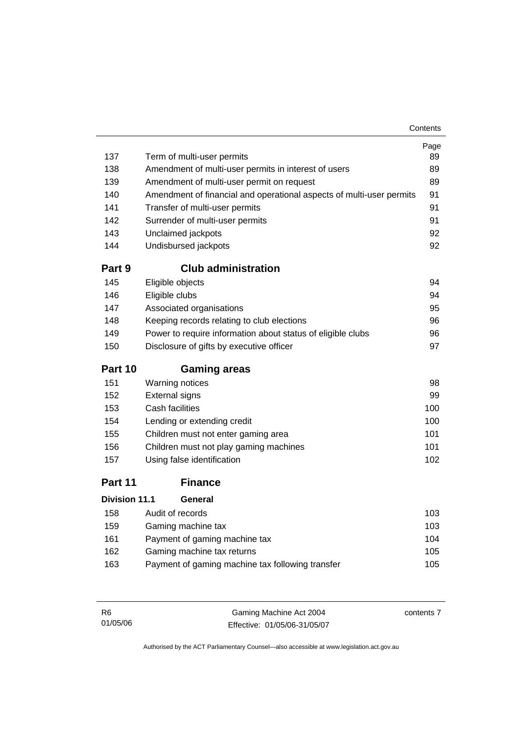| 137                  | Term of multi-user permits                                           | Page<br>89 |
|----------------------|----------------------------------------------------------------------|------------|
| 138                  | Amendment of multi-user permits in interest of users                 | 89         |
| 139                  | Amendment of multi-user permit on request                            | 89         |
| 140                  | Amendment of financial and operational aspects of multi-user permits | 91         |
| 141                  | Transfer of multi-user permits                                       | 91         |
| 142                  | Surrender of multi-user permits                                      | 91         |
| 143                  | Unclaimed jackpots                                                   | 92         |
| 144                  | Undisbursed jackpots                                                 | 92         |
| Part 9               | <b>Club administration</b>                                           |            |
| 145                  | Eligible objects                                                     | 94         |
| 146                  | Eligible clubs                                                       | 94         |
| 147                  | Associated organisations                                             | 95         |
| 148                  | Keeping records relating to club elections                           | 96         |
| 149                  | Power to require information about status of eligible clubs          | 96         |
| 150                  | Disclosure of gifts by executive officer                             | 97         |
| Part 10              | <b>Gaming areas</b>                                                  |            |
| 151                  | Warning notices                                                      | 98         |
| 152                  | <b>External signs</b>                                                | 99         |
| 153                  | Cash facilities                                                      | 100        |
| 154                  | Lending or extending credit                                          | 100        |
| 155                  | Children must not enter gaming area                                  | 101        |
| 156                  | Children must not play gaming machines                               | 101        |
| 157                  | Using false identification                                           | 102        |
| Part 11              | <b>Finance</b>                                                       |            |
| <b>Division 11.1</b> | General                                                              |            |
|                      | $ABO$ $A:AB:AB:AB:AB:AB:AB$                                          | 100        |

| 158 | Audit of records                                 | 103  |
|-----|--------------------------------------------------|------|
| 159 | Gaming machine tax                               | 103. |
| 161 | Payment of gaming machine tax                    | 104  |
| 162 | Gaming machine tax returns                       | 105  |
| 163 | Payment of gaming machine tax following transfer | 105  |
|     |                                                  |      |

| - R6     | Gaming Machine Act 2004      | contents 7 |
|----------|------------------------------|------------|
| 01/05/06 | Effective: 01/05/06-31/05/07 |            |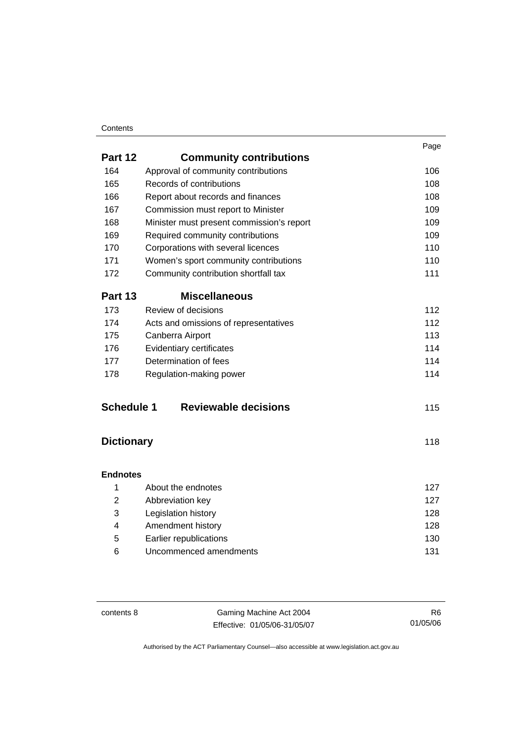#### **Contents**

|                   |                                           | Page |
|-------------------|-------------------------------------------|------|
| Part 12           | <b>Community contributions</b>            |      |
| 164               | Approval of community contributions       | 106  |
| 165               | Records of contributions                  | 108  |
| 166               | Report about records and finances         | 108  |
| 167               | Commission must report to Minister        | 109  |
| 168               | Minister must present commission's report | 109  |
| 169               | Required community contributions          | 109  |
| 170               | Corporations with several licences        | 110  |
| 171               | Women's sport community contributions     | 110  |
| 172               | Community contribution shortfall tax      | 111  |
| Part 13           | <b>Miscellaneous</b>                      |      |
| 173               | Review of decisions                       | 112  |
| 174               | Acts and omissions of representatives     | 112  |
| 175               | Canberra Airport                          | 113  |
| 176               | Evidentiary certificates                  | 114  |
| 177               | Determination of fees                     | 114  |
| 178               | Regulation-making power                   | 114  |
| <b>Schedule 1</b> | <b>Reviewable decisions</b>               | 115  |
| <b>Dictionary</b> |                                           | 118  |
| <b>Endnotes</b>   |                                           |      |
| 1                 | About the endnotes                        | 127  |
| $\overline{2}$    | Abbreviation key                          | 127  |
| 3                 | Legislation history                       | 128  |
| Δ                 | Amendment history                         |      |

| Amendment history      | 128 |
|------------------------|-----|
| Earlier republications | 130 |
| Uncommenced amendments | 131 |

contents 8 Gaming Machine Act 2004 Effective: 01/05/06-31/05/07

R6 01/05/06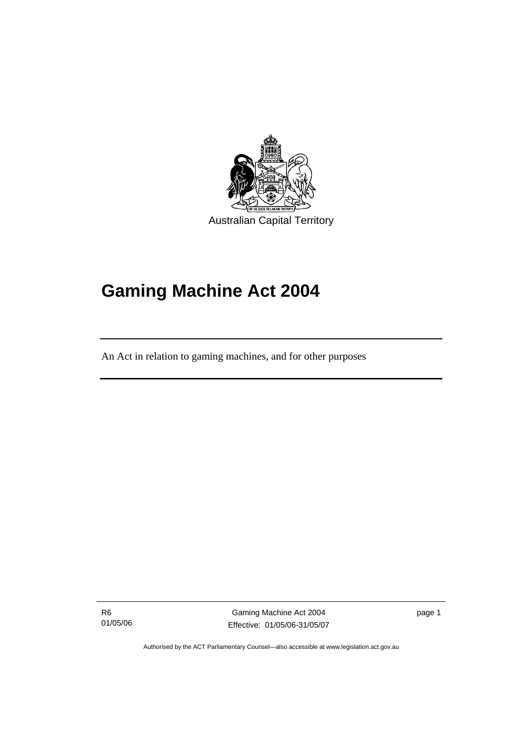

# **Gaming Machine Act 2004**

An Act in relation to gaming machines, and for other purposes

R6 01/05/06

l

Gaming Machine Act 2004 Effective: 01/05/06-31/05/07 page 1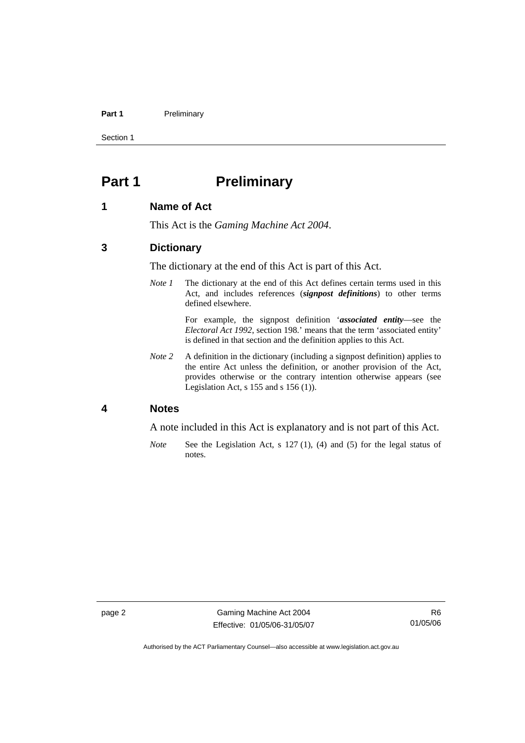#### Part 1 **Preliminary**

Section 1

# **Part 1** Preliminary

#### **1 Name of Act**

This Act is the *Gaming Machine Act 2004*.

## **3 Dictionary**

The dictionary at the end of this Act is part of this Act.

*Note 1* The dictionary at the end of this Act defines certain terms used in this Act, and includes references (*signpost definitions*) to other terms defined elsewhere.

> For example, the signpost definition '*associated entity*—see the *Electoral Act 1992*, section 198.' means that the term 'associated entity' is defined in that section and the definition applies to this Act.

*Note* 2 A definition in the dictionary (including a signpost definition) applies to the entire Act unless the definition, or another provision of the Act, provides otherwise or the contrary intention otherwise appears (see Legislation Act,  $s$  155 and  $s$  156 (1)).

#### **4 Notes**

A note included in this Act is explanatory and is not part of this Act.

*Note* See the Legislation Act, s 127 (1), (4) and (5) for the legal status of notes.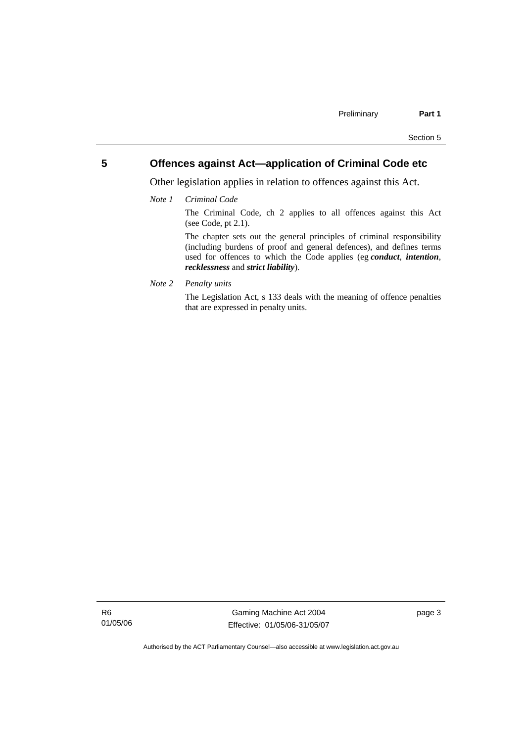## **5 Offences against Act—application of Criminal Code etc**

Other legislation applies in relation to offences against this Act.

*Note 1 Criminal Code*

The Criminal Code, ch 2 applies to all offences against this Act (see Code, pt 2.1).

The chapter sets out the general principles of criminal responsibility (including burdens of proof and general defences), and defines terms used for offences to which the Code applies (eg *conduct*, *intention*, *recklessness* and *strict liability*).

*Note 2 Penalty units* 

The Legislation Act, s 133 deals with the meaning of offence penalties that are expressed in penalty units.

R6 01/05/06

Gaming Machine Act 2004 Effective: 01/05/06-31/05/07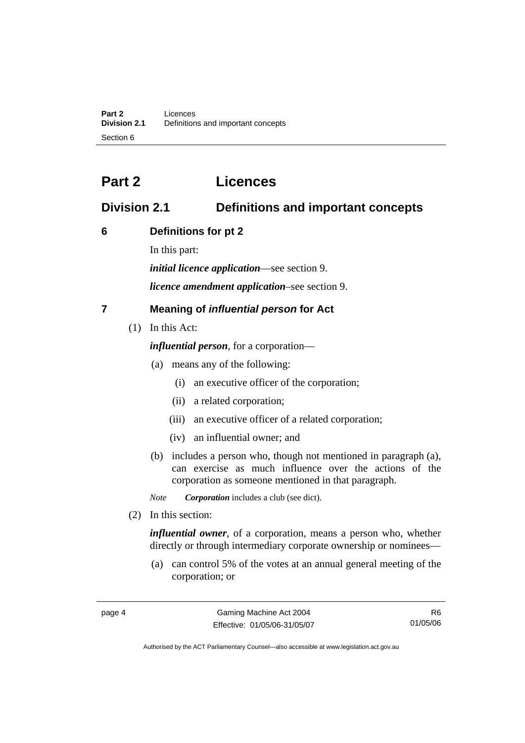# **Part 2 Licences**

# **Division 2.1 Definitions and important concepts**

# **6 Definitions for pt 2**

In this part:

*initial licence application*—see section 9.

*licence amendment application*–see section 9.

# **7 Meaning of** *influential person* **for Act**

(1) In this Act:

*influential person*, for a corporation—

- (a) means any of the following:
	- (i) an executive officer of the corporation;
	- (ii) a related corporation;
	- (iii) an executive officer of a related corporation;
	- (iv) an influential owner; and
- (b) includes a person who, though not mentioned in paragraph (a), can exercise as much influence over the actions of the corporation as someone mentioned in that paragraph.

*Note Corporation* includes a club (see dict).

(2) In this section:

*influential owner*, of a corporation, means a person who, whether directly or through intermediary corporate ownership or nominees—

 (a) can control 5% of the votes at an annual general meeting of the corporation; or

R6 01/05/06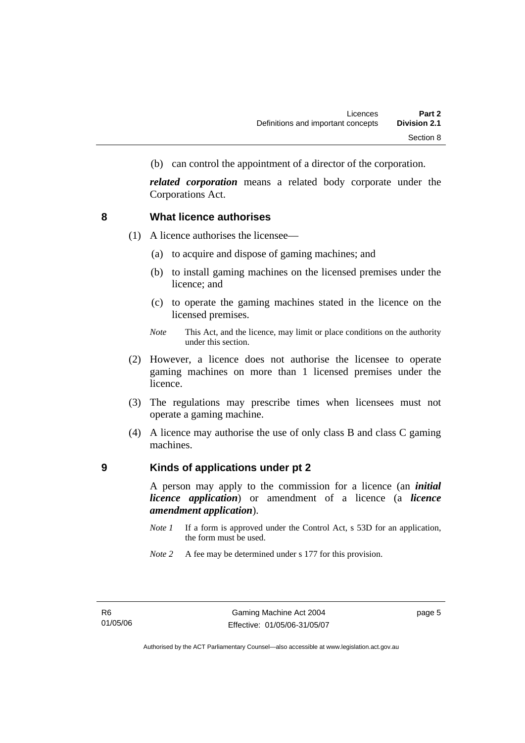(b) can control the appointment of a director of the corporation.

*related corporation* means a related body corporate under the Corporations Act.

#### **8 What licence authorises**

- (1) A licence authorises the licensee—
	- (a) to acquire and dispose of gaming machines; and
	- (b) to install gaming machines on the licensed premises under the licence; and
	- (c) to operate the gaming machines stated in the licence on the licensed premises.
	- *Note* This Act, and the licence, may limit or place conditions on the authority under this section.
- (2) However, a licence does not authorise the licensee to operate gaming machines on more than 1 licensed premises under the licence.
- (3) The regulations may prescribe times when licensees must not operate a gaming machine.
- (4) A licence may authorise the use of only class B and class C gaming machines.

### **9 Kinds of applications under pt 2**

A person may apply to the commission for a licence (an *initial licence application*) or amendment of a licence (a *licence amendment application*).

- *Note 1* If a form is approved under the Control Act, s 53D for an application, the form must be used.
- *Note* 2 A fee may be determined under s 177 for this provision.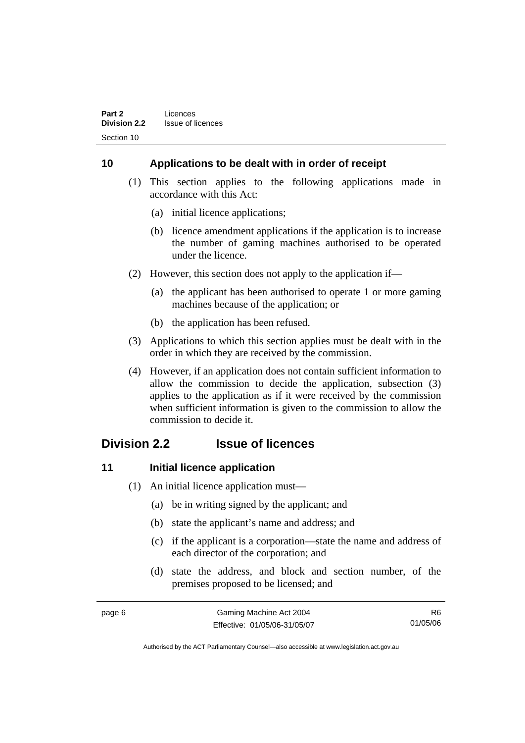# **10 Applications to be dealt with in order of receipt**

- (1) This section applies to the following applications made in accordance with this Act:
	- (a) initial licence applications;
	- (b) licence amendment applications if the application is to increase the number of gaming machines authorised to be operated under the licence.
- (2) However, this section does not apply to the application if—
	- (a) the applicant has been authorised to operate 1 or more gaming machines because of the application; or
	- (b) the application has been refused.
- (3) Applications to which this section applies must be dealt with in the order in which they are received by the commission.
- (4) However, if an application does not contain sufficient information to allow the commission to decide the application, subsection (3) applies to the application as if it were received by the commission when sufficient information is given to the commission to allow the commission to decide it.

# **Division 2.2 Issue of licences**

### **11** Initial licence application

- (1) An initial licence application must—
	- (a) be in writing signed by the applicant; and
	- (b) state the applicant's name and address; and
	- (c) if the applicant is a corporation—state the name and address of each director of the corporation; and
	- (d) state the address, and block and section number, of the premises proposed to be licensed; and

| page 6 | Gaming Machine Act 2004      | R6.      |
|--------|------------------------------|----------|
|        | Effective: 01/05/06-31/05/07 | 01/05/06 |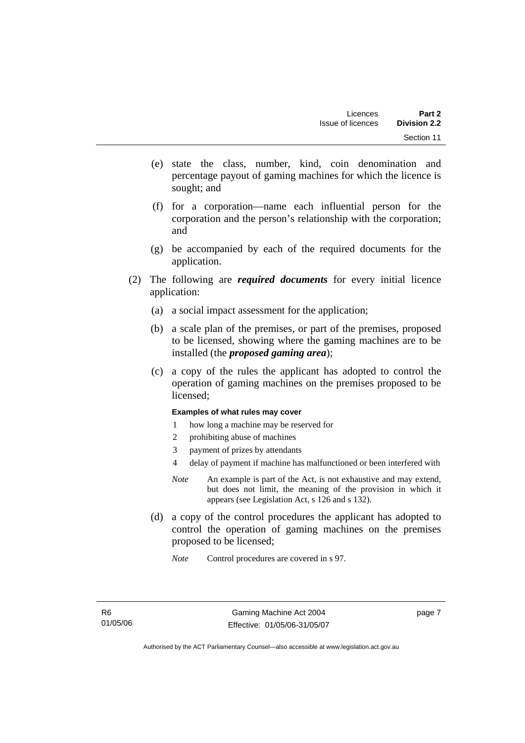- (e) state the class, number, kind, coin denomination and percentage payout of gaming machines for which the licence is sought; and
- (f) for a corporation—name each influential person for the corporation and the person's relationship with the corporation; and
- (g) be accompanied by each of the required documents for the application.
- (2) The following are *required documents* for every initial licence application:
	- (a) a social impact assessment for the application;
	- (b) a scale plan of the premises, or part of the premises, proposed to be licensed, showing where the gaming machines are to be installed (the *proposed gaming area*);
	- (c) a copy of the rules the applicant has adopted to control the operation of gaming machines on the premises proposed to be licensed;

#### **Examples of what rules may cover**

- 1 how long a machine may be reserved for
- 2 prohibiting abuse of machines
- 3 payment of prizes by attendants
- 4 delay of payment if machine has malfunctioned or been interfered with
- *Note* An example is part of the Act, is not exhaustive and may extend, but does not limit, the meaning of the provision in which it appears (see Legislation Act, s 126 and s 132).
- (d) a copy of the control procedures the applicant has adopted to control the operation of gaming machines on the premises proposed to be licensed;
	- *Note* Control procedures are covered in s 97.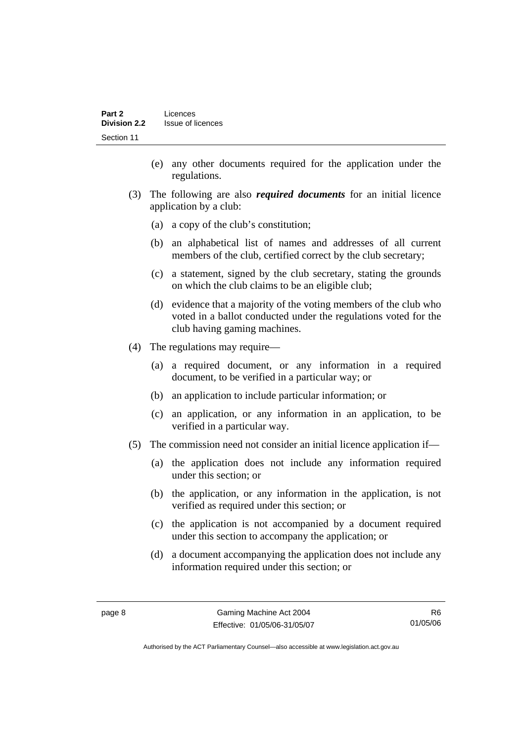- (e) any other documents required for the application under the regulations.
- (3) The following are also *required documents* for an initial licence application by a club:
	- (a) a copy of the club's constitution;
	- (b) an alphabetical list of names and addresses of all current members of the club, certified correct by the club secretary;
	- (c) a statement, signed by the club secretary, stating the grounds on which the club claims to be an eligible club;
	- (d) evidence that a majority of the voting members of the club who voted in a ballot conducted under the regulations voted for the club having gaming machines.
- (4) The regulations may require—
	- (a) a required document, or any information in a required document, to be verified in a particular way; or
	- (b) an application to include particular information; or
	- (c) an application, or any information in an application, to be verified in a particular way.
- (5) The commission need not consider an initial licence application if—
	- (a) the application does not include any information required under this section; or
	- (b) the application, or any information in the application, is not verified as required under this section; or
	- (c) the application is not accompanied by a document required under this section to accompany the application; or
	- (d) a document accompanying the application does not include any information required under this section; or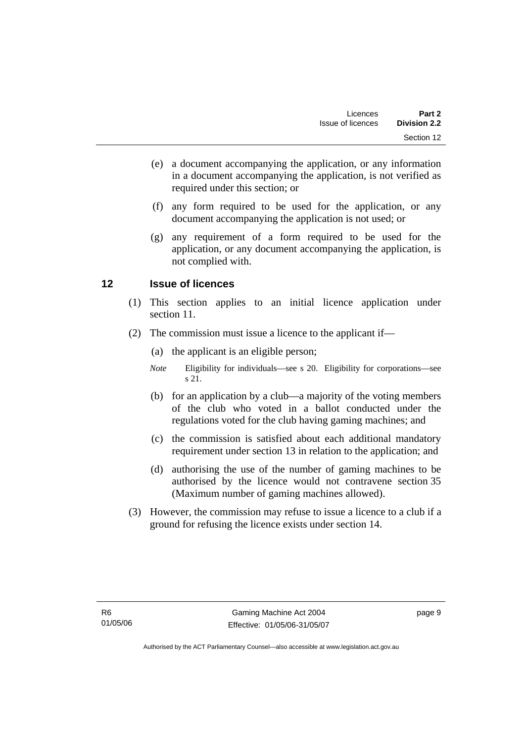- (e) a document accompanying the application, or any information in a document accompanying the application, is not verified as required under this section; or
- (f) any form required to be used for the application, or any document accompanying the application is not used; or
- (g) any requirement of a form required to be used for the application, or any document accompanying the application, is not complied with.

# **12 Issue of licences**

- (1) This section applies to an initial licence application under section 11.
- (2) The commission must issue a licence to the applicant if—
	- (a) the applicant is an eligible person;
	- *Note* Eligibility for individuals—see s 20. Eligibility for corporations—see s 21.
	- (b) for an application by a club—a majority of the voting members of the club who voted in a ballot conducted under the regulations voted for the club having gaming machines; and
	- (c) the commission is satisfied about each additional mandatory requirement under section 13 in relation to the application; and
	- (d) authorising the use of the number of gaming machines to be authorised by the licence would not contravene section 35 (Maximum number of gaming machines allowed).
- (3) However, the commission may refuse to issue a licence to a club if a ground for refusing the licence exists under section 14.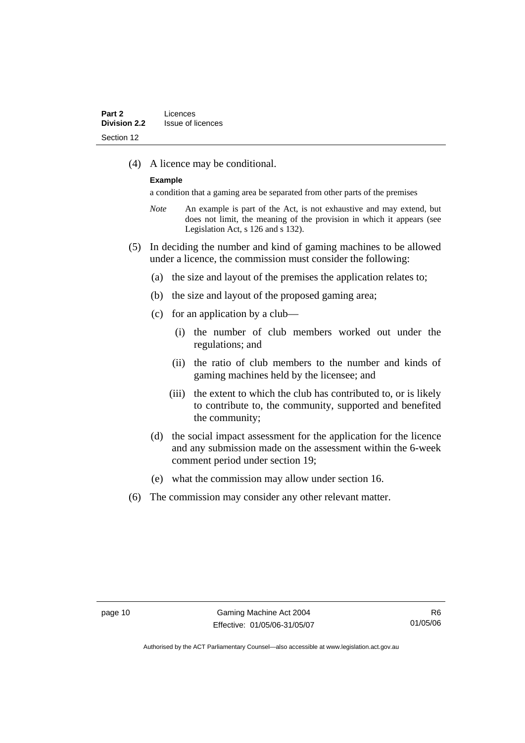(4) A licence may be conditional.

#### **Example**

a condition that a gaming area be separated from other parts of the premises

- *Note* An example is part of the Act, is not exhaustive and may extend, but does not limit, the meaning of the provision in which it appears (see Legislation Act, s 126 and s 132).
- (5) In deciding the number and kind of gaming machines to be allowed under a licence, the commission must consider the following:
	- (a) the size and layout of the premises the application relates to;
	- (b) the size and layout of the proposed gaming area;
	- (c) for an application by a club—
		- (i) the number of club members worked out under the regulations; and
		- (ii) the ratio of club members to the number and kinds of gaming machines held by the licensee; and
		- (iii) the extent to which the club has contributed to, or is likely to contribute to, the community, supported and benefited the community;
	- (d) the social impact assessment for the application for the licence and any submission made on the assessment within the 6-week comment period under section 19;
	- (e) what the commission may allow under section 16.
- (6) The commission may consider any other relevant matter.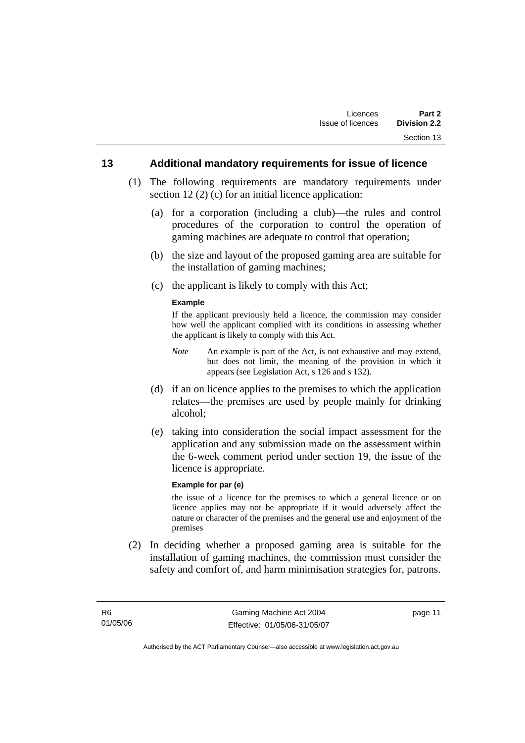#### **13 Additional mandatory requirements for issue of licence**

- (1) The following requirements are mandatory requirements under section 12 (2) (c) for an initial licence application:
	- (a) for a corporation (including a club)—the rules and control procedures of the corporation to control the operation of gaming machines are adequate to control that operation;
	- (b) the size and layout of the proposed gaming area are suitable for the installation of gaming machines;
	- (c) the applicant is likely to comply with this Act;

#### **Example**

If the applicant previously held a licence, the commission may consider how well the applicant complied with its conditions in assessing whether the applicant is likely to comply with this Act.

- *Note* An example is part of the Act, is not exhaustive and may extend, but does not limit, the meaning of the provision in which it appears (see Legislation Act, s 126 and s 132).
- (d) if an on licence applies to the premises to which the application relates—the premises are used by people mainly for drinking alcohol;
- (e) taking into consideration the social impact assessment for the application and any submission made on the assessment within the 6-week comment period under section 19, the issue of the licence is appropriate.

#### **Example for par (e)**

the issue of a licence for the premises to which a general licence or on licence applies may not be appropriate if it would adversely affect the nature or character of the premises and the general use and enjoyment of the premises

 (2) In deciding whether a proposed gaming area is suitable for the installation of gaming machines, the commission must consider the safety and comfort of, and harm minimisation strategies for, patrons.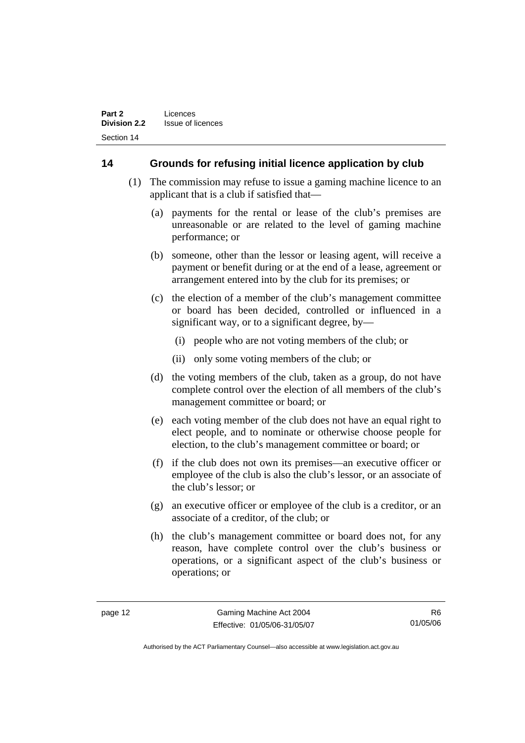# **14 Grounds for refusing initial licence application by club**

- (1) The commission may refuse to issue a gaming machine licence to an applicant that is a club if satisfied that—
	- (a) payments for the rental or lease of the club's premises are unreasonable or are related to the level of gaming machine performance; or
	- (b) someone, other than the lessor or leasing agent, will receive a payment or benefit during or at the end of a lease, agreement or arrangement entered into by the club for its premises; or
	- (c) the election of a member of the club's management committee or board has been decided, controlled or influenced in a significant way, or to a significant degree, by—
		- (i) people who are not voting members of the club; or
		- (ii) only some voting members of the club; or
	- (d) the voting members of the club, taken as a group, do not have complete control over the election of all members of the club's management committee or board; or
	- (e) each voting member of the club does not have an equal right to elect people, and to nominate or otherwise choose people for election, to the club's management committee or board; or
	- (f) if the club does not own its premises—an executive officer or employee of the club is also the club's lessor, or an associate of the club's lessor; or
	- (g) an executive officer or employee of the club is a creditor, or an associate of a creditor, of the club; or
	- (h) the club's management committee or board does not, for any reason, have complete control over the club's business or operations, or a significant aspect of the club's business or operations; or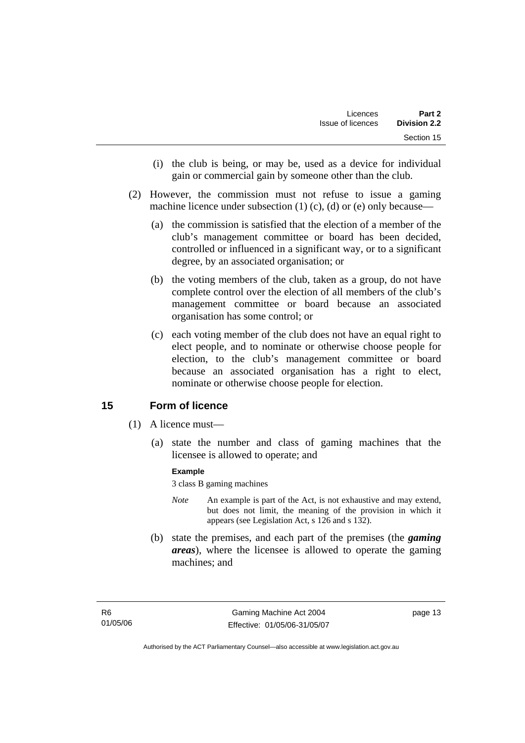- (i) the club is being, or may be, used as a device for individual gain or commercial gain by someone other than the club.
- (2) However, the commission must not refuse to issue a gaming machine licence under subsection  $(1)$   $(c)$ ,  $(d)$  or  $(e)$  only because—
	- (a) the commission is satisfied that the election of a member of the club's management committee or board has been decided, controlled or influenced in a significant way, or to a significant degree, by an associated organisation; or
	- (b) the voting members of the club, taken as a group, do not have complete control over the election of all members of the club's management committee or board because an associated organisation has some control; or
	- (c) each voting member of the club does not have an equal right to elect people, and to nominate or otherwise choose people for election, to the club's management committee or board because an associated organisation has a right to elect, nominate or otherwise choose people for election.

# **15 Form of licence**

- (1) A licence must—
	- (a) state the number and class of gaming machines that the licensee is allowed to operate; and

#### **Example**

3 class B gaming machines

- *Note* An example is part of the Act, is not exhaustive and may extend, but does not limit, the meaning of the provision in which it appears (see Legislation Act, s 126 and s 132).
- (b) state the premises, and each part of the premises (the *gaming areas*), where the licensee is allowed to operate the gaming machines; and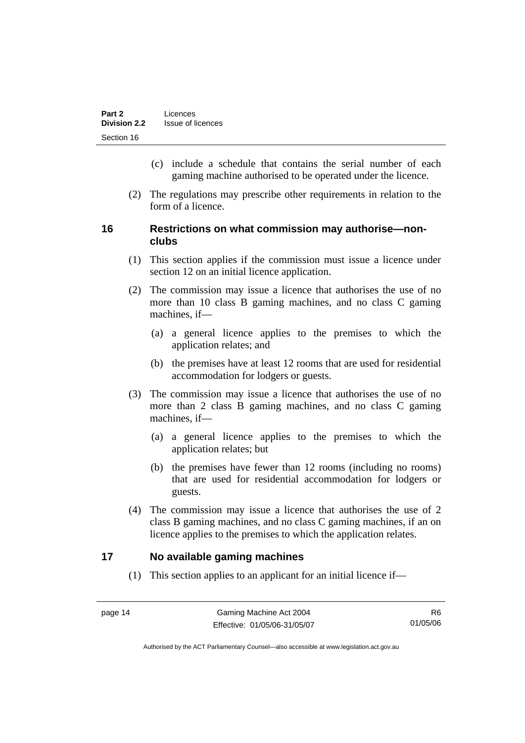- (c) include a schedule that contains the serial number of each gaming machine authorised to be operated under the licence.
- (2) The regulations may prescribe other requirements in relation to the form of a licence.

# **16 Restrictions on what commission may authorise—nonclubs**

- (1) This section applies if the commission must issue a licence under section 12 on an initial licence application.
- (2) The commission may issue a licence that authorises the use of no more than 10 class B gaming machines, and no class C gaming machines, if—
	- (a) a general licence applies to the premises to which the application relates; and
	- (b) the premises have at least 12 rooms that are used for residential accommodation for lodgers or guests.
- (3) The commission may issue a licence that authorises the use of no more than 2 class B gaming machines, and no class C gaming machines, if—
	- (a) a general licence applies to the premises to which the application relates; but
	- (b) the premises have fewer than 12 rooms (including no rooms) that are used for residential accommodation for lodgers or guests.
- (4) The commission may issue a licence that authorises the use of 2 class B gaming machines, and no class C gaming machines, if an on licence applies to the premises to which the application relates.

### **17 No available gaming machines**

(1) This section applies to an applicant for an initial licence if—

R6 01/05/06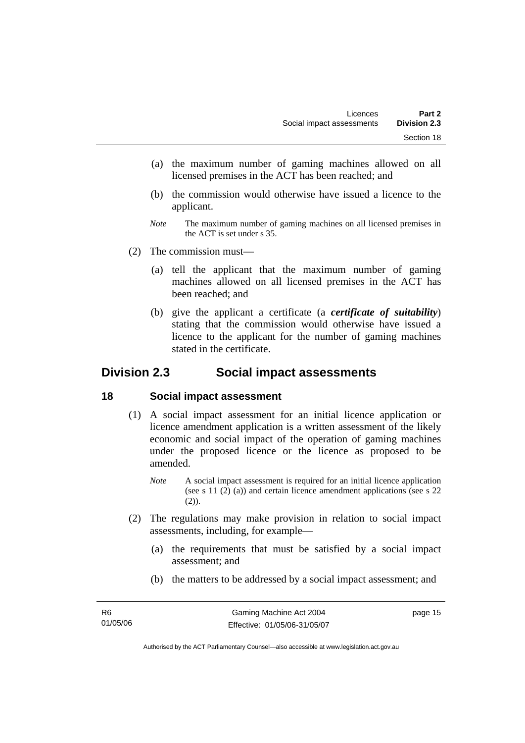- (a) the maximum number of gaming machines allowed on all licensed premises in the ACT has been reached; and
- (b) the commission would otherwise have issued a licence to the applicant.
- *Note* The maximum number of gaming machines on all licensed premises in the ACT is set under s 35.
- (2) The commission must—
	- (a) tell the applicant that the maximum number of gaming machines allowed on all licensed premises in the ACT has been reached; and
	- (b) give the applicant a certificate (a *certificate of suitability*) stating that the commission would otherwise have issued a licence to the applicant for the number of gaming machines stated in the certificate.

# **Division 2.3 Social impact assessments**

#### **18 Social impact assessment**

- (1) A social impact assessment for an initial licence application or licence amendment application is a written assessment of the likely economic and social impact of the operation of gaming machines under the proposed licence or the licence as proposed to be amended.
	- *Note* A social impact assessment is required for an initial licence application (see s 11 (2) (a)) and certain licence amendment applications (see s 22 (2)).
- (2) The regulations may make provision in relation to social impact assessments, including, for example—
	- (a) the requirements that must be satisfied by a social impact assessment; and
	- (b) the matters to be addressed by a social impact assessment; and

page 15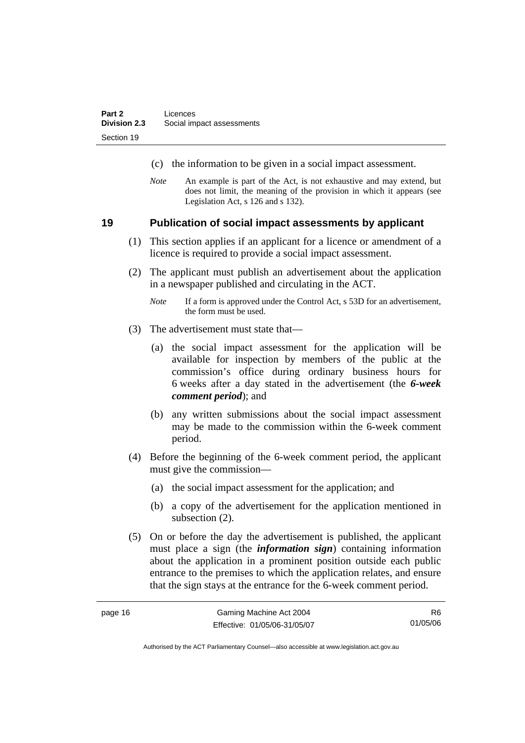- (c) the information to be given in a social impact assessment.
- *Note* An example is part of the Act, is not exhaustive and may extend, but does not limit, the meaning of the provision in which it appears (see Legislation Act, s 126 and s 132).

#### **19 Publication of social impact assessments by applicant**

- (1) This section applies if an applicant for a licence or amendment of a licence is required to provide a social impact assessment.
- (2) The applicant must publish an advertisement about the application in a newspaper published and circulating in the ACT.
	- *Note* If a form is approved under the Control Act, s 53D for an advertisement, the form must be used.
- (3) The advertisement must state that—
	- (a) the social impact assessment for the application will be available for inspection by members of the public at the commission's office during ordinary business hours for 6 weeks after a day stated in the advertisement (the *6-week comment period*); and
	- (b) any written submissions about the social impact assessment may be made to the commission within the 6-week comment period.
- (4) Before the beginning of the 6-week comment period, the applicant must give the commission—
	- (a) the social impact assessment for the application; and
	- (b) a copy of the advertisement for the application mentioned in subsection (2).
- (5) On or before the day the advertisement is published, the applicant must place a sign (the *information sign*) containing information about the application in a prominent position outside each public entrance to the premises to which the application relates, and ensure that the sign stays at the entrance for the 6-week comment period.

R6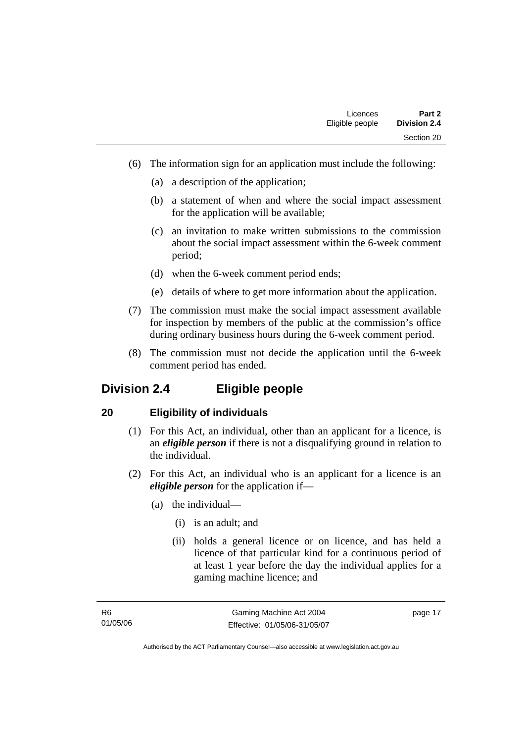- (6) The information sign for an application must include the following:
	- (a) a description of the application;
	- (b) a statement of when and where the social impact assessment for the application will be available;
	- (c) an invitation to make written submissions to the commission about the social impact assessment within the 6-week comment period;
	- (d) when the 6-week comment period ends;
	- (e) details of where to get more information about the application.
- (7) The commission must make the social impact assessment available for inspection by members of the public at the commission's office during ordinary business hours during the 6-week comment period.
- (8) The commission must not decide the application until the 6-week comment period has ended.

# **Division 2.4 Eligible people**

### **20 Eligibility of individuals**

- (1) For this Act, an individual, other than an applicant for a licence, is an *eligible person* if there is not a disqualifying ground in relation to the individual.
- (2) For this Act, an individual who is an applicant for a licence is an *eligible person* for the application if—
	- (a) the individual—
		- (i) is an adult; and
		- (ii) holds a general licence or on licence, and has held a licence of that particular kind for a continuous period of at least 1 year before the day the individual applies for a gaming machine licence; and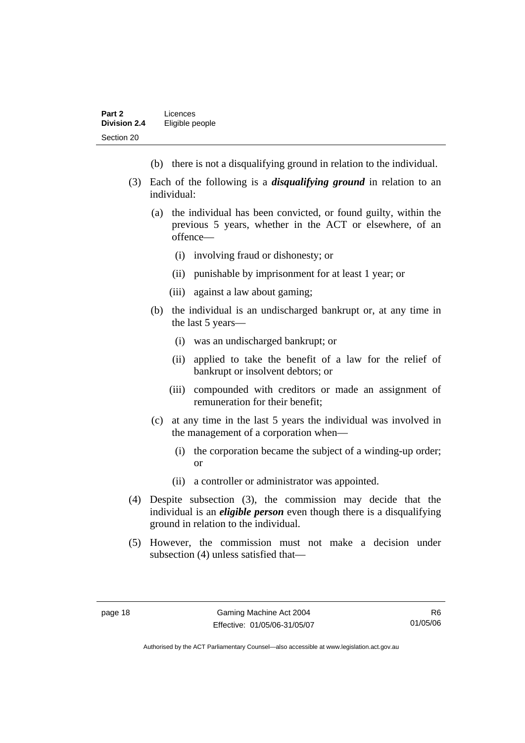- (b) there is not a disqualifying ground in relation to the individual.
- (3) Each of the following is a *disqualifying ground* in relation to an individual:
	- (a) the individual has been convicted, or found guilty, within the previous 5 years, whether in the ACT or elsewhere, of an offence—
		- (i) involving fraud or dishonesty; or
		- (ii) punishable by imprisonment for at least 1 year; or
		- (iii) against a law about gaming;
	- (b) the individual is an undischarged bankrupt or, at any time in the last 5 years—
		- (i) was an undischarged bankrupt; or
		- (ii) applied to take the benefit of a law for the relief of bankrupt or insolvent debtors; or
		- (iii) compounded with creditors or made an assignment of remuneration for their benefit;
	- (c) at any time in the last 5 years the individual was involved in the management of a corporation when—
		- (i) the corporation became the subject of a winding-up order; or
		- (ii) a controller or administrator was appointed.
- (4) Despite subsection (3), the commission may decide that the individual is an *eligible person* even though there is a disqualifying ground in relation to the individual.
- (5) However, the commission must not make a decision under subsection (4) unless satisfied that—

R6 01/05/06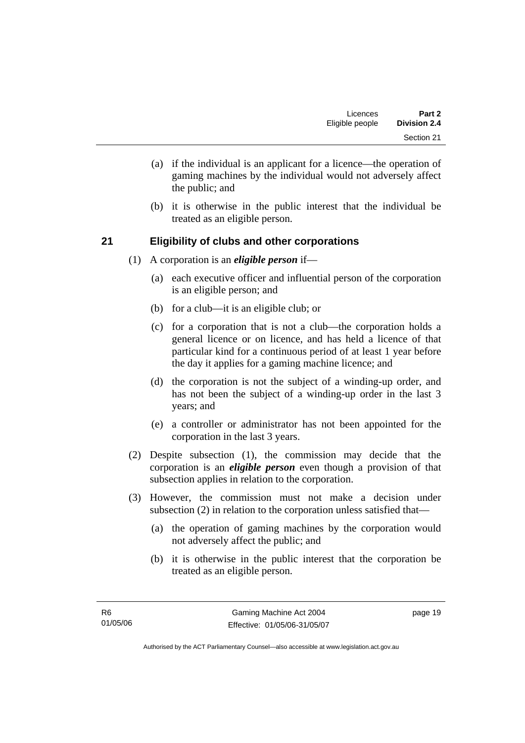- (a) if the individual is an applicant for a licence—the operation of gaming machines by the individual would not adversely affect the public; and
- (b) it is otherwise in the public interest that the individual be treated as an eligible person.

# **21 Eligibility of clubs and other corporations**

- (1) A corporation is an *eligible person* if—
	- (a) each executive officer and influential person of the corporation is an eligible person; and
	- (b) for a club—it is an eligible club; or
	- (c) for a corporation that is not a club—the corporation holds a general licence or on licence, and has held a licence of that particular kind for a continuous period of at least 1 year before the day it applies for a gaming machine licence; and
	- (d) the corporation is not the subject of a winding-up order, and has not been the subject of a winding-up order in the last 3 years; and
	- (e) a controller or administrator has not been appointed for the corporation in the last 3 years.
- (2) Despite subsection (1), the commission may decide that the corporation is an *eligible person* even though a provision of that subsection applies in relation to the corporation.
- (3) However, the commission must not make a decision under subsection (2) in relation to the corporation unless satisfied that—
	- (a) the operation of gaming machines by the corporation would not adversely affect the public; and
	- (b) it is otherwise in the public interest that the corporation be treated as an eligible person.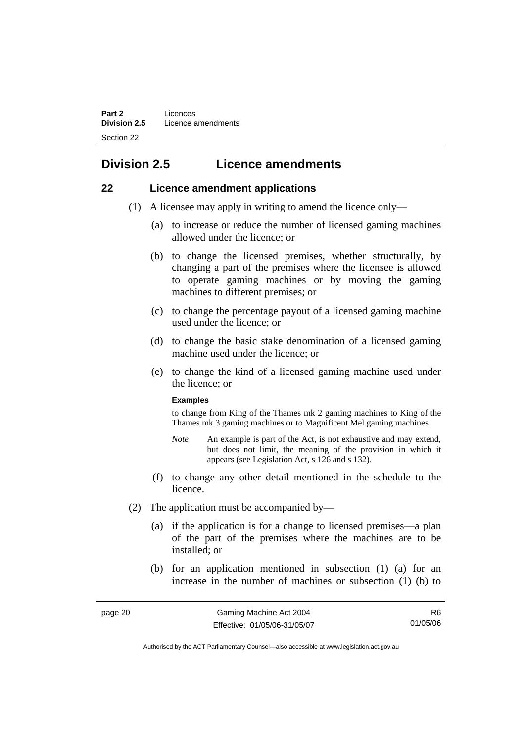# **Division 2.5 Licence amendments**

### **22 Licence amendment applications**

- (1) A licensee may apply in writing to amend the licence only—
	- (a) to increase or reduce the number of licensed gaming machines allowed under the licence; or
	- (b) to change the licensed premises, whether structurally, by changing a part of the premises where the licensee is allowed to operate gaming machines or by moving the gaming machines to different premises; or
	- (c) to change the percentage payout of a licensed gaming machine used under the licence; or
	- (d) to change the basic stake denomination of a licensed gaming machine used under the licence; or
	- (e) to change the kind of a licensed gaming machine used under the licence; or

#### **Examples**

to change from King of the Thames mk 2 gaming machines to King of the Thames mk 3 gaming machines or to Magnificent Mel gaming machines

- *Note* An example is part of the Act, is not exhaustive and may extend, but does not limit, the meaning of the provision in which it appears (see Legislation Act, s 126 and s 132).
- (f) to change any other detail mentioned in the schedule to the licence.
- (2) The application must be accompanied by—
	- (a) if the application is for a change to licensed premises—a plan of the part of the premises where the machines are to be installed; or
	- (b) for an application mentioned in subsection (1) (a) for an increase in the number of machines or subsection (1) (b) to

R6 01/05/06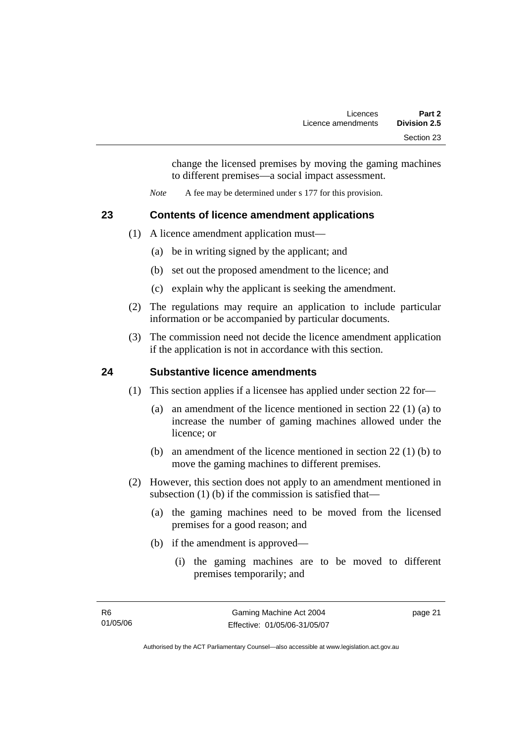change the licensed premises by moving the gaming machines to different premises—a social impact assessment.

*Note* A fee may be determined under s 177 for this provision.

# **23 Contents of licence amendment applications**

- (1) A licence amendment application must—
	- (a) be in writing signed by the applicant; and
	- (b) set out the proposed amendment to the licence; and
	- (c) explain why the applicant is seeking the amendment.
- (2) The regulations may require an application to include particular information or be accompanied by particular documents.
- (3) The commission need not decide the licence amendment application if the application is not in accordance with this section.

# **24 Substantive licence amendments**

- (1) This section applies if a licensee has applied under section 22 for—
	- (a) an amendment of the licence mentioned in section 22 (1) (a) to increase the number of gaming machines allowed under the licence; or
	- (b) an amendment of the licence mentioned in section 22 (1) (b) to move the gaming machines to different premises.
- (2) However, this section does not apply to an amendment mentioned in subsection (1) (b) if the commission is satisfied that—
	- (a) the gaming machines need to be moved from the licensed premises for a good reason; and
	- (b) if the amendment is approved—
		- (i) the gaming machines are to be moved to different premises temporarily; and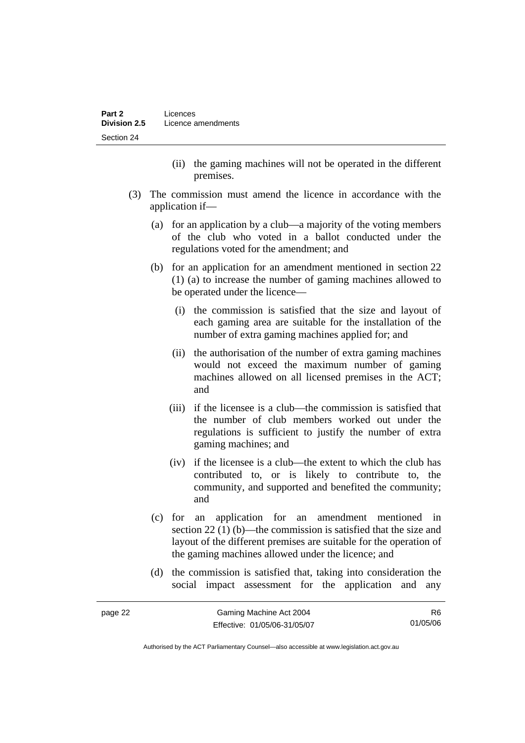- (ii) the gaming machines will not be operated in the different premises.
- (3) The commission must amend the licence in accordance with the application if—
	- (a) for an application by a club—a majority of the voting members of the club who voted in a ballot conducted under the regulations voted for the amendment; and
	- (b) for an application for an amendment mentioned in section 22 (1) (a) to increase the number of gaming machines allowed to be operated under the licence—
		- (i) the commission is satisfied that the size and layout of each gaming area are suitable for the installation of the number of extra gaming machines applied for; and
		- (ii) the authorisation of the number of extra gaming machines would not exceed the maximum number of gaming machines allowed on all licensed premises in the ACT; and
		- (iii) if the licensee is a club—the commission is satisfied that the number of club members worked out under the regulations is sufficient to justify the number of extra gaming machines; and
		- (iv) if the licensee is a club—the extent to which the club has contributed to, or is likely to contribute to, the community, and supported and benefited the community; and
	- (c) for an application for an amendment mentioned in section 22 (1) (b)—the commission is satisfied that the size and layout of the different premises are suitable for the operation of the gaming machines allowed under the licence; and
	- (d) the commission is satisfied that, taking into consideration the social impact assessment for the application and any

| page 22 | Gaming Machine Act 2004      | R6.      |
|---------|------------------------------|----------|
|         | Effective: 01/05/06-31/05/07 | 01/05/06 |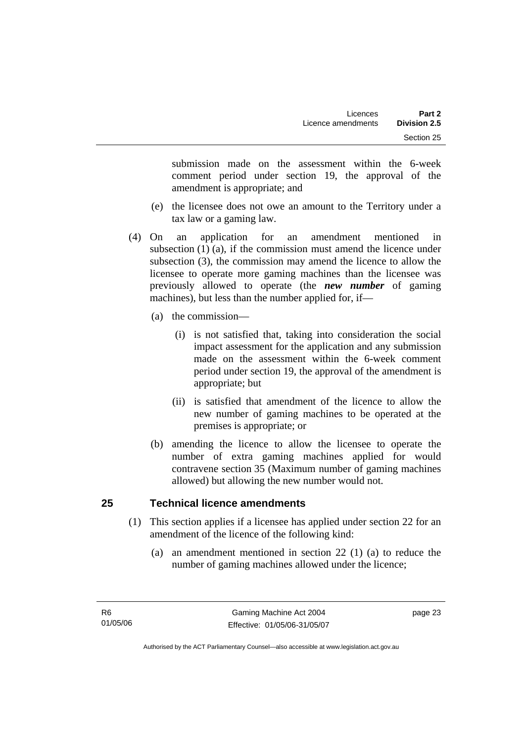submission made on the assessment within the 6-week comment period under section 19, the approval of the amendment is appropriate; and

- (e) the licensee does not owe an amount to the Territory under a tax law or a gaming law.
- (4) On an application for an amendment mentioned in subsection (1) (a), if the commission must amend the licence under subsection (3), the commission may amend the licence to allow the licensee to operate more gaming machines than the licensee was previously allowed to operate (the *new number* of gaming machines), but less than the number applied for, if—
	- (a) the commission—
		- (i) is not satisfied that, taking into consideration the social impact assessment for the application and any submission made on the assessment within the 6-week comment period under section 19, the approval of the amendment is appropriate; but
		- (ii) is satisfied that amendment of the licence to allow the new number of gaming machines to be operated at the premises is appropriate; or
	- (b) amending the licence to allow the licensee to operate the number of extra gaming machines applied for would contravene section 35 (Maximum number of gaming machines allowed) but allowing the new number would not.

# **25 Technical licence amendments**

- (1) This section applies if a licensee has applied under section 22 for an amendment of the licence of the following kind:
	- (a) an amendment mentioned in section 22 (1) (a) to reduce the number of gaming machines allowed under the licence;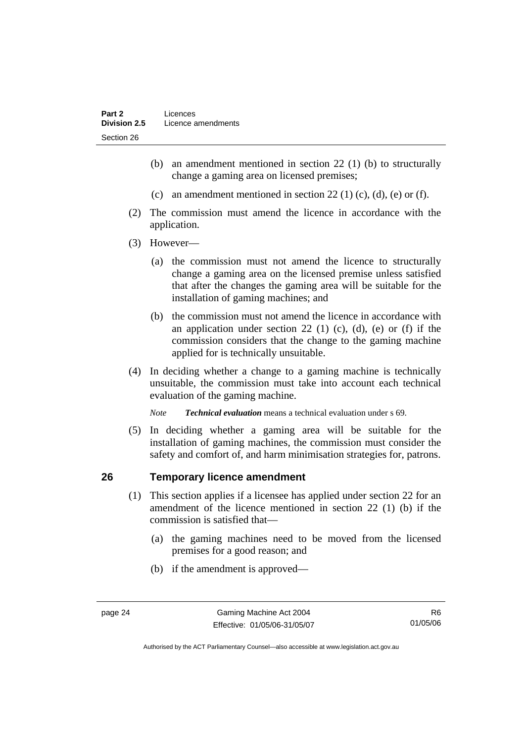- (b) an amendment mentioned in section 22 (1) (b) to structurally change a gaming area on licensed premises;
- (c) an amendment mentioned in section 22 (1) (c), (d), (e) or (f).
- (2) The commission must amend the licence in accordance with the application.
- (3) However—
	- (a) the commission must not amend the licence to structurally change a gaming area on the licensed premise unless satisfied that after the changes the gaming area will be suitable for the installation of gaming machines; and
	- (b) the commission must not amend the licence in accordance with an application under section 22 (1) (c), (d), (e) or (f) if the commission considers that the change to the gaming machine applied for is technically unsuitable.
- (4) In deciding whether a change to a gaming machine is technically unsuitable, the commission must take into account each technical evaluation of the gaming machine.

*Note Technical evaluation* means a technical evaluation under s 69.

 (5) In deciding whether a gaming area will be suitable for the installation of gaming machines, the commission must consider the safety and comfort of, and harm minimisation strategies for, patrons.

### **26 Temporary licence amendment**

- (1) This section applies if a licensee has applied under section 22 for an amendment of the licence mentioned in section 22 (1) (b) if the commission is satisfied that—
	- (a) the gaming machines need to be moved from the licensed premises for a good reason; and
	- (b) if the amendment is approved—

R6 01/05/06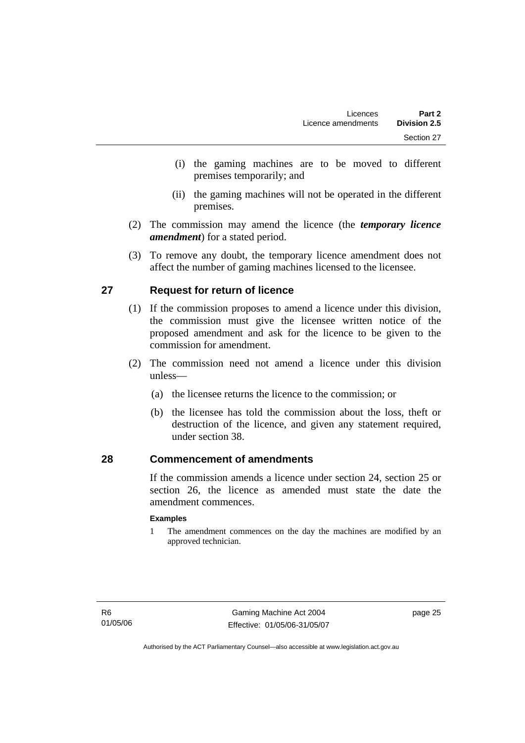- (i) the gaming machines are to be moved to different premises temporarily; and
- (ii) the gaming machines will not be operated in the different premises.
- (2) The commission may amend the licence (the *temporary licence amendment*) for a stated period.
- (3) To remove any doubt, the temporary licence amendment does not affect the number of gaming machines licensed to the licensee.

# **27 Request for return of licence**

- (1) If the commission proposes to amend a licence under this division, the commission must give the licensee written notice of the proposed amendment and ask for the licence to be given to the commission for amendment.
- (2) The commission need not amend a licence under this division unless—
	- (a) the licensee returns the licence to the commission; or
	- (b) the licensee has told the commission about the loss, theft or destruction of the licence, and given any statement required, under section 38.

### **28 Commencement of amendments**

If the commission amends a licence under section 24, section 25 or section 26, the licence as amended must state the date the amendment commences.

#### **Examples**

1 The amendment commences on the day the machines are modified by an approved technician.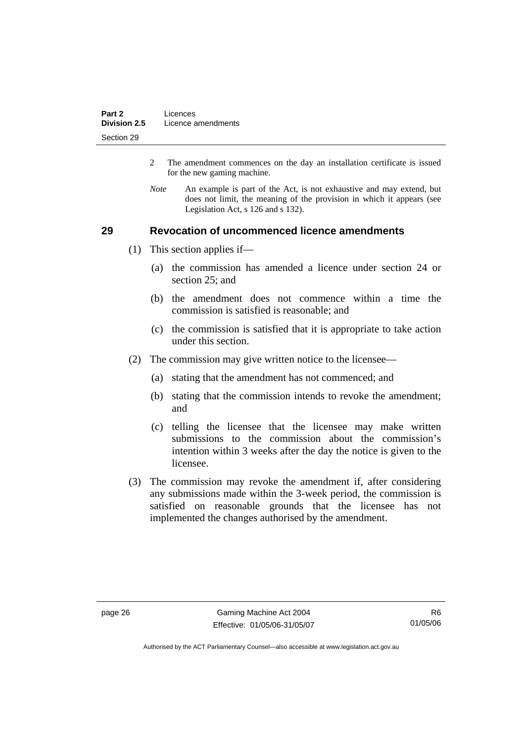- 2 The amendment commences on the day an installation certificate is issued for the new gaming machine.
- *Note* An example is part of the Act, is not exhaustive and may extend, but does not limit, the meaning of the provision in which it appears (see Legislation Act, s 126 and s 132).

#### **29 Revocation of uncommenced licence amendments**

- (1) This section applies if—
	- (a) the commission has amended a licence under section 24 or section 25; and
	- (b) the amendment does not commence within a time the commission is satisfied is reasonable; and
	- (c) the commission is satisfied that it is appropriate to take action under this section.
- (2) The commission may give written notice to the licensee—
	- (a) stating that the amendment has not commenced; and
	- (b) stating that the commission intends to revoke the amendment; and
	- (c) telling the licensee that the licensee may make written submissions to the commission about the commission's intention within 3 weeks after the day the notice is given to the licensee.
- (3) The commission may revoke the amendment if, after considering any submissions made within the 3-week period, the commission is satisfied on reasonable grounds that the licensee has not implemented the changes authorised by the amendment.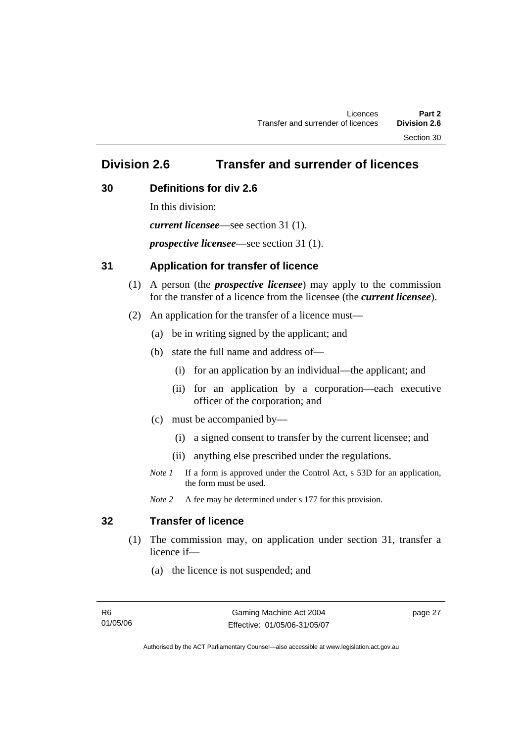Section 30

# **Division 2.6 Transfer and surrender of licences**

## **30 Definitions for div 2.6**

In this division: *current licensee*—see section 31 (1). *prospective licensee*—see section 31 (1).

## **31 Application for transfer of licence**

- (1) A person (the *prospective licensee*) may apply to the commission for the transfer of a licence from the licensee (the *current licensee*).
- (2) An application for the transfer of a licence must—
	- (a) be in writing signed by the applicant; and
	- (b) state the full name and address of—
		- (i) for an application by an individual—the applicant; and
		- (ii) for an application by a corporation—each executive officer of the corporation; and
	- (c) must be accompanied by—
		- (i) a signed consent to transfer by the current licensee; and
		- (ii) anything else prescribed under the regulations.
	- *Note 1* If a form is approved under the Control Act, s 53D for an application, the form must be used.

*Note* 2 A fee may be determined under s 177 for this provision.

# **32 Transfer of licence**

- (1) The commission may, on application under section 31, transfer a licence if—
	- (a) the licence is not suspended; and

page 27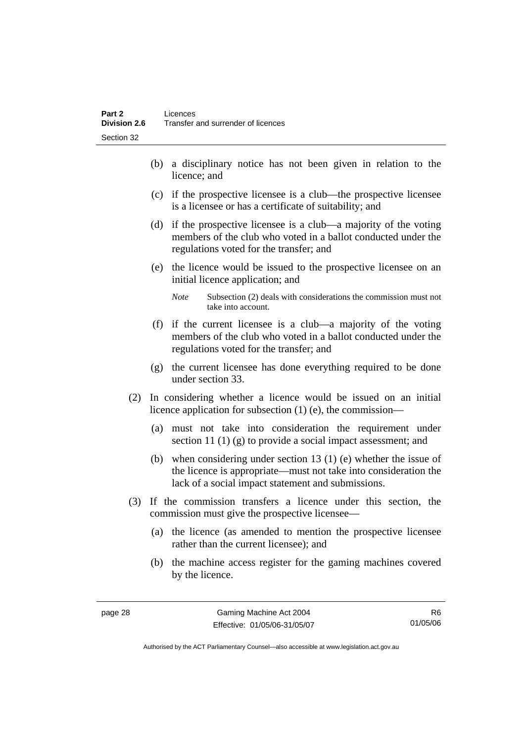- (b) a disciplinary notice has not been given in relation to the licence; and
- (c) if the prospective licensee is a club—the prospective licensee is a licensee or has a certificate of suitability; and
- (d) if the prospective licensee is a club—a majority of the voting members of the club who voted in a ballot conducted under the regulations voted for the transfer; and
- (e) the licence would be issued to the prospective licensee on an initial licence application; and
	- *Note* Subsection (2) deals with considerations the commission must not take into account.
- (f) if the current licensee is a club—a majority of the voting members of the club who voted in a ballot conducted under the regulations voted for the transfer; and
- (g) the current licensee has done everything required to be done under section 33.
- (2) In considering whether a licence would be issued on an initial licence application for subsection (1) (e), the commission—
	- (a) must not take into consideration the requirement under section 11 (1) (g) to provide a social impact assessment; and
	- (b) when considering under section 13 (1) (e) whether the issue of the licence is appropriate—must not take into consideration the lack of a social impact statement and submissions.
- (3) If the commission transfers a licence under this section, the commission must give the prospective licensee—
	- (a) the licence (as amended to mention the prospective licensee rather than the current licensee); and
	- (b) the machine access register for the gaming machines covered by the licence.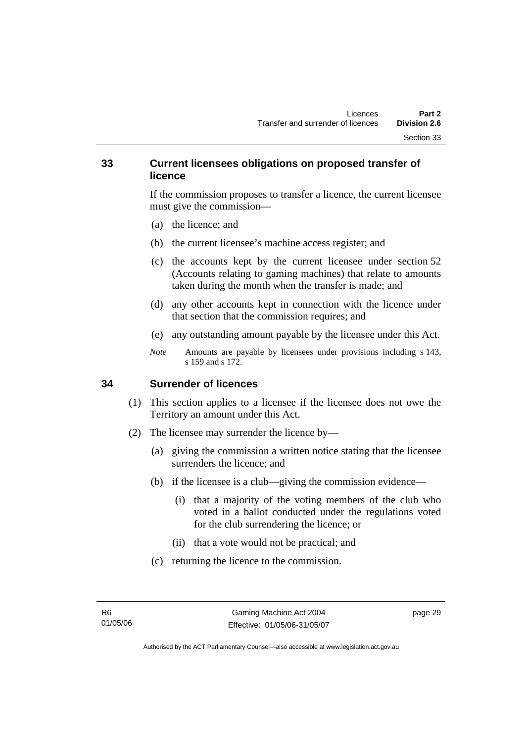#### **33 Current licensees obligations on proposed transfer of licence**

If the commission proposes to transfer a licence, the current licensee must give the commission—

- (a) the licence; and
- (b) the current licensee's machine access register; and
- (c) the accounts kept by the current licensee under section 52 (Accounts relating to gaming machines) that relate to amounts taken during the month when the transfer is made; and
- (d) any other accounts kept in connection with the licence under that section that the commission requires; and
- (e) any outstanding amount payable by the licensee under this Act.
- *Note* Amounts are payable by licensees under provisions including s 143, s 159 and s 172.

#### **34 Surrender of licences**

- (1) This section applies to a licensee if the licensee does not owe the Territory an amount under this Act.
- (2) The licensee may surrender the licence by—
	- (a) giving the commission a written notice stating that the licensee surrenders the licence; and
	- (b) if the licensee is a club—giving the commission evidence—
		- (i) that a majority of the voting members of the club who voted in a ballot conducted under the regulations voted for the club surrendering the licence; or
		- (ii) that a vote would not be practical; and
	- (c) returning the licence to the commission.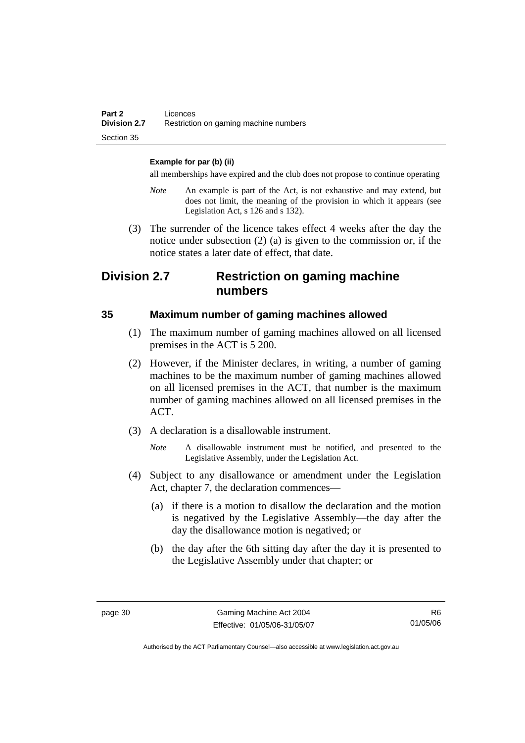#### **Example for par (b) (ii)**

all memberships have expired and the club does not propose to continue operating

- *Note* An example is part of the Act, is not exhaustive and may extend, but does not limit, the meaning of the provision in which it appears (see Legislation Act, s 126 and s 132).
- (3) The surrender of the licence takes effect 4 weeks after the day the notice under subsection (2) (a) is given to the commission or, if the notice states a later date of effect, that date.

# **Division 2.7 Restriction on gaming machine numbers**

#### **35 Maximum number of gaming machines allowed**

- (1) The maximum number of gaming machines allowed on all licensed premises in the ACT is 5 200.
- (2) However, if the Minister declares, in writing, a number of gaming machines to be the maximum number of gaming machines allowed on all licensed premises in the ACT, that number is the maximum number of gaming machines allowed on all licensed premises in the ACT.
- (3) A declaration is a disallowable instrument.
	- *Note* A disallowable instrument must be notified, and presented to the Legislative Assembly, under the Legislation Act.
- (4) Subject to any disallowance or amendment under the Legislation Act, chapter 7, the declaration commences—
	- (a) if there is a motion to disallow the declaration and the motion is negatived by the Legislative Assembly—the day after the day the disallowance motion is negatived; or
	- (b) the day after the 6th sitting day after the day it is presented to the Legislative Assembly under that chapter; or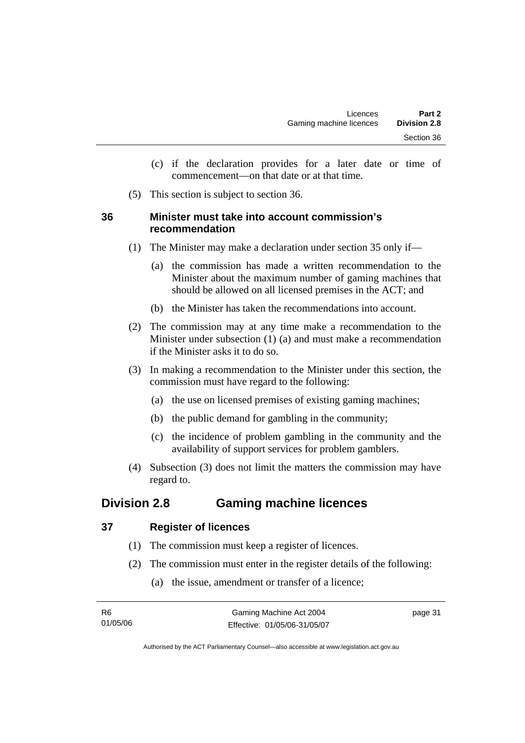- (c) if the declaration provides for a later date or time of commencement—on that date or at that time.
- (5) This section is subject to section 36.

## **36 Minister must take into account commission's recommendation**

- (1) The Minister may make a declaration under section 35 only if—
	- (a) the commission has made a written recommendation to the Minister about the maximum number of gaming machines that should be allowed on all licensed premises in the ACT; and
	- (b) the Minister has taken the recommendations into account.
- (2) The commission may at any time make a recommendation to the Minister under subsection (1) (a) and must make a recommendation if the Minister asks it to do so.
- (3) In making a recommendation to the Minister under this section, the commission must have regard to the following:
	- (a) the use on licensed premises of existing gaming machines;
	- (b) the public demand for gambling in the community;
	- (c) the incidence of problem gambling in the community and the availability of support services for problem gamblers.
- (4) Subsection (3) does not limit the matters the commission may have regard to.

# **Division 2.8 Gaming machine licences**

## **37 Register of licences**

- (1) The commission must keep a register of licences.
- (2) The commission must enter in the register details of the following:
	- (a) the issue, amendment or transfer of a licence;

| - R6     | Gaming Machine Act 2004      | page 31 |
|----------|------------------------------|---------|
| 01/05/06 | Effective: 01/05/06-31/05/07 |         |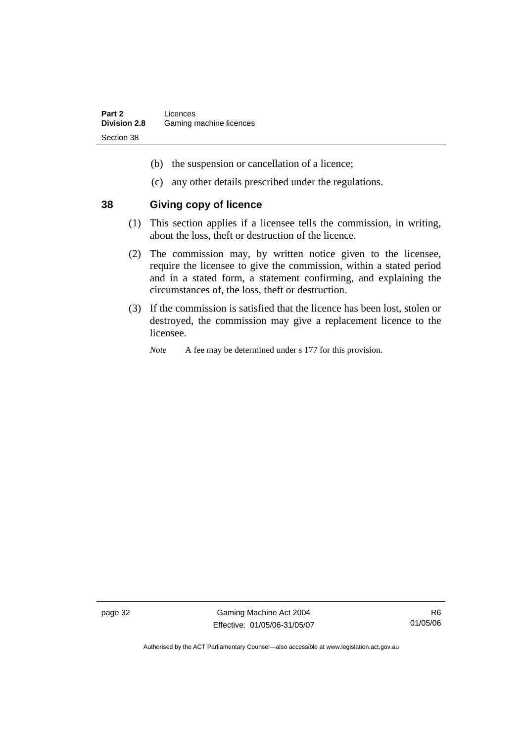- (b) the suspension or cancellation of a licence;
- (c) any other details prescribed under the regulations.

#### **38 Giving copy of licence**

- (1) This section applies if a licensee tells the commission, in writing, about the loss, theft or destruction of the licence.
- (2) The commission may, by written notice given to the licensee, require the licensee to give the commission, within a stated period and in a stated form, a statement confirming, and explaining the circumstances of, the loss, theft or destruction.
- (3) If the commission is satisfied that the licence has been lost, stolen or destroyed, the commission may give a replacement licence to the licensee.
	- *Note* A fee may be determined under s 177 for this provision.

page 32 Gaming Machine Act 2004 Effective: 01/05/06-31/05/07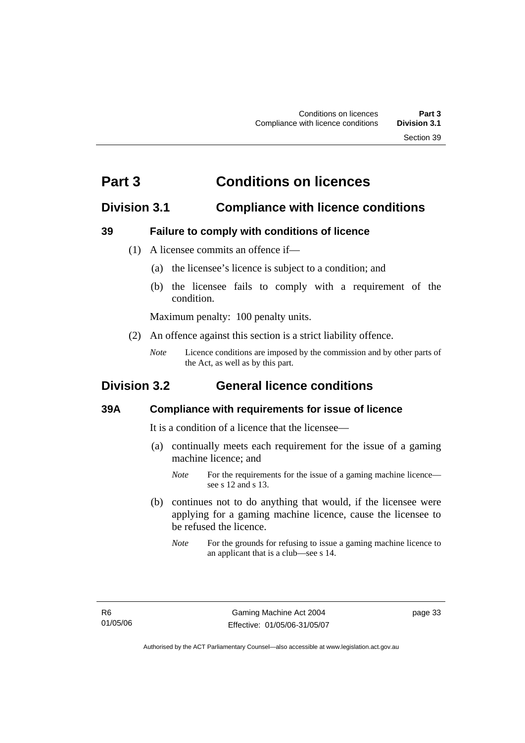# **Part 3 Conditions on licences**

# **Division 3.1 Compliance with licence conditions**

## **39 Failure to comply with conditions of licence**

- (1) A licensee commits an offence if—
	- (a) the licensee's licence is subject to a condition; and
	- (b) the licensee fails to comply with a requirement of the condition.

Maximum penalty: 100 penalty units.

- (2) An offence against this section is a strict liability offence.
	- *Note* Licence conditions are imposed by the commission and by other parts of the Act, as well as by this part.

# **Division 3.2 General licence conditions**

#### **39A Compliance with requirements for issue of licence**

It is a condition of a licence that the licensee—

- (a) continually meets each requirement for the issue of a gaming machine licence; and
	- *Note* For the requirements for the issue of a gaming machine licence see s 12 and s 13.
- (b) continues not to do anything that would, if the licensee were applying for a gaming machine licence, cause the licensee to be refused the licence.
	- *Note* For the grounds for refusing to issue a gaming machine licence to an applicant that is a club—see s 14.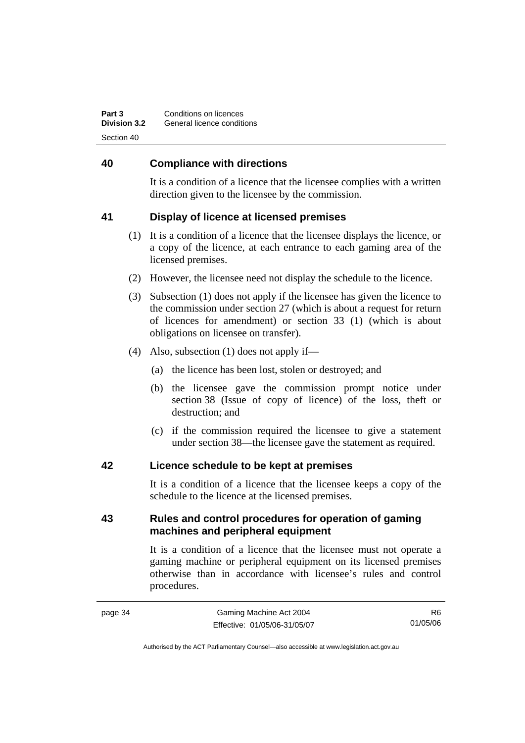| Part 3              | Conditions on licences     |
|---------------------|----------------------------|
| <b>Division 3.2</b> | General licence conditions |
| Section 40          |                            |

#### **40 Compliance with directions**

It is a condition of a licence that the licensee complies with a written direction given to the licensee by the commission.

## **41 Display of licence at licensed premises**

- (1) It is a condition of a licence that the licensee displays the licence, or a copy of the licence, at each entrance to each gaming area of the licensed premises.
- (2) However, the licensee need not display the schedule to the licence.
- (3) Subsection (1) does not apply if the licensee has given the licence to the commission under section 27 (which is about a request for return of licences for amendment) or section 33 (1) (which is about obligations on licensee on transfer).
- (4) Also, subsection (1) does not apply if—
	- (a) the licence has been lost, stolen or destroyed; and
	- (b) the licensee gave the commission prompt notice under section 38 (Issue of copy of licence) of the loss, theft or destruction; and
	- (c) if the commission required the licensee to give a statement under section 38—the licensee gave the statement as required.

#### **42 Licence schedule to be kept at premises**

It is a condition of a licence that the licensee keeps a copy of the schedule to the licence at the licensed premises.

## **43 Rules and control procedures for operation of gaming machines and peripheral equipment**

It is a condition of a licence that the licensee must not operate a gaming machine or peripheral equipment on its licensed premises otherwise than in accordance with licensee's rules and control procedures.

R6 01/05/06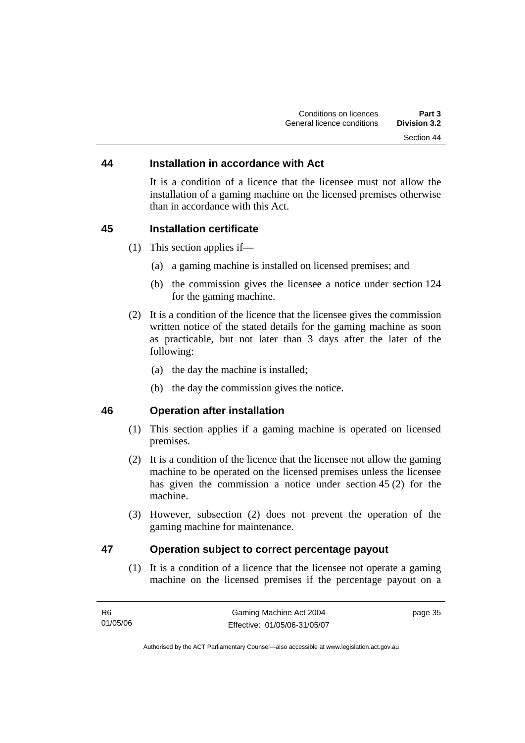#### **44 Installation in accordance with Act**

It is a condition of a licence that the licensee must not allow the installation of a gaming machine on the licensed premises otherwise than in accordance with this Act.

#### **45 Installation certificate**

- (1) This section applies if—
	- (a) a gaming machine is installed on licensed premises; and
	- (b) the commission gives the licensee a notice under section 124 for the gaming machine.
- (2) It is a condition of the licence that the licensee gives the commission written notice of the stated details for the gaming machine as soon as practicable, but not later than 3 days after the later of the following:
	- (a) the day the machine is installed;
	- (b) the day the commission gives the notice.

## **46 Operation after installation**

- (1) This section applies if a gaming machine is operated on licensed premises.
- (2) It is a condition of the licence that the licensee not allow the gaming machine to be operated on the licensed premises unless the licensee has given the commission a notice under section 45 (2) for the machine.
- (3) However, subsection (2) does not prevent the operation of the gaming machine for maintenance.

## **47 Operation subject to correct percentage payout**

 (1) It is a condition of a licence that the licensee not operate a gaming machine on the licensed premises if the percentage payout on a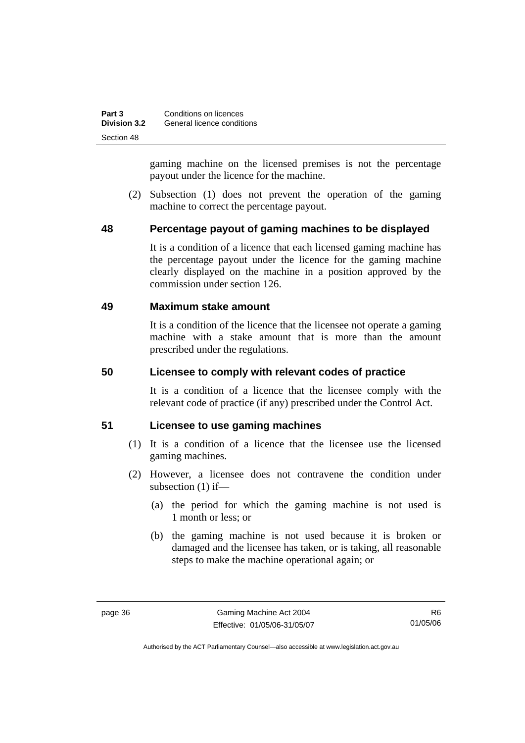| Part 3              | Conditions on licences     |
|---------------------|----------------------------|
| <b>Division 3.2</b> | General licence conditions |
| Section 48          |                            |

gaming machine on the licensed premises is not the percentage payout under the licence for the machine.

 (2) Subsection (1) does not prevent the operation of the gaming machine to correct the percentage payout.

## **48 Percentage payout of gaming machines to be displayed**

It is a condition of a licence that each licensed gaming machine has the percentage payout under the licence for the gaming machine clearly displayed on the machine in a position approved by the commission under section 126.

#### **49 Maximum stake amount**

It is a condition of the licence that the licensee not operate a gaming machine with a stake amount that is more than the amount prescribed under the regulations.

#### **50 Licensee to comply with relevant codes of practice**

It is a condition of a licence that the licensee comply with the relevant code of practice (if any) prescribed under the Control Act.

#### **51 Licensee to use gaming machines**

- (1) It is a condition of a licence that the licensee use the licensed gaming machines.
- (2) However, a licensee does not contravene the condition under subsection (1) if—
	- (a) the period for which the gaming machine is not used is 1 month or less; or
	- (b) the gaming machine is not used because it is broken or damaged and the licensee has taken, or is taking, all reasonable steps to make the machine operational again; or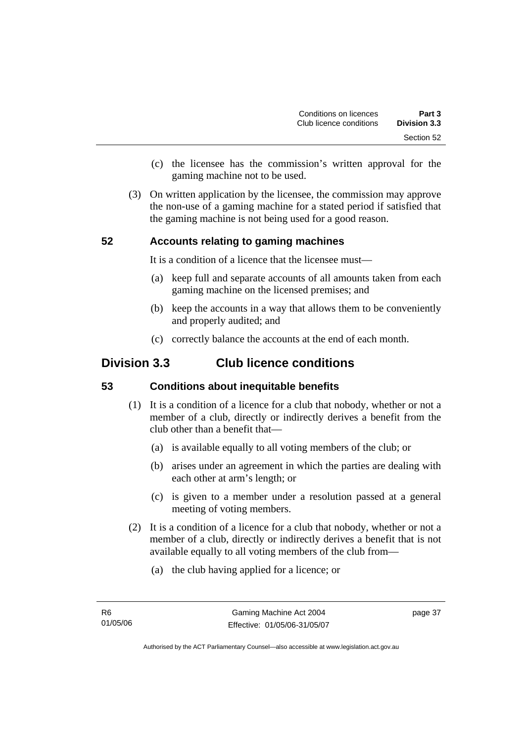- (c) the licensee has the commission's written approval for the gaming machine not to be used.
- (3) On written application by the licensee, the commission may approve the non-use of a gaming machine for a stated period if satisfied that the gaming machine is not being used for a good reason.

## **52 Accounts relating to gaming machines**

It is a condition of a licence that the licensee must—

- (a) keep full and separate accounts of all amounts taken from each gaming machine on the licensed premises; and
- (b) keep the accounts in a way that allows them to be conveniently and properly audited; and
- (c) correctly balance the accounts at the end of each month.

# **Division 3.3 Club licence conditions**

#### **53 Conditions about inequitable benefits**

- (1) It is a condition of a licence for a club that nobody, whether or not a member of a club, directly or indirectly derives a benefit from the club other than a benefit that—
	- (a) is available equally to all voting members of the club; or
	- (b) arises under an agreement in which the parties are dealing with each other at arm's length; or
	- (c) is given to a member under a resolution passed at a general meeting of voting members.
- (2) It is a condition of a licence for a club that nobody, whether or not a member of a club, directly or indirectly derives a benefit that is not available equally to all voting members of the club from—
	- (a) the club having applied for a licence; or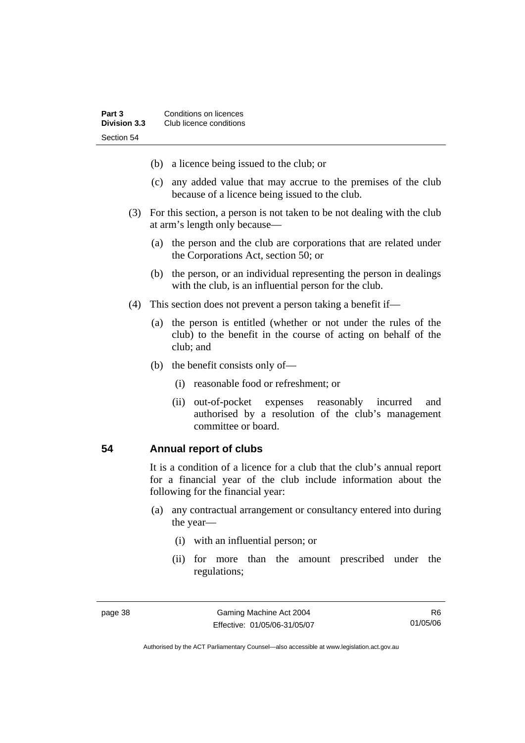- (b) a licence being issued to the club; or
- (c) any added value that may accrue to the premises of the club because of a licence being issued to the club.
- (3) For this section, a person is not taken to be not dealing with the club at arm's length only because—
	- (a) the person and the club are corporations that are related under the Corporations Act, section 50; or
	- (b) the person, or an individual representing the person in dealings with the club, is an influential person for the club.
- (4) This section does not prevent a person taking a benefit if—
	- (a) the person is entitled (whether or not under the rules of the club) to the benefit in the course of acting on behalf of the club; and
	- (b) the benefit consists only of—
		- (i) reasonable food or refreshment; or
		- (ii) out-of-pocket expenses reasonably incurred and authorised by a resolution of the club's management committee or board.

#### **54 Annual report of clubs**

It is a condition of a licence for a club that the club's annual report for a financial year of the club include information about the following for the financial year:

- (a) any contractual arrangement or consultancy entered into during the year—
	- (i) with an influential person; or
	- (ii) for more than the amount prescribed under the regulations;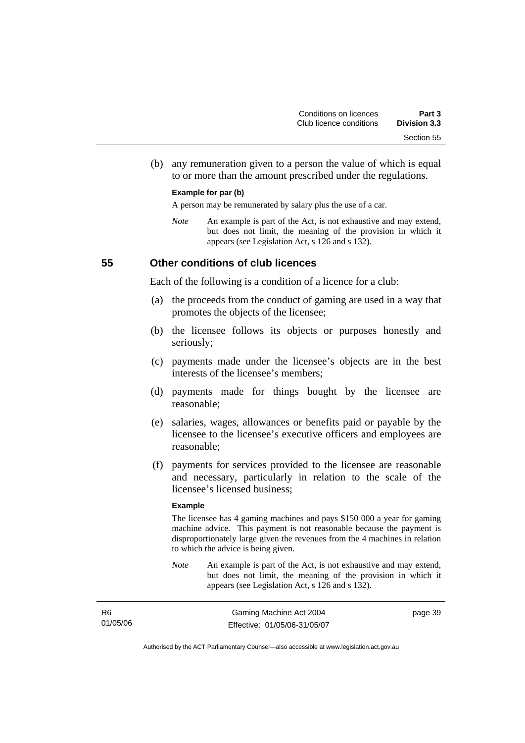(b) any remuneration given to a person the value of which is equal to or more than the amount prescribed under the regulations.

#### **Example for par (b)**

A person may be remunerated by salary plus the use of a car.

*Note* An example is part of the Act, is not exhaustive and may extend, but does not limit, the meaning of the provision in which it appears (see Legislation Act, s 126 and s 132).

#### **55 Other conditions of club licences**

Each of the following is a condition of a licence for a club:

- (a) the proceeds from the conduct of gaming are used in a way that promotes the objects of the licensee;
- (b) the licensee follows its objects or purposes honestly and seriously;
- (c) payments made under the licensee's objects are in the best interests of the licensee's members;
- (d) payments made for things bought by the licensee are reasonable;
- (e) salaries, wages, allowances or benefits paid or payable by the licensee to the licensee's executive officers and employees are reasonable;
- (f) payments for services provided to the licensee are reasonable and necessary, particularly in relation to the scale of the licensee's licensed business;

#### **Example**

The licensee has 4 gaming machines and pays \$150 000 a year for gaming machine advice. This payment is not reasonable because the payment is disproportionately large given the revenues from the 4 machines in relation to which the advice is being given.

*Note* An example is part of the Act, is not exhaustive and may extend, but does not limit, the meaning of the provision in which it appears (see Legislation Act, s 126 and s 132).

| R <sub>6</sub> | Gaming Machine Act 2004      | page 39 |
|----------------|------------------------------|---------|
| 01/05/06       | Effective: 01/05/06-31/05/07 |         |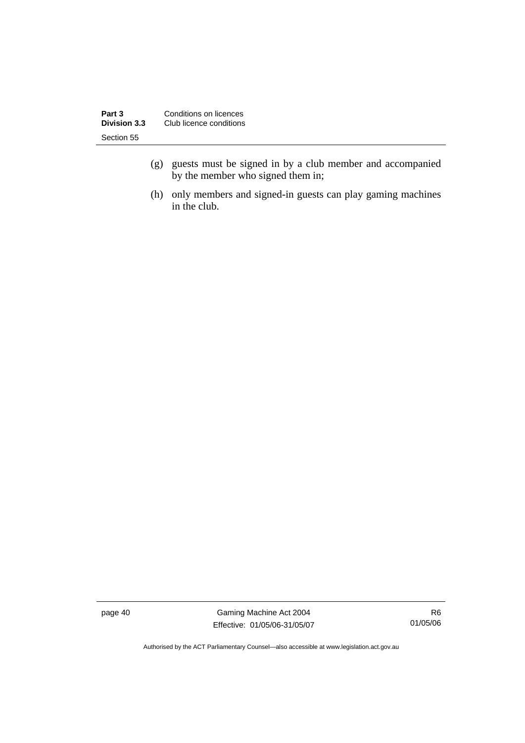| Part 3              | Conditions on licences  |
|---------------------|-------------------------|
| <b>Division 3.3</b> | Club licence conditions |
| Section 55          |                         |

- (g) guests must be signed in by a club member and accompanied by the member who signed them in;
- (h) only members and signed-in guests can play gaming machines in the club.

page 40 Gaming Machine Act 2004 Effective: 01/05/06-31/05/07

R6 01/05/06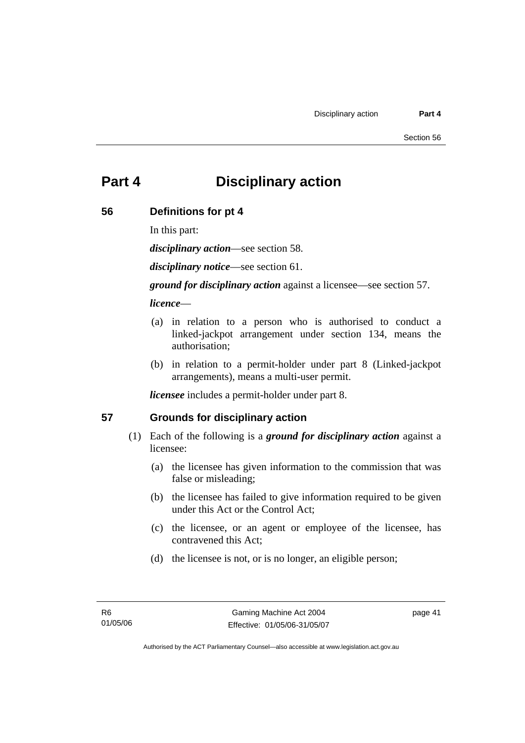# **Part 4 Disciplinary action**

#### **56 Definitions for pt 4**

In this part:

*disciplinary action*—see section 58.

*disciplinary notice*—see section 61.

*ground for disciplinary action* against a licensee—see section 57.

#### *licence*—

- (a) in relation to a person who is authorised to conduct a linked-jackpot arrangement under section 134, means the authorisation;
- (b) in relation to a permit-holder under part 8 (Linked-jackpot arrangements), means a multi-user permit.

*licensee* includes a permit-holder under part 8.

#### **57 Grounds for disciplinary action**

- (1) Each of the following is a *ground for disciplinary action* against a licensee:
	- (a) the licensee has given information to the commission that was false or misleading;
	- (b) the licensee has failed to give information required to be given under this Act or the Control Act;
	- (c) the licensee, or an agent or employee of the licensee, has contravened this Act;
	- (d) the licensee is not, or is no longer, an eligible person;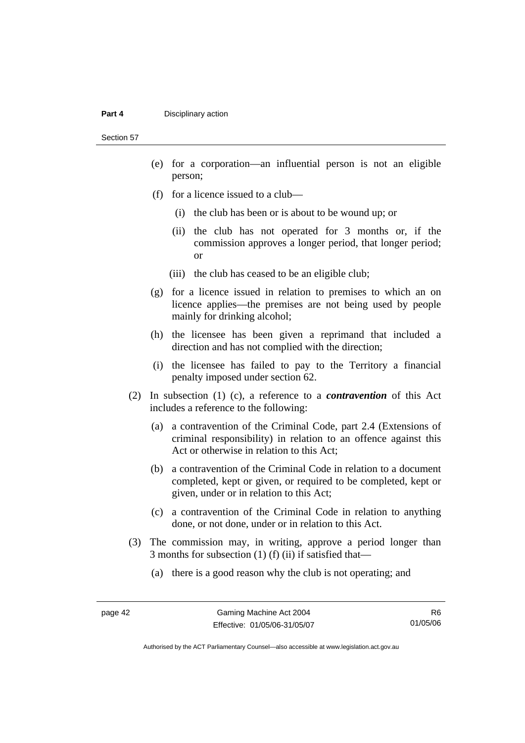#### **Part 4 Disciplinary action**

Section 57

- (e) for a corporation—an influential person is not an eligible person;
- (f) for a licence issued to a club—
	- (i) the club has been or is about to be wound up; or
	- (ii) the club has not operated for 3 months or, if the commission approves a longer period, that longer period; or
	- (iii) the club has ceased to be an eligible club;
- (g) for a licence issued in relation to premises to which an on licence applies—the premises are not being used by people mainly for drinking alcohol;
- (h) the licensee has been given a reprimand that included a direction and has not complied with the direction;
- (i) the licensee has failed to pay to the Territory a financial penalty imposed under section 62.
- (2) In subsection (1) (c), a reference to a *contravention* of this Act includes a reference to the following:
	- (a) a contravention of the Criminal Code, part 2.4 (Extensions of criminal responsibility) in relation to an offence against this Act or otherwise in relation to this Act;
	- (b) a contravention of the Criminal Code in relation to a document completed, kept or given, or required to be completed, kept or given, under or in relation to this Act;
	- (c) a contravention of the Criminal Code in relation to anything done, or not done, under or in relation to this Act.
- (3) The commission may, in writing, approve a period longer than 3 months for subsection (1) (f) (ii) if satisfied that—
	- (a) there is a good reason why the club is not operating; and

R6 01/05/06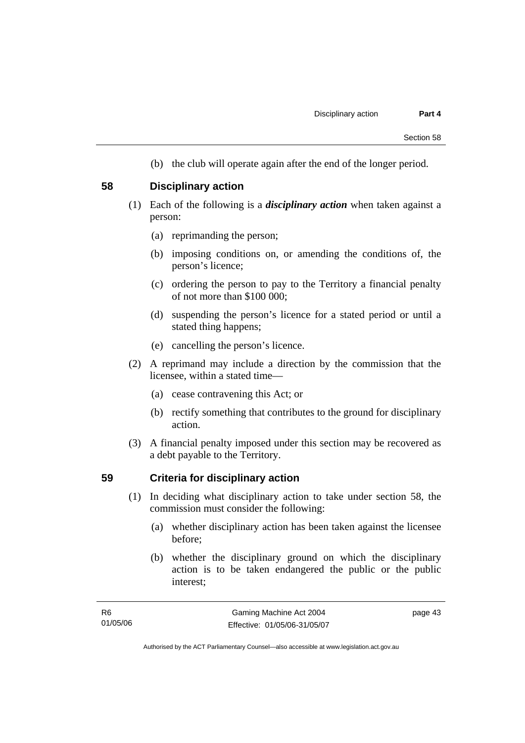(b) the club will operate again after the end of the longer period.

#### **58 Disciplinary action**

- (1) Each of the following is a *disciplinary action* when taken against a person:
	- (a) reprimanding the person;
	- (b) imposing conditions on, or amending the conditions of, the person's licence;
	- (c) ordering the person to pay to the Territory a financial penalty of not more than \$100 000;
	- (d) suspending the person's licence for a stated period or until a stated thing happens;
	- (e) cancelling the person's licence.
- (2) A reprimand may include a direction by the commission that the licensee, within a stated time—
	- (a) cease contravening this Act; or
	- (b) rectify something that contributes to the ground for disciplinary action.
- (3) A financial penalty imposed under this section may be recovered as a debt payable to the Territory.

#### **59 Criteria for disciplinary action**

- (1) In deciding what disciplinary action to take under section 58, the commission must consider the following:
	- (a) whether disciplinary action has been taken against the licensee before;
	- (b) whether the disciplinary ground on which the disciplinary action is to be taken endangered the public or the public interest;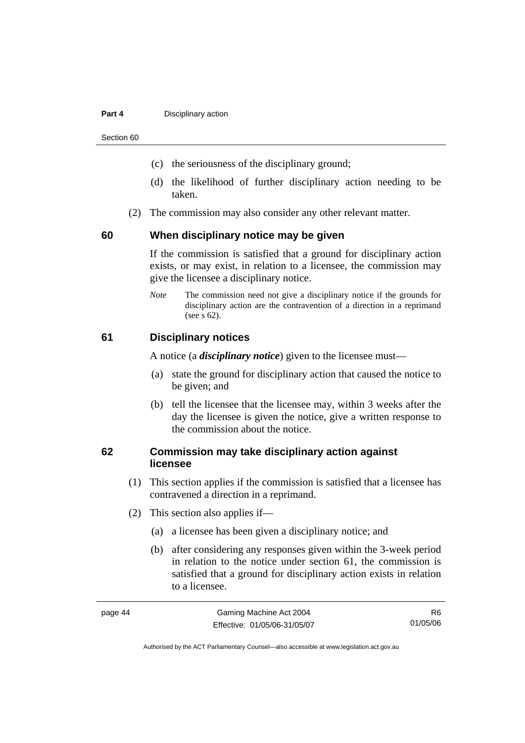#### **Part 4 Disciplinary action**

Section 60

- (c) the seriousness of the disciplinary ground;
- (d) the likelihood of further disciplinary action needing to be taken.
- (2) The commission may also consider any other relevant matter.

#### **60 When disciplinary notice may be given**

If the commission is satisfied that a ground for disciplinary action exists, or may exist, in relation to a licensee, the commission may give the licensee a disciplinary notice.

*Note* The commission need not give a disciplinary notice if the grounds for disciplinary action are the contravention of a direction in a reprimand (see s 62).

#### **61 Disciplinary notices**

A notice (a *disciplinary notice*) given to the licensee must—

- (a) state the ground for disciplinary action that caused the notice to be given; and
- (b) tell the licensee that the licensee may, within 3 weeks after the day the licensee is given the notice, give a written response to the commission about the notice.

#### **62 Commission may take disciplinary action against licensee**

- (1) This section applies if the commission is satisfied that a licensee has contravened a direction in a reprimand.
- (2) This section also applies if—
	- (a) a licensee has been given a disciplinary notice; and
	- (b) after considering any responses given within the 3-week period in relation to the notice under section 61, the commission is satisfied that a ground for disciplinary action exists in relation to a licensee.

| page 44 | Gaming Machine Act 2004      | R6.      |
|---------|------------------------------|----------|
|         | Effective: 01/05/06-31/05/07 | 01/05/06 |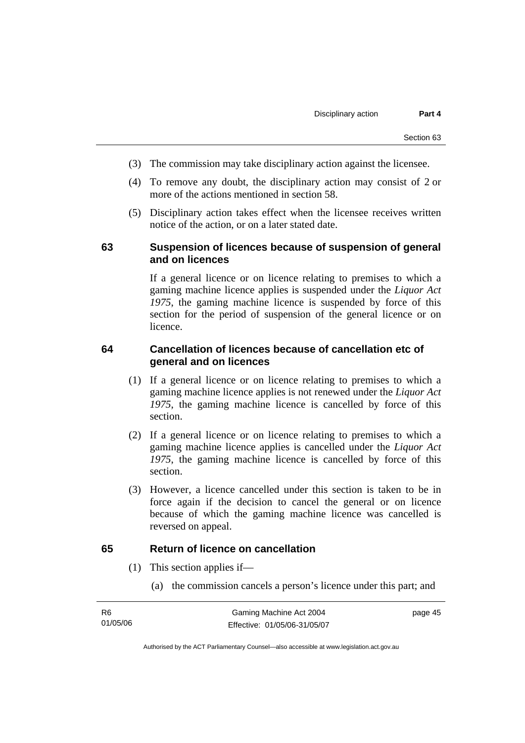- (3) The commission may take disciplinary action against the licensee.
- (4) To remove any doubt, the disciplinary action may consist of 2 or more of the actions mentioned in section 58.
- (5) Disciplinary action takes effect when the licensee receives written notice of the action, or on a later stated date.

#### **63 Suspension of licences because of suspension of general and on licences**

If a general licence or on licence relating to premises to which a gaming machine licence applies is suspended under the *Liquor Act 1975*, the gaming machine licence is suspended by force of this section for the period of suspension of the general licence or on licence.

## **64 Cancellation of licences because of cancellation etc of general and on licences**

- (1) If a general licence or on licence relating to premises to which a gaming machine licence applies is not renewed under the *Liquor Act 1975*, the gaming machine licence is cancelled by force of this section.
- (2) If a general licence or on licence relating to premises to which a gaming machine licence applies is cancelled under the *Liquor Act 1975*, the gaming machine licence is cancelled by force of this section.
- (3) However, a licence cancelled under this section is taken to be in force again if the decision to cancel the general or on licence because of which the gaming machine licence was cancelled is reversed on appeal.

#### **65 Return of licence on cancellation**

- (1) This section applies if—
	- (a) the commission cancels a person's licence under this part; and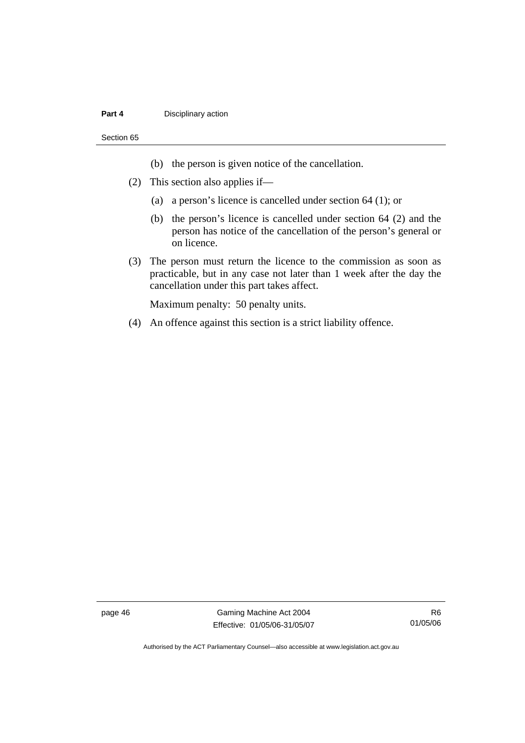#### **Part 4 Disciplinary action**

#### Section 65

- (b) the person is given notice of the cancellation.
- (2) This section also applies if—
	- (a) a person's licence is cancelled under section 64 (1); or
	- (b) the person's licence is cancelled under section 64 (2) and the person has notice of the cancellation of the person's general or on licence.
- (3) The person must return the licence to the commission as soon as practicable, but in any case not later than 1 week after the day the cancellation under this part takes affect.

Maximum penalty: 50 penalty units.

(4) An offence against this section is a strict liability offence.

page 46 Gaming Machine Act 2004 Effective: 01/05/06-31/05/07

R6 01/05/06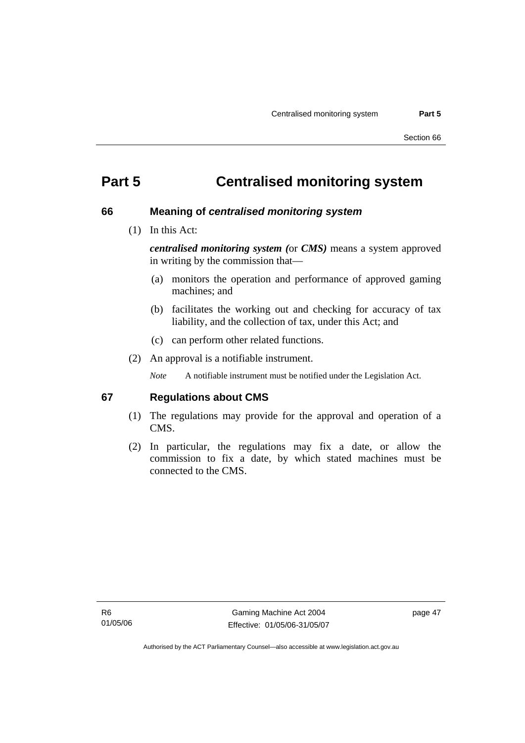# **Part 5 Centralised monitoring system**

#### **66 Meaning of** *centralised monitoring system*

(1) In this Act:

*centralised monitoring system (*or *CMS)* means a system approved in writing by the commission that—

- (a) monitors the operation and performance of approved gaming machines; and
- (b) facilitates the working out and checking for accuracy of tax liability, and the collection of tax, under this Act; and
- (c) can perform other related functions.
- (2) An approval is a notifiable instrument.

*Note* A notifiable instrument must be notified under the Legislation Act.

#### **67 Regulations about CMS**

- (1) The regulations may provide for the approval and operation of a CMS.
- (2) In particular, the regulations may fix a date, or allow the commission to fix a date, by which stated machines must be connected to the CMS.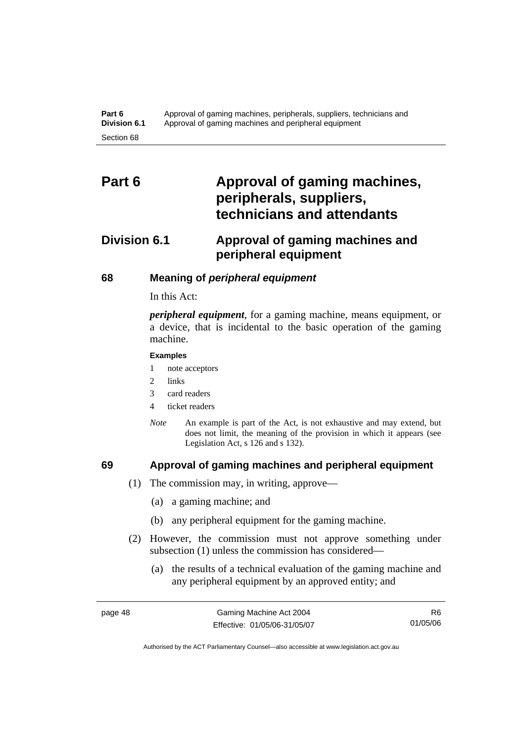# Part 6 **Approval of gaming machines, peripherals, suppliers, technicians and attendants**

# **Division 6.1 Approval of gaming machines and peripheral equipment**

#### **68 Meaning of** *peripheral equipment*

In this Act:

*peripheral equipment*, for a gaming machine, means equipment, or a device, that is incidental to the basic operation of the gaming machine.

#### **Examples**

1 note acceptors

- 2 links
- 3 card readers
- 4 ticket readers
- *Note* An example is part of the Act, is not exhaustive and may extend, but does not limit, the meaning of the provision in which it appears (see Legislation Act, s 126 and s 132).

- **69 Approval of gaming machines and peripheral equipment** 
	- (1) The commission may, in writing, approve—
		- (a) a gaming machine; and
		- (b) any peripheral equipment for the gaming machine.
	- (2) However, the commission must not approve something under subsection (1) unless the commission has considered—
		- (a) the results of a technical evaluation of the gaming machine and any peripheral equipment by an approved entity; and

R6 01/05/06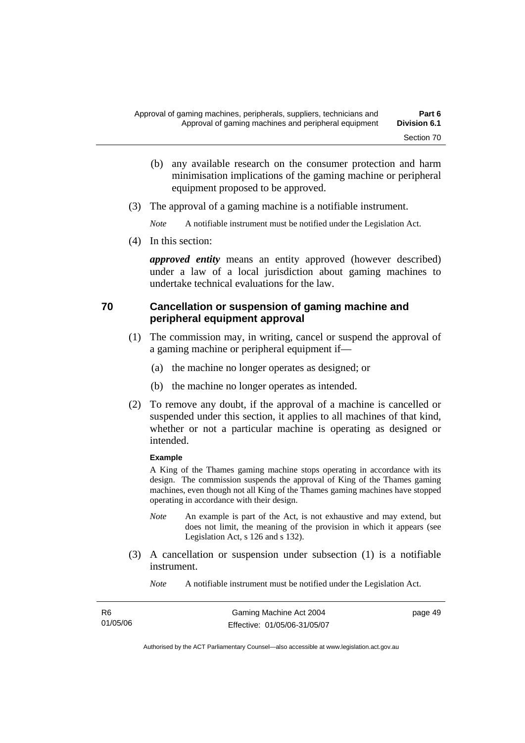- (b) any available research on the consumer protection and harm minimisation implications of the gaming machine or peripheral equipment proposed to be approved.
- (3) The approval of a gaming machine is a notifiable instrument.

*Note* A notifiable instrument must be notified under the Legislation Act.

(4) In this section:

*approved entity* means an entity approved (however described) under a law of a local jurisdiction about gaming machines to undertake technical evaluations for the law.

#### **70 Cancellation or suspension of gaming machine and peripheral equipment approval**

- (1) The commission may, in writing, cancel or suspend the approval of a gaming machine or peripheral equipment if—
	- (a) the machine no longer operates as designed; or
	- (b) the machine no longer operates as intended.
- (2) To remove any doubt, if the approval of a machine is cancelled or suspended under this section, it applies to all machines of that kind, whether or not a particular machine is operating as designed or intended.

#### **Example**

A King of the Thames gaming machine stops operating in accordance with its design. The commission suspends the approval of King of the Thames gaming machines, even though not all King of the Thames gaming machines have stopped operating in accordance with their design.

- *Note* An example is part of the Act, is not exhaustive and may extend, but does not limit, the meaning of the provision in which it appears (see Legislation Act, s 126 and s 132).
- (3) A cancellation or suspension under subsection (1) is a notifiable instrument.
	- *Note* A notifiable instrument must be notified under the Legislation Act.

| R6       | Gaming Machine Act 2004      | page 49 |
|----------|------------------------------|---------|
| 01/05/06 | Effective: 01/05/06-31/05/07 |         |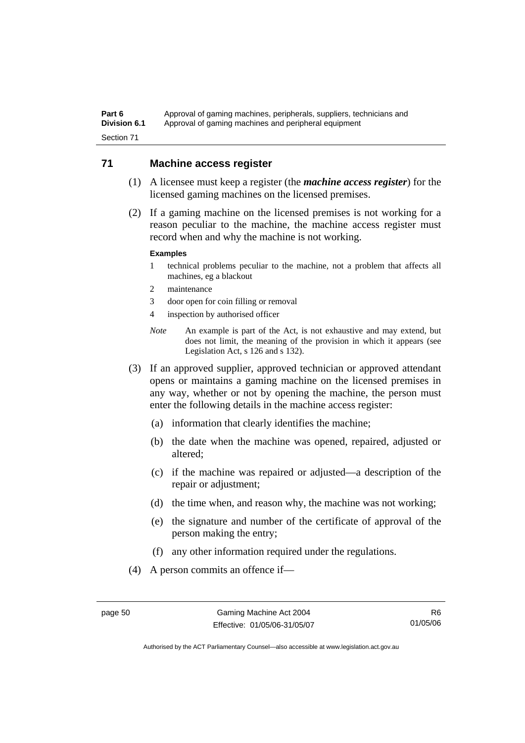Part 6 **Approval of gaming machines, peripherals, suppliers, technicians and Division 6.1** •• Approval of gaming machines and peripheral equipment Section 71

#### **71 Machine access register**

- (1) A licensee must keep a register (the *machine access register*) for the licensed gaming machines on the licensed premises.
- (2) If a gaming machine on the licensed premises is not working for a reason peculiar to the machine, the machine access register must record when and why the machine is not working.

#### **Examples**

- 1 technical problems peculiar to the machine, not a problem that affects all machines, eg a blackout
- 2 maintenance
- 3 door open for coin filling or removal
- 4 inspection by authorised officer
- *Note* An example is part of the Act, is not exhaustive and may extend, but does not limit, the meaning of the provision in which it appears (see Legislation Act, s 126 and s 132).
- (3) If an approved supplier, approved technician or approved attendant opens or maintains a gaming machine on the licensed premises in any way, whether or not by opening the machine, the person must enter the following details in the machine access register:
	- (a) information that clearly identifies the machine;
	- (b) the date when the machine was opened, repaired, adjusted or altered;
	- (c) if the machine was repaired or adjusted—a description of the repair or adjustment;
	- (d) the time when, and reason why, the machine was not working;
	- (e) the signature and number of the certificate of approval of the person making the entry;
	- (f) any other information required under the regulations.
- (4) A person commits an offence if—

R6 01/05/06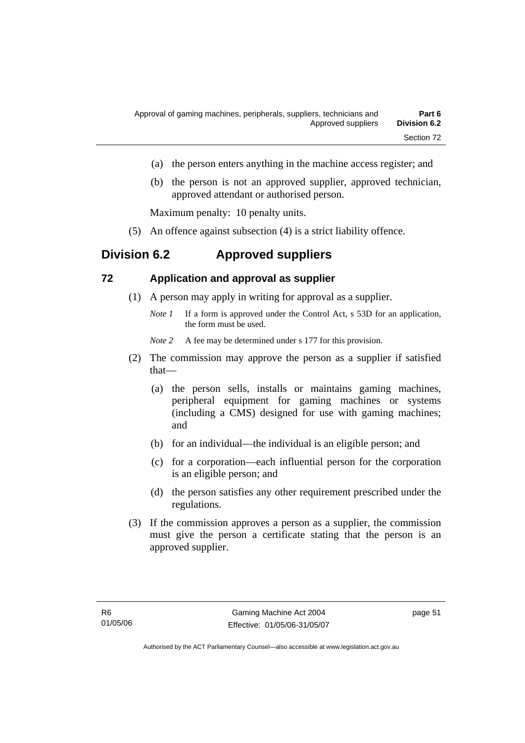- (a) the person enters anything in the machine access register; and
- (b) the person is not an approved supplier, approved technician, approved attendant or authorised person.

Maximum penalty: 10 penalty units.

(5) An offence against subsection (4) is a strict liability offence.

# **Division 6.2 Approved suppliers**

#### **72 Application and approval as supplier**

- (1) A person may apply in writing for approval as a supplier.
	- *Note 1* If a form is approved under the Control Act, s 53D for an application, the form must be used.

*Note* 2 A fee may be determined under s 177 for this provision.

- (2) The commission may approve the person as a supplier if satisfied that—
	- (a) the person sells, installs or maintains gaming machines, peripheral equipment for gaming machines or systems (including a CMS) designed for use with gaming machines; and
	- (b) for an individual—the individual is an eligible person; and
	- (c) for a corporation—each influential person for the corporation is an eligible person; and
	- (d) the person satisfies any other requirement prescribed under the regulations.
- (3) If the commission approves a person as a supplier, the commission must give the person a certificate stating that the person is an approved supplier.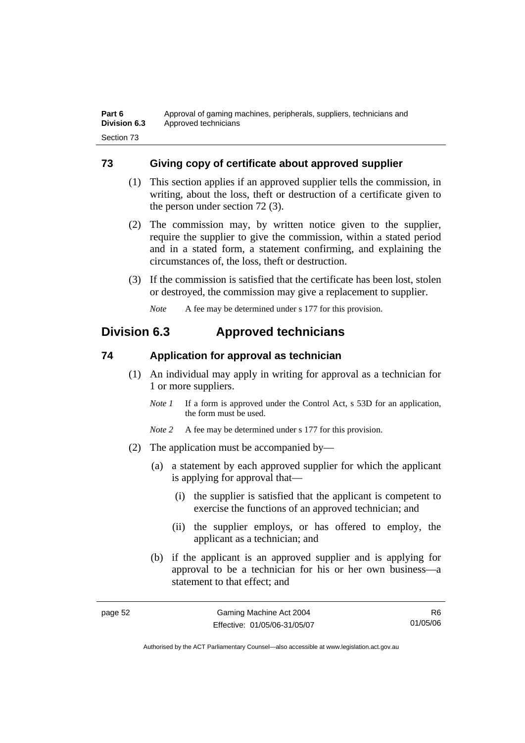## **73 Giving copy of certificate about approved supplier**

- (1) This section applies if an approved supplier tells the commission, in writing, about the loss, theft or destruction of a certificate given to the person under section 72 (3).
- (2) The commission may, by written notice given to the supplier, require the supplier to give the commission, within a stated period and in a stated form, a statement confirming, and explaining the circumstances of, the loss, theft or destruction.
- (3) If the commission is satisfied that the certificate has been lost, stolen or destroyed, the commission may give a replacement to supplier.

*Note* A fee may be determined under s 177 for this provision.

# **Division 6.3 Approved technicians**

#### **74 Application for approval as technician**

- (1) An individual may apply in writing for approval as a technician for 1 or more suppliers.
	- *Note 1* If a form is approved under the Control Act, s 53D for an application, the form must be used.
	- *Note* 2 A fee may be determined under s 177 for this provision.
- (2) The application must be accompanied by—
	- (a) a statement by each approved supplier for which the applicant is applying for approval that—
		- (i) the supplier is satisfied that the applicant is competent to exercise the functions of an approved technician; and
		- (ii) the supplier employs, or has offered to employ, the applicant as a technician; and
	- (b) if the applicant is an approved supplier and is applying for approval to be a technician for his or her own business—a statement to that effect; and

page 52 Gaming Machine Act 2004 Effective: 01/05/06-31/05/07

R6 01/05/06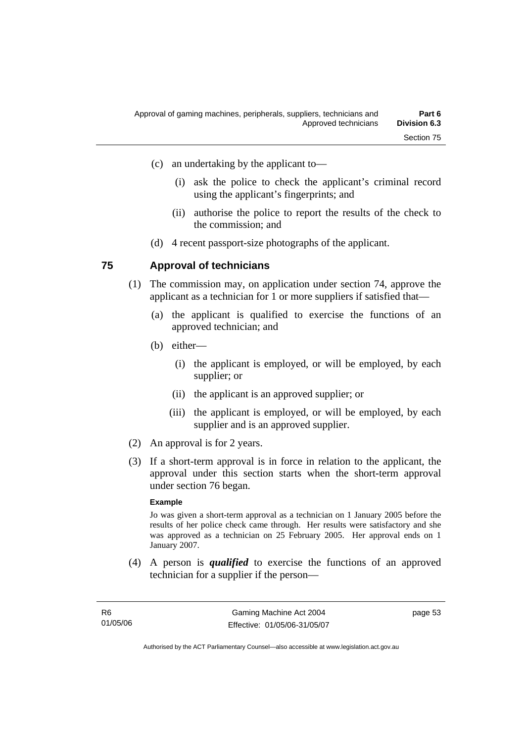- (i) ask the police to check the applicant's criminal record using the applicant's fingerprints; and
- (ii) authorise the police to report the results of the check to the commission; and
- (d) 4 recent passport-size photographs of the applicant.

#### **75 Approval of technicians**

- (1) The commission may, on application under section 74, approve the applicant as a technician for 1 or more suppliers if satisfied that—
	- (a) the applicant is qualified to exercise the functions of an approved technician; and
	- (b) either—
		- (i) the applicant is employed, or will be employed, by each supplier; or
		- (ii) the applicant is an approved supplier; or
		- (iii) the applicant is employed, or will be employed, by each supplier and is an approved supplier.
- (2) An approval is for 2 years.
- (3) If a short-term approval is in force in relation to the applicant, the approval under this section starts when the short-term approval under section 76 began.

#### **Example**

Jo was given a short-term approval as a technician on 1 January 2005 before the results of her police check came through. Her results were satisfactory and she was approved as a technician on 25 February 2005. Her approval ends on 1 January 2007.

 (4) A person is *qualified* to exercise the functions of an approved technician for a supplier if the person—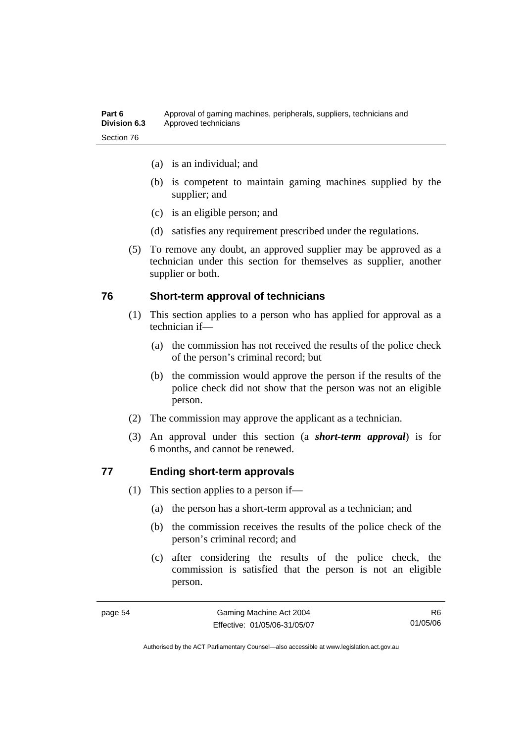- (a) is an individual; and
- (b) is competent to maintain gaming machines supplied by the supplier; and
- (c) is an eligible person; and
- (d) satisfies any requirement prescribed under the regulations.
- (5) To remove any doubt, an approved supplier may be approved as a technician under this section for themselves as supplier, another supplier or both.

#### **76 Short-term approval of technicians**

- (1) This section applies to a person who has applied for approval as a technician if—
	- (a) the commission has not received the results of the police check of the person's criminal record; but
	- (b) the commission would approve the person if the results of the police check did not show that the person was not an eligible person.
- (2) The commission may approve the applicant as a technician.
- (3) An approval under this section (a *short-term approval*) is for 6 months, and cannot be renewed.

## **77 Ending short-term approvals**

- (1) This section applies to a person if—
	- (a) the person has a short-term approval as a technician; and
	- (b) the commission receives the results of the police check of the person's criminal record; and
	- (c) after considering the results of the police check, the commission is satisfied that the person is not an eligible person.

R6 01/05/06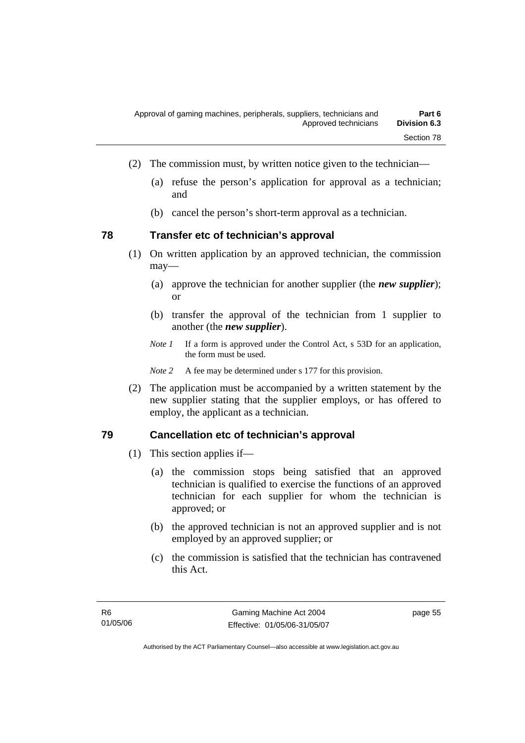- (2) The commission must, by written notice given to the technician—
	- (a) refuse the person's application for approval as a technician; and
	- (b) cancel the person's short-term approval as a technician.

## **78 Transfer etc of technician's approval**

- (1) On written application by an approved technician, the commission may—
	- (a) approve the technician for another supplier (the *new supplier*); or
	- (b) transfer the approval of the technician from 1 supplier to another (the *new supplier*).
	- *Note 1* If a form is approved under the Control Act, s 53D for an application, the form must be used.

*Note* 2 A fee may be determined under s 177 for this provision.

 (2) The application must be accompanied by a written statement by the new supplier stating that the supplier employs, or has offered to employ, the applicant as a technician.

## **79 Cancellation etc of technician's approval**

- (1) This section applies if—
	- (a) the commission stops being satisfied that an approved technician is qualified to exercise the functions of an approved technician for each supplier for whom the technician is approved; or
	- (b) the approved technician is not an approved supplier and is not employed by an approved supplier; or
	- (c) the commission is satisfied that the technician has contravened this Act.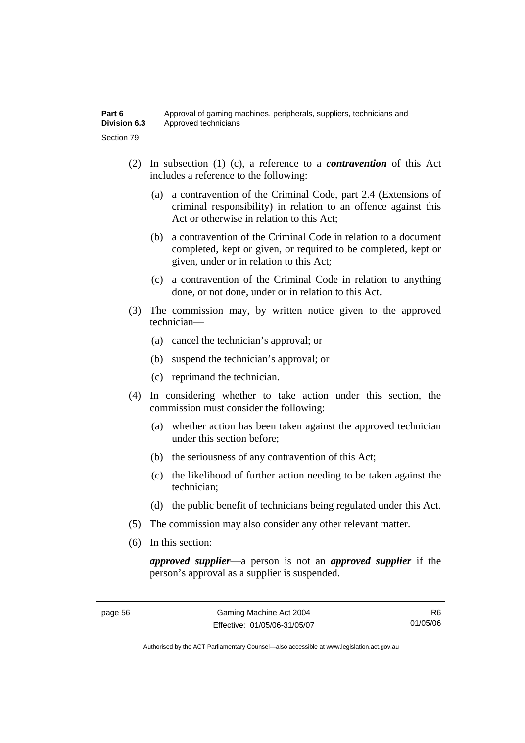- (2) In subsection (1) (c), a reference to a *contravention* of this Act includes a reference to the following:
	- (a) a contravention of the Criminal Code, part 2.4 (Extensions of criminal responsibility) in relation to an offence against this Act or otherwise in relation to this Act;
	- (b) a contravention of the Criminal Code in relation to a document completed, kept or given, or required to be completed, kept or given, under or in relation to this Act;
	- (c) a contravention of the Criminal Code in relation to anything done, or not done, under or in relation to this Act.
- (3) The commission may, by written notice given to the approved technician—
	- (a) cancel the technician's approval; or
	- (b) suspend the technician's approval; or
	- (c) reprimand the technician.
- (4) In considering whether to take action under this section, the commission must consider the following:
	- (a) whether action has been taken against the approved technician under this section before;
	- (b) the seriousness of any contravention of this Act;
	- (c) the likelihood of further action needing to be taken against the technician;
	- (d) the public benefit of technicians being regulated under this Act.
- (5) The commission may also consider any other relevant matter.
- (6) In this section:

*approved supplier*—a person is not an *approved supplier* if the person's approval as a supplier is suspended.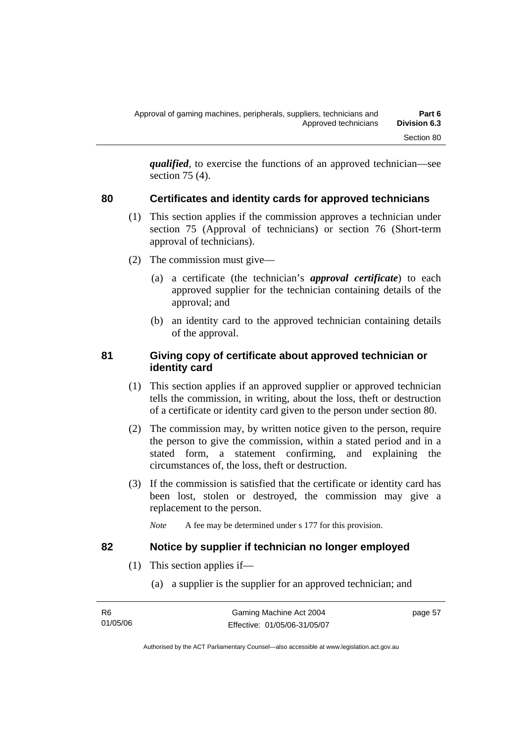*qualified*, to exercise the functions of an approved technician—see section 75 (4).

## **80 Certificates and identity cards for approved technicians**

- (1) This section applies if the commission approves a technician under section 75 (Approval of technicians) or section 76 (Short-term approval of technicians).
- (2) The commission must give—
	- (a) a certificate (the technician's *approval certificate*) to each approved supplier for the technician containing details of the approval; and
	- (b) an identity card to the approved technician containing details of the approval.

#### **81 Giving copy of certificate about approved technician or identity card**

- (1) This section applies if an approved supplier or approved technician tells the commission, in writing, about the loss, theft or destruction of a certificate or identity card given to the person under section 80.
- (2) The commission may, by written notice given to the person, require the person to give the commission, within a stated period and in a stated form, a statement confirming, and explaining the circumstances of, the loss, theft or destruction.
- (3) If the commission is satisfied that the certificate or identity card has been lost, stolen or destroyed, the commission may give a replacement to the person.
	- *Note* A fee may be determined under s 177 for this provision.

#### **82 Notice by supplier if technician no longer employed**

- (1) This section applies if—
	- (a) a supplier is the supplier for an approved technician; and

| - R6     | Gaming Machine Act 2004      | page 57 |
|----------|------------------------------|---------|
| 01/05/06 | Effective: 01/05/06-31/05/07 |         |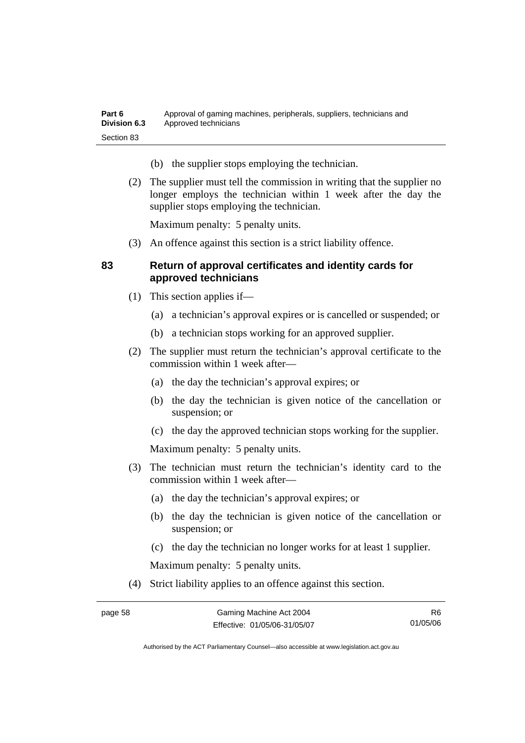- (b) the supplier stops employing the technician.
- (2) The supplier must tell the commission in writing that the supplier no longer employs the technician within 1 week after the day the supplier stops employing the technician.

Maximum penalty: 5 penalty units.

(3) An offence against this section is a strict liability offence.

## **83 Return of approval certificates and identity cards for approved technicians**

- (1) This section applies if—
	- (a) a technician's approval expires or is cancelled or suspended; or
	- (b) a technician stops working for an approved supplier.
- (2) The supplier must return the technician's approval certificate to the commission within 1 week after—
	- (a) the day the technician's approval expires; or
	- (b) the day the technician is given notice of the cancellation or suspension; or
	- (c) the day the approved technician stops working for the supplier.

Maximum penalty: 5 penalty units.

- (3) The technician must return the technician's identity card to the commission within 1 week after—
	- (a) the day the technician's approval expires; or
	- (b) the day the technician is given notice of the cancellation or suspension; or
	- (c) the day the technician no longer works for at least 1 supplier.

Maximum penalty: 5 penalty units.

(4) Strict liability applies to an offence against this section.

R6 01/05/06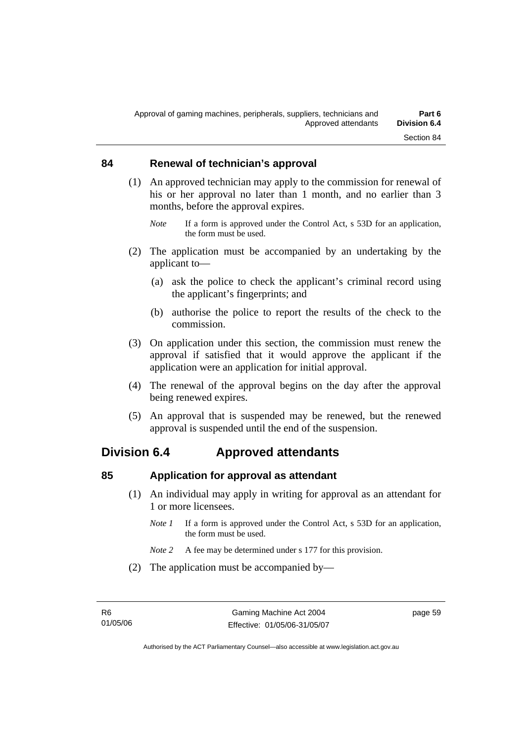#### **84 Renewal of technician's approval**

- (1) An approved technician may apply to the commission for renewal of his or her approval no later than 1 month, and no earlier than 3 months, before the approval expires.
	- *Note* If a form is approved under the Control Act, s 53D for an application, the form must be used.
- (2) The application must be accompanied by an undertaking by the applicant to—
	- (a) ask the police to check the applicant's criminal record using the applicant's fingerprints; and
	- (b) authorise the police to report the results of the check to the commission.
- (3) On application under this section, the commission must renew the approval if satisfied that it would approve the applicant if the application were an application for initial approval.
- (4) The renewal of the approval begins on the day after the approval being renewed expires.
- (5) An approval that is suspended may be renewed, but the renewed approval is suspended until the end of the suspension.

# **Division 6.4 Approved attendants**

#### **85 Application for approval as attendant**

- (1) An individual may apply in writing for approval as an attendant for 1 or more licensees.
	- *Note 1* If a form is approved under the Control Act, s 53D for an application, the form must be used.
	- *Note 2* A fee may be determined under s 177 for this provision.
- (2) The application must be accompanied by—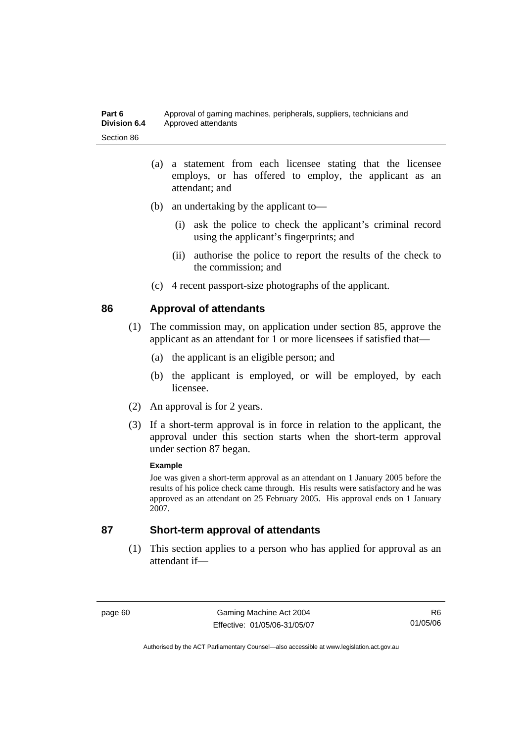- (a) a statement from each licensee stating that the licensee employs, or has offered to employ, the applicant as an attendant; and
- (b) an undertaking by the applicant to—
	- (i) ask the police to check the applicant's criminal record using the applicant's fingerprints; and
	- (ii) authorise the police to report the results of the check to the commission; and
- (c) 4 recent passport-size photographs of the applicant.

## **86 Approval of attendants**

- (1) The commission may, on application under section 85, approve the applicant as an attendant for 1 or more licensees if satisfied that—
	- (a) the applicant is an eligible person; and
	- (b) the applicant is employed, or will be employed, by each licensee.
- (2) An approval is for 2 years.
- (3) If a short-term approval is in force in relation to the applicant, the approval under this section starts when the short-term approval under section 87 began.

#### **Example**

Joe was given a short-term approval as an attendant on 1 January 2005 before the results of his police check came through. His results were satisfactory and he was approved as an attendant on 25 February 2005. His approval ends on 1 January 2007.

#### **87 Short-term approval of attendants**

 (1) This section applies to a person who has applied for approval as an attendant if—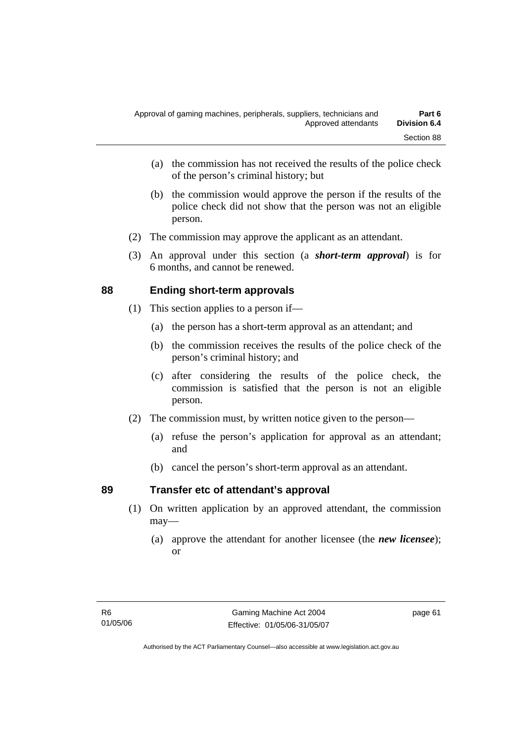- (a) the commission has not received the results of the police check of the person's criminal history; but
- (b) the commission would approve the person if the results of the police check did not show that the person was not an eligible person.
- (2) The commission may approve the applicant as an attendant.
- (3) An approval under this section (a *short-term approval*) is for 6 months, and cannot be renewed.

## **88 Ending short-term approvals**

- (1) This section applies to a person if—
	- (a) the person has a short-term approval as an attendant; and
	- (b) the commission receives the results of the police check of the person's criminal history; and
	- (c) after considering the results of the police check, the commission is satisfied that the person is not an eligible person.
- (2) The commission must, by written notice given to the person—
	- (a) refuse the person's application for approval as an attendant; and
	- (b) cancel the person's short-term approval as an attendant.

## **89 Transfer etc of attendant's approval**

- (1) On written application by an approved attendant, the commission may—
	- (a) approve the attendant for another licensee (the *new licensee*); or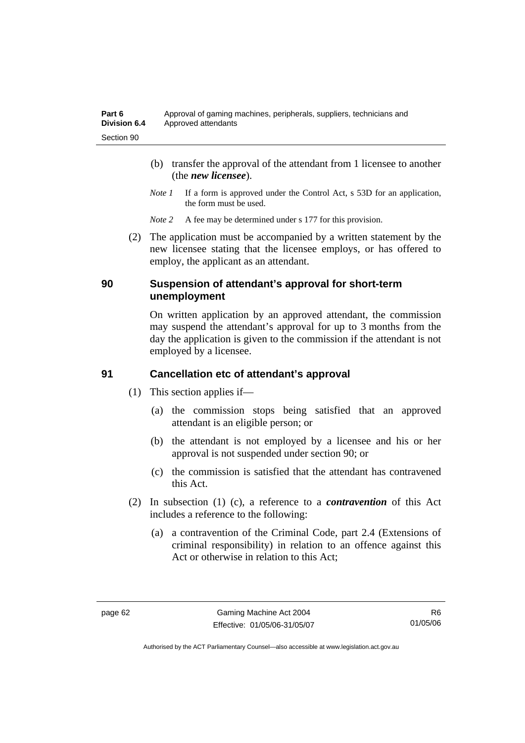- (b) transfer the approval of the attendant from 1 licensee to another (the *new licensee*).
- *Note 1* If a form is approved under the Control Act, s 53D for an application, the form must be used.
- *Note 2* A fee may be determined under s 177 for this provision.
- (2) The application must be accompanied by a written statement by the new licensee stating that the licensee employs, or has offered to employ, the applicant as an attendant.

#### **90 Suspension of attendant's approval for short-term unemployment**

On written application by an approved attendant, the commission may suspend the attendant's approval for up to 3 months from the day the application is given to the commission if the attendant is not employed by a licensee.

## **91 Cancellation etc of attendant's approval**

- (1) This section applies if—
	- (a) the commission stops being satisfied that an approved attendant is an eligible person; or
	- (b) the attendant is not employed by a licensee and his or her approval is not suspended under section 90; or
	- (c) the commission is satisfied that the attendant has contravened this Act.
- (2) In subsection (1) (c), a reference to a *contravention* of this Act includes a reference to the following:
	- (a) a contravention of the Criminal Code, part 2.4 (Extensions of criminal responsibility) in relation to an offence against this Act or otherwise in relation to this Act;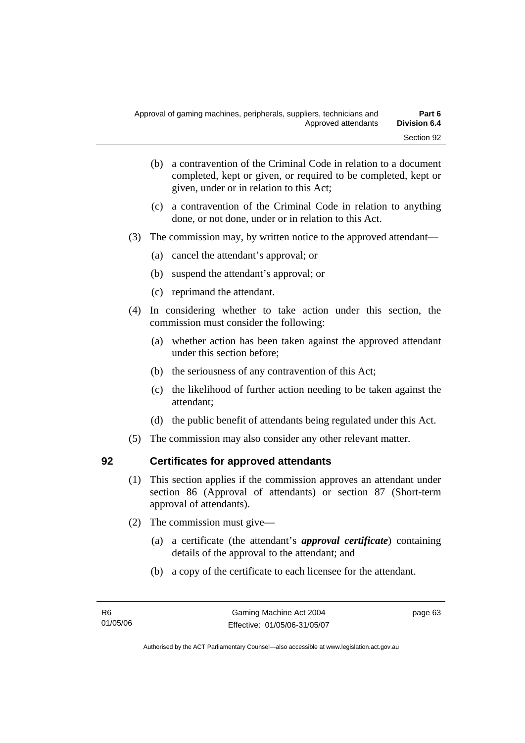- (b) a contravention of the Criminal Code in relation to a document completed, kept or given, or required to be completed, kept or given, under or in relation to this Act;
- (c) a contravention of the Criminal Code in relation to anything done, or not done, under or in relation to this Act.
- (3) The commission may, by written notice to the approved attendant—
	- (a) cancel the attendant's approval; or
	- (b) suspend the attendant's approval; or
	- (c) reprimand the attendant.
- (4) In considering whether to take action under this section, the commission must consider the following:
	- (a) whether action has been taken against the approved attendant under this section before;
	- (b) the seriousness of any contravention of this Act;
	- (c) the likelihood of further action needing to be taken against the attendant;
	- (d) the public benefit of attendants being regulated under this Act.
- (5) The commission may also consider any other relevant matter.

### **92 Certificates for approved attendants**

- (1) This section applies if the commission approves an attendant under section 86 (Approval of attendants) or section 87 (Short-term approval of attendants).
- (2) The commission must give—
	- (a) a certificate (the attendant's *approval certificate*) containing details of the approval to the attendant; and
	- (b) a copy of the certificate to each licensee for the attendant.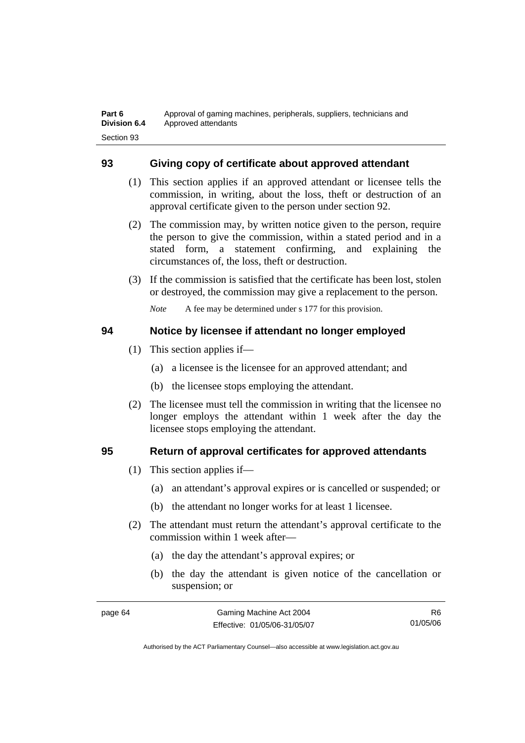### **93 Giving copy of certificate about approved attendant**

- (1) This section applies if an approved attendant or licensee tells the commission, in writing, about the loss, theft or destruction of an approval certificate given to the person under section 92.
- (2) The commission may, by written notice given to the person, require the person to give the commission, within a stated period and in a stated form, a statement confirming, and explaining the circumstances of, the loss, theft or destruction.
- (3) If the commission is satisfied that the certificate has been lost, stolen or destroyed, the commission may give a replacement to the person.

*Note* A fee may be determined under s 177 for this provision.

#### **94 Notice by licensee if attendant no longer employed**

- (1) This section applies if—
	- (a) a licensee is the licensee for an approved attendant; and
	- (b) the licensee stops employing the attendant.
- (2) The licensee must tell the commission in writing that the licensee no longer employs the attendant within 1 week after the day the licensee stops employing the attendant.

### **95 Return of approval certificates for approved attendants**

- (1) This section applies if—
	- (a) an attendant's approval expires or is cancelled or suspended; or
	- (b) the attendant no longer works for at least 1 licensee.
- (2) The attendant must return the attendant's approval certificate to the commission within 1 week after—
	- (a) the day the attendant's approval expires; or
	- (b) the day the attendant is given notice of the cancellation or suspension; or

| page 64 | Gaming Machine Act 2004      | R6.      |
|---------|------------------------------|----------|
|         | Effective: 01/05/06-31/05/07 | 01/05/06 |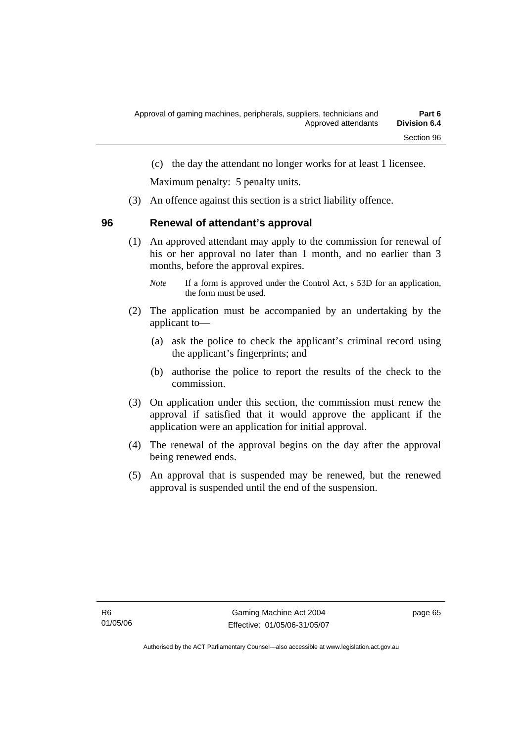(c) the day the attendant no longer works for at least 1 licensee.

Maximum penalty: 5 penalty units.

(3) An offence against this section is a strict liability offence.

#### **96 Renewal of attendant's approval**

 (1) An approved attendant may apply to the commission for renewal of his or her approval no later than 1 month, and no earlier than 3 months, before the approval expires.

- (2) The application must be accompanied by an undertaking by the applicant to—
	- (a) ask the police to check the applicant's criminal record using the applicant's fingerprints; and
	- (b) authorise the police to report the results of the check to the commission.
- (3) On application under this section, the commission must renew the approval if satisfied that it would approve the applicant if the application were an application for initial approval.
- (4) The renewal of the approval begins on the day after the approval being renewed ends.
- (5) An approval that is suspended may be renewed, but the renewed approval is suspended until the end of the suspension.

*Note* If a form is approved under the Control Act, s 53D for an application, the form must be used.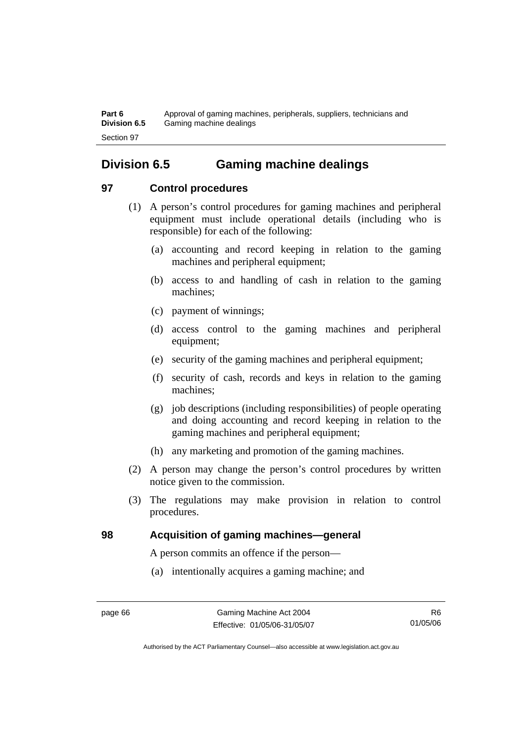**Part 6** Approval of gaming machines, peripherals, suppliers, technicians and **Division 6.5** Gaming machine dealings Section 97

# **Division 6.5 Gaming machine dealings**

### **97 Control procedures**

- (1) A person's control procedures for gaming machines and peripheral equipment must include operational details (including who is responsible) for each of the following:
	- (a) accounting and record keeping in relation to the gaming machines and peripheral equipment;
	- (b) access to and handling of cash in relation to the gaming machines;
	- (c) payment of winnings;
	- (d) access control to the gaming machines and peripheral equipment;
	- (e) security of the gaming machines and peripheral equipment;
	- (f) security of cash, records and keys in relation to the gaming machines;
	- (g) job descriptions (including responsibilities) of people operating and doing accounting and record keeping in relation to the gaming machines and peripheral equipment;
	- (h) any marketing and promotion of the gaming machines.
- (2) A person may change the person's control procedures by written notice given to the commission.
- (3) The regulations may make provision in relation to control procedures.

### **98 Acquisition of gaming machines—general**

A person commits an offence if the person—

(a) intentionally acquires a gaming machine; and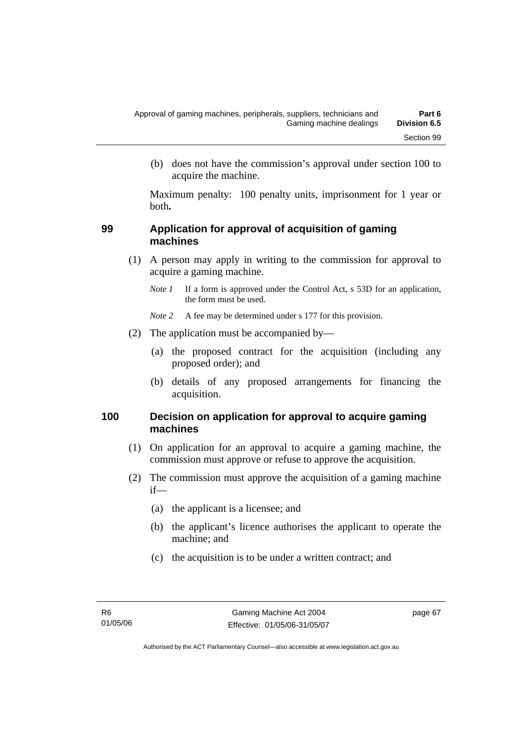(b) does not have the commission's approval under section 100 to acquire the machine.

Maximum penalty: 100 penalty units, imprisonment for 1 year or both**.**

#### **99 Application for approval of acquisition of gaming machines**

- (1) A person may apply in writing to the commission for approval to acquire a gaming machine.
	- *Note 1* If a form is approved under the Control Act, s 53D for an application, the form must be used.

*Note 2* A fee may be determined under s 177 for this provision.

- (2) The application must be accompanied by—
	- (a) the proposed contract for the acquisition (including any proposed order); and
	- (b) details of any proposed arrangements for financing the acquisition.

#### **100 Decision on application for approval to acquire gaming machines**

- (1) On application for an approval to acquire a gaming machine, the commission must approve or refuse to approve the acquisition.
- (2) The commission must approve the acquisition of a gaming machine if—
	- (a) the applicant is a licensee; and
	- (b) the applicant's licence authorises the applicant to operate the machine; and
	- (c) the acquisition is to be under a written contract; and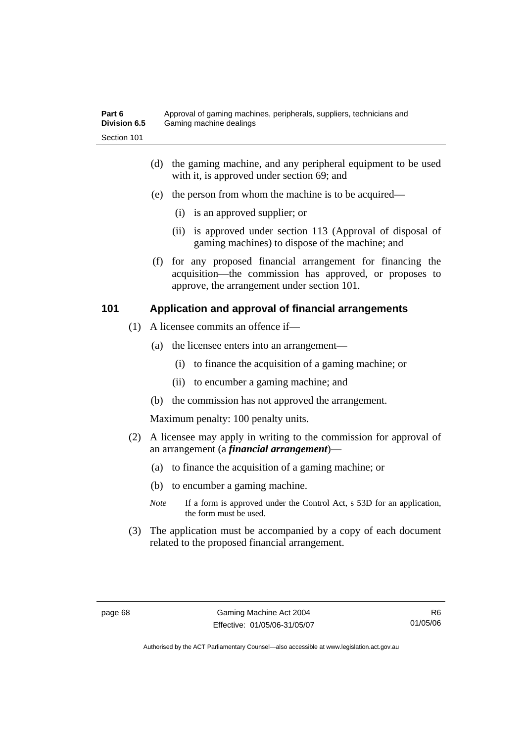- (d) the gaming machine, and any peripheral equipment to be used with it, is approved under section 69; and
- (e) the person from whom the machine is to be acquired—
	- (i) is an approved supplier; or
	- (ii) is approved under section 113 (Approval of disposal of gaming machines) to dispose of the machine; and
- (f) for any proposed financial arrangement for financing the acquisition—the commission has approved, or proposes to approve, the arrangement under section 101.

### **101 Application and approval of financial arrangements**

- (1) A licensee commits an offence if—
	- (a) the licensee enters into an arrangement—
		- (i) to finance the acquisition of a gaming machine; or
		- (ii) to encumber a gaming machine; and
	- (b) the commission has not approved the arrangement.

Maximum penalty: 100 penalty units.

- (2) A licensee may apply in writing to the commission for approval of an arrangement (a *financial arrangement*)—
	- (a) to finance the acquisition of a gaming machine; or
	- (b) to encumber a gaming machine.
	- *Note* If a form is approved under the Control Act, s 53D for an application, the form must be used.
- (3) The application must be accompanied by a copy of each document related to the proposed financial arrangement.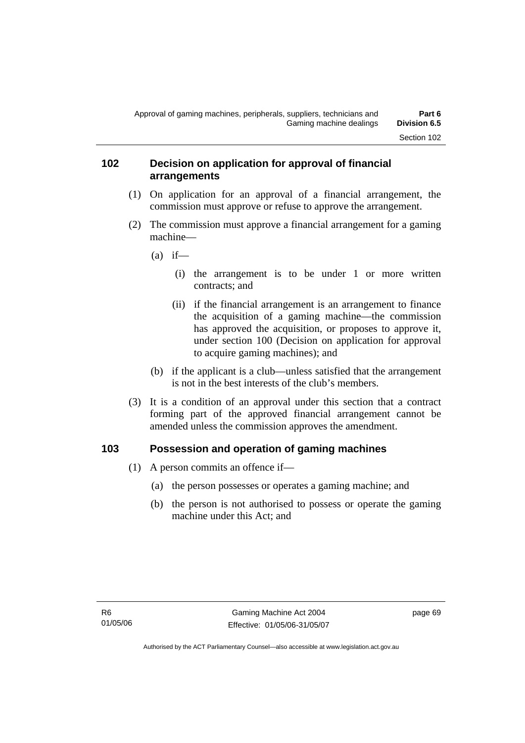#### **102 Decision on application for approval of financial arrangements**

- (1) On application for an approval of a financial arrangement, the commission must approve or refuse to approve the arrangement.
- (2) The commission must approve a financial arrangement for a gaming machine—
	- $(a)$  if—
		- (i) the arrangement is to be under 1 or more written contracts; and
		- (ii) if the financial arrangement is an arrangement to finance the acquisition of a gaming machine—the commission has approved the acquisition, or proposes to approve it, under section 100 (Decision on application for approval to acquire gaming machines); and
	- (b) if the applicant is a club—unless satisfied that the arrangement is not in the best interests of the club's members.
- (3) It is a condition of an approval under this section that a contract forming part of the approved financial arrangement cannot be amended unless the commission approves the amendment.

### **103 Possession and operation of gaming machines**

- (1) A person commits an offence if—
	- (a) the person possesses or operates a gaming machine; and
	- (b) the person is not authorised to possess or operate the gaming machine under this Act; and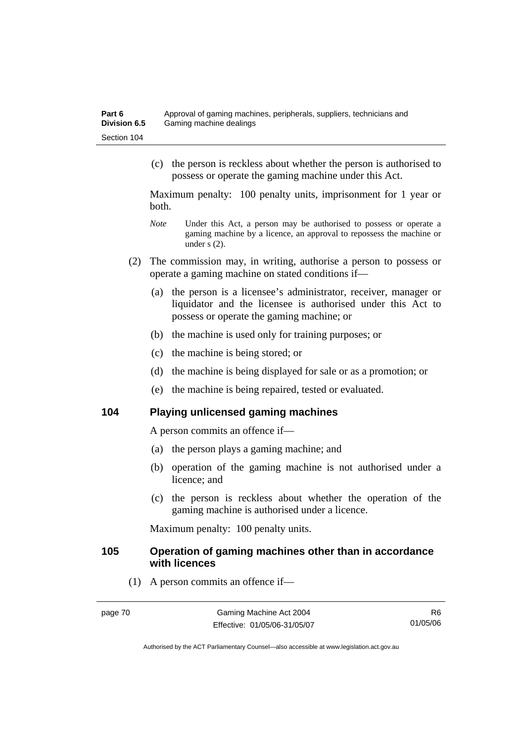(c) the person is reckless about whether the person is authorised to possess or operate the gaming machine under this Act.

Maximum penalty: 100 penalty units, imprisonment for 1 year or both.

- *Note* Under this Act, a person may be authorised to possess or operate a gaming machine by a licence, an approval to repossess the machine or under s (2).
- (2) The commission may, in writing, authorise a person to possess or operate a gaming machine on stated conditions if—
	- (a) the person is a licensee's administrator, receiver, manager or liquidator and the licensee is authorised under this Act to possess or operate the gaming machine; or
	- (b) the machine is used only for training purposes; or
	- (c) the machine is being stored; or
	- (d) the machine is being displayed for sale or as a promotion; or
	- (e) the machine is being repaired, tested or evaluated.

#### **104 Playing unlicensed gaming machines**

A person commits an offence if—

- (a) the person plays a gaming machine; and
- (b) operation of the gaming machine is not authorised under a licence; and
- (c) the person is reckless about whether the operation of the gaming machine is authorised under a licence.

Maximum penalty: 100 penalty units.

#### **105 Operation of gaming machines other than in accordance with licences**

(1) A person commits an offence if—

R6 01/05/06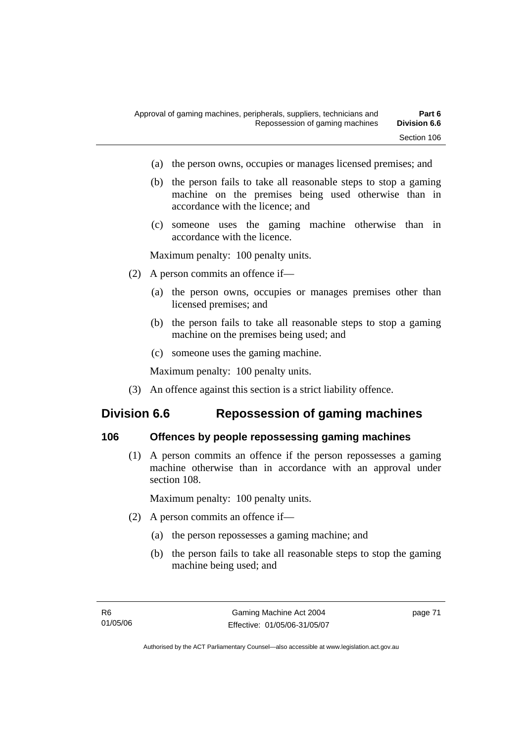- (a) the person owns, occupies or manages licensed premises; and
- (b) the person fails to take all reasonable steps to stop a gaming machine on the premises being used otherwise than in accordance with the licence; and
- (c) someone uses the gaming machine otherwise than in accordance with the licence.

Maximum penalty: 100 penalty units.

- (2) A person commits an offence if—
	- (a) the person owns, occupies or manages premises other than licensed premises; and
	- (b) the person fails to take all reasonable steps to stop a gaming machine on the premises being used; and
	- (c) someone uses the gaming machine.

Maximum penalty: 100 penalty units.

(3) An offence against this section is a strict liability offence.

# **Division 6.6 Repossession of gaming machines**

#### **106 Offences by people repossessing gaming machines**

 (1) A person commits an offence if the person repossesses a gaming machine otherwise than in accordance with an approval under section 108.

Maximum penalty: 100 penalty units.

- (2) A person commits an offence if—
	- (a) the person repossesses a gaming machine; and
	- (b) the person fails to take all reasonable steps to stop the gaming machine being used; and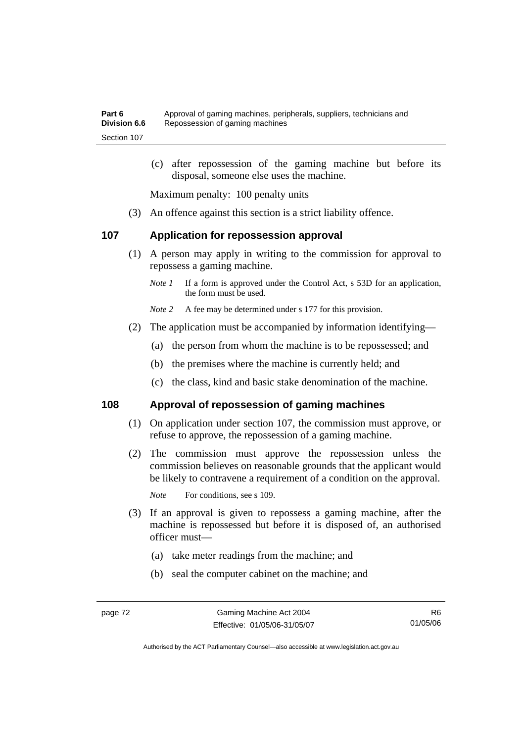(c) after repossession of the gaming machine but before its disposal, someone else uses the machine.

Maximum penalty: 100 penalty units

(3) An offence against this section is a strict liability offence.

#### **107 Application for repossession approval**

- (1) A person may apply in writing to the commission for approval to repossess a gaming machine.
	- *Note 1* If a form is approved under the Control Act, s 53D for an application, the form must be used.

*Note 2* A fee may be determined under s 177 for this provision.

- (2) The application must be accompanied by information identifying—
	- (a) the person from whom the machine is to be repossessed; and
	- (b) the premises where the machine is currently held; and
	- (c) the class, kind and basic stake denomination of the machine.

#### **108 Approval of repossession of gaming machines**

- (1) On application under section 107, the commission must approve, or refuse to approve, the repossession of a gaming machine.
- (2) The commission must approve the repossession unless the commission believes on reasonable grounds that the applicant would be likely to contravene a requirement of a condition on the approval.

*Note* For conditions, see s 109.

- (3) If an approval is given to repossess a gaming machine, after the machine is repossessed but before it is disposed of, an authorised officer must—
	- (a) take meter readings from the machine; and
	- (b) seal the computer cabinet on the machine; and

R6 01/05/06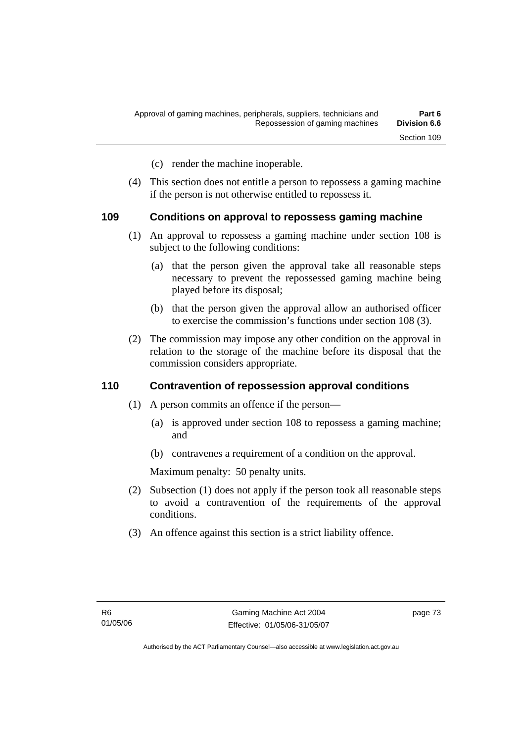- (c) render the machine inoperable.
- (4) This section does not entitle a person to repossess a gaming machine if the person is not otherwise entitled to repossess it.

#### **109 Conditions on approval to repossess gaming machine**

- (1) An approval to repossess a gaming machine under section 108 is subject to the following conditions:
	- (a) that the person given the approval take all reasonable steps necessary to prevent the repossessed gaming machine being played before its disposal;
	- (b) that the person given the approval allow an authorised officer to exercise the commission's functions under section 108 (3).
- (2) The commission may impose any other condition on the approval in relation to the storage of the machine before its disposal that the commission considers appropriate.

#### **110 Contravention of repossession approval conditions**

- (1) A person commits an offence if the person—
	- (a) is approved under section 108 to repossess a gaming machine; and
	- (b) contravenes a requirement of a condition on the approval.

Maximum penalty: 50 penalty units.

- (2) Subsection (1) does not apply if the person took all reasonable steps to avoid a contravention of the requirements of the approval conditions.
- (3) An offence against this section is a strict liability offence.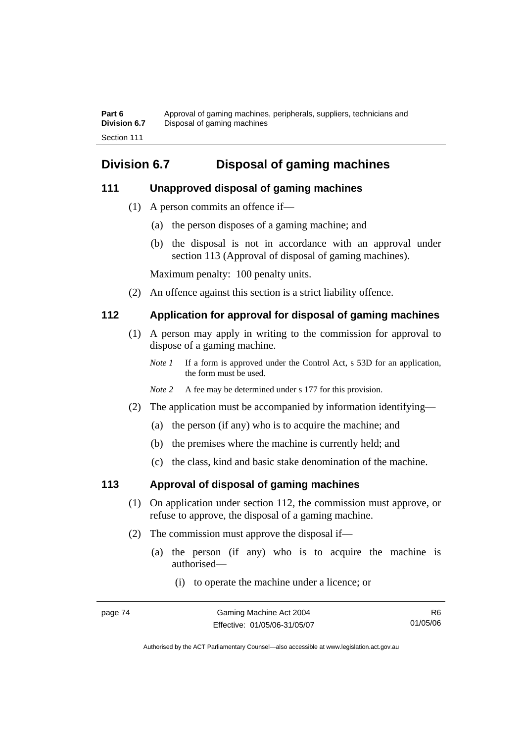Part 6 **Approval of gaming machines, peripherals, suppliers, technicians and Division 6.7** Disposal of gaming machines Section 111

# **Division 6.7 Disposal of gaming machines**

#### **111 Unapproved disposal of gaming machines**

- (1) A person commits an offence if—
	- (a) the person disposes of a gaming machine; and
	- (b) the disposal is not in accordance with an approval under section 113 (Approval of disposal of gaming machines).

Maximum penalty: 100 penalty units.

(2) An offence against this section is a strict liability offence.

### **112 Application for approval for disposal of gaming machines**

- (1) A person may apply in writing to the commission for approval to dispose of a gaming machine.
	- *Note 1* If a form is approved under the Control Act, s 53D for an application, the form must be used.
	- *Note* 2 A fee may be determined under s 177 for this provision.
- (2) The application must be accompanied by information identifying—
	- (a) the person (if any) who is to acquire the machine; and
	- (b) the premises where the machine is currently held; and
	- (c) the class, kind and basic stake denomination of the machine.

### **113 Approval of disposal of gaming machines**

- (1) On application under section 112, the commission must approve, or refuse to approve, the disposal of a gaming machine.
- (2) The commission must approve the disposal if—
	- (a) the person (if any) who is to acquire the machine is authorised—
		- (i) to operate the machine under a licence; or

R6 01/05/06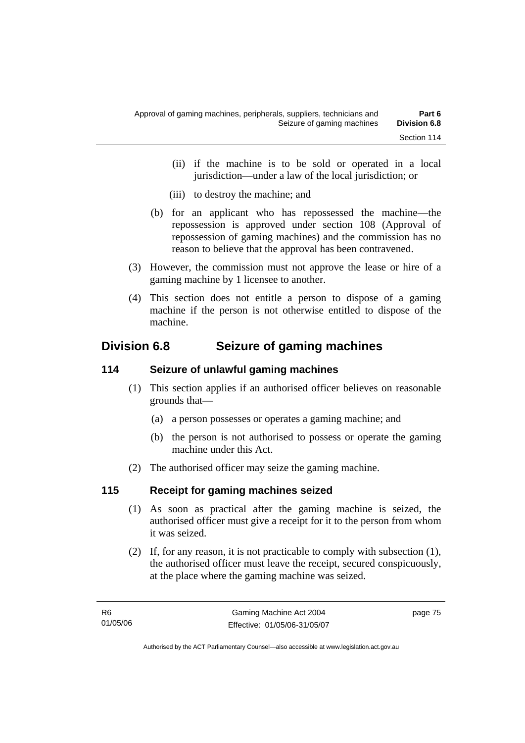- (ii) if the machine is to be sold or operated in a local jurisdiction—under a law of the local jurisdiction; or
- (iii) to destroy the machine; and
- (b) for an applicant who has repossessed the machine—the repossession is approved under section 108 (Approval of repossession of gaming machines) and the commission has no reason to believe that the approval has been contravened.
- (3) However, the commission must not approve the lease or hire of a gaming machine by 1 licensee to another.
- (4) This section does not entitle a person to dispose of a gaming machine if the person is not otherwise entitled to dispose of the machine.

# **Division 6.8 Seizure of gaming machines**

### **114 Seizure of unlawful gaming machines**

- (1) This section applies if an authorised officer believes on reasonable grounds that—
	- (a) a person possesses or operates a gaming machine; and
	- (b) the person is not authorised to possess or operate the gaming machine under this Act.
- (2) The authorised officer may seize the gaming machine.

### **115 Receipt for gaming machines seized**

- (1) As soon as practical after the gaming machine is seized, the authorised officer must give a receipt for it to the person from whom it was seized.
- (2) If, for any reason, it is not practicable to comply with subsection (1), the authorised officer must leave the receipt, secured conspicuously, at the place where the gaming machine was seized.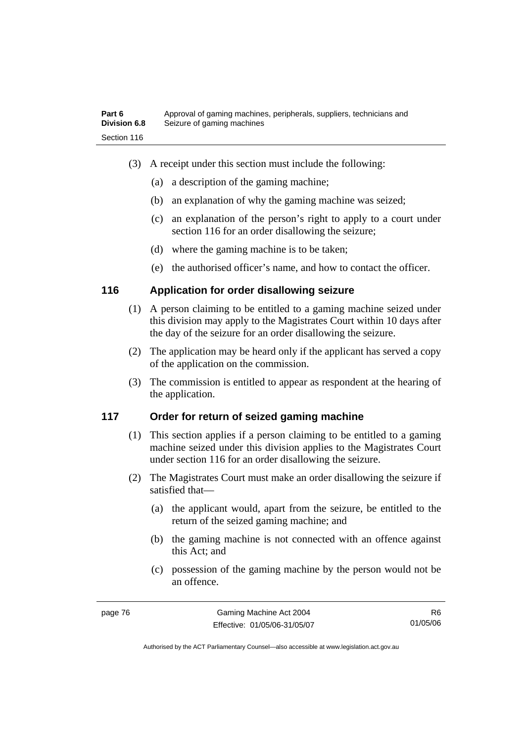- (3) A receipt under this section must include the following:
	- (a) a description of the gaming machine;
	- (b) an explanation of why the gaming machine was seized;
	- (c) an explanation of the person's right to apply to a court under section 116 for an order disallowing the seizure;
	- (d) where the gaming machine is to be taken;
	- (e) the authorised officer's name, and how to contact the officer.

#### **116 Application for order disallowing seizure**

- (1) A person claiming to be entitled to a gaming machine seized under this division may apply to the Magistrates Court within 10 days after the day of the seizure for an order disallowing the seizure.
- (2) The application may be heard only if the applicant has served a copy of the application on the commission.
- (3) The commission is entitled to appear as respondent at the hearing of the application.

#### **117 Order for return of seized gaming machine**

- (1) This section applies if a person claiming to be entitled to a gaming machine seized under this division applies to the Magistrates Court under section 116 for an order disallowing the seizure.
- (2) The Magistrates Court must make an order disallowing the seizure if satisfied that—
	- (a) the applicant would, apart from the seizure, be entitled to the return of the seized gaming machine; and
	- (b) the gaming machine is not connected with an offence against this Act; and
	- (c) possession of the gaming machine by the person would not be an offence.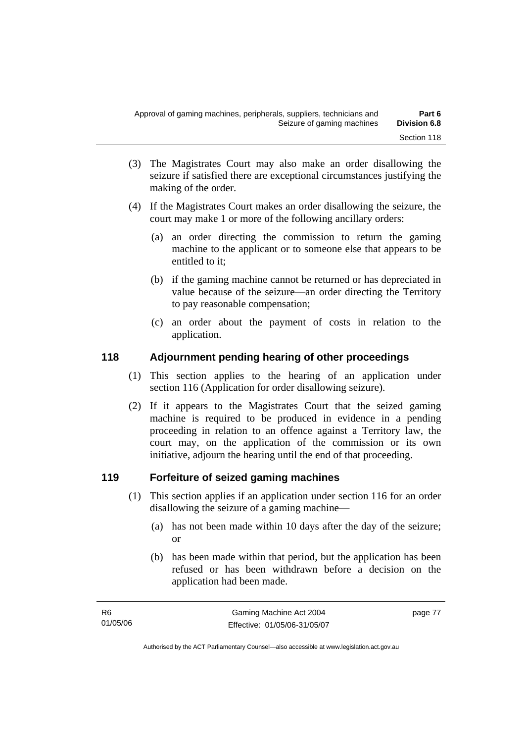- (3) The Magistrates Court may also make an order disallowing the seizure if satisfied there are exceptional circumstances justifying the making of the order.
- (4) If the Magistrates Court makes an order disallowing the seizure, the court may make 1 or more of the following ancillary orders:
	- (a) an order directing the commission to return the gaming machine to the applicant or to someone else that appears to be entitled to it;
	- (b) if the gaming machine cannot be returned or has depreciated in value because of the seizure—an order directing the Territory to pay reasonable compensation;
	- (c) an order about the payment of costs in relation to the application.

### **118 Adjournment pending hearing of other proceedings**

- (1) This section applies to the hearing of an application under section 116 (Application for order disallowing seizure).
- (2) If it appears to the Magistrates Court that the seized gaming machine is required to be produced in evidence in a pending proceeding in relation to an offence against a Territory law, the court may, on the application of the commission or its own initiative, adjourn the hearing until the end of that proceeding.

### **119 Forfeiture of seized gaming machines**

- (1) This section applies if an application under section 116 for an order disallowing the seizure of a gaming machine—
	- (a) has not been made within 10 days after the day of the seizure; or
	- (b) has been made within that period, but the application has been refused or has been withdrawn before a decision on the application had been made.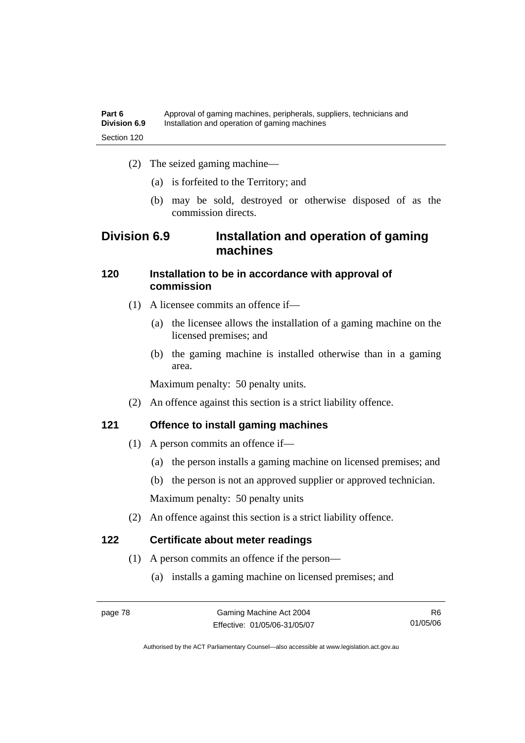- (2) The seized gaming machine—
	- (a) is forfeited to the Territory; and
	- (b) may be sold, destroyed or otherwise disposed of as the commission directs.

## **Division 6.9 Installation and operation of gaming machines**

#### **120 Installation to be in accordance with approval of commission**

- (1) A licensee commits an offence if—
	- (a) the licensee allows the installation of a gaming machine on the licensed premises; and
	- (b) the gaming machine is installed otherwise than in a gaming area.

Maximum penalty: 50 penalty units.

(2) An offence against this section is a strict liability offence.

#### **121 Offence to install gaming machines**

- (1) A person commits an offence if—
	- (a) the person installs a gaming machine on licensed premises; and
	- (b) the person is not an approved supplier or approved technician.

Maximum penalty: 50 penalty units

(2) An offence against this section is a strict liability offence.

### **122 Certificate about meter readings**

- (1) A person commits an offence if the person—
	- (a) installs a gaming machine on licensed premises; and

R6 01/05/06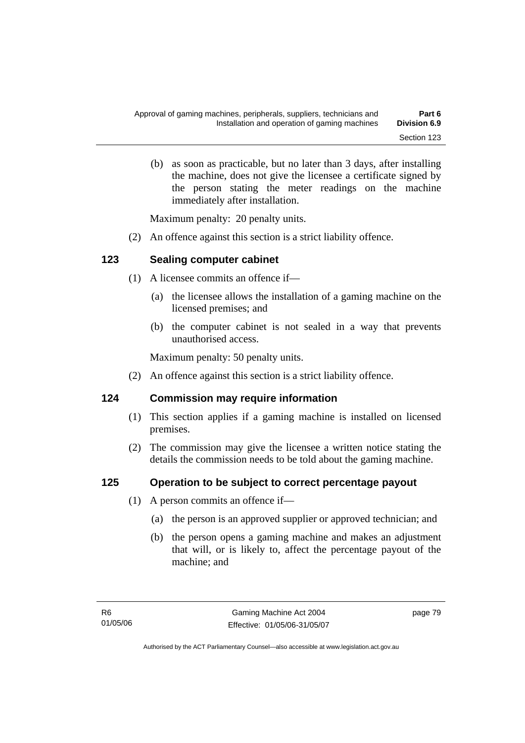(b) as soon as practicable, but no later than 3 days, after installing the machine, does not give the licensee a certificate signed by the person stating the meter readings on the machine immediately after installation.

Maximum penalty: 20 penalty units.

(2) An offence against this section is a strict liability offence.

### **123 Sealing computer cabinet**

- (1) A licensee commits an offence if—
	- (a) the licensee allows the installation of a gaming machine on the licensed premises; and
	- (b) the computer cabinet is not sealed in a way that prevents unauthorised access.

Maximum penalty: 50 penalty units.

(2) An offence against this section is a strict liability offence.

### **124 Commission may require information**

- (1) This section applies if a gaming machine is installed on licensed premises.
- (2) The commission may give the licensee a written notice stating the details the commission needs to be told about the gaming machine.

### **125 Operation to be subject to correct percentage payout**

- (1) A person commits an offence if—
	- (a) the person is an approved supplier or approved technician; and
	- (b) the person opens a gaming machine and makes an adjustment that will, or is likely to, affect the percentage payout of the machine; and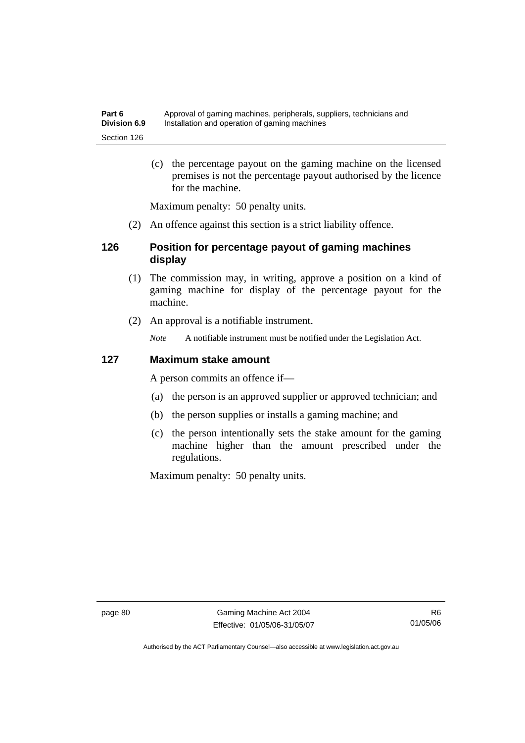(c) the percentage payout on the gaming machine on the licensed premises is not the percentage payout authorised by the licence for the machine.

Maximum penalty: 50 penalty units.

(2) An offence against this section is a strict liability offence.

#### **126 Position for percentage payout of gaming machines display**

- (1) The commission may, in writing, approve a position on a kind of gaming machine for display of the percentage payout for the machine.
- (2) An approval is a notifiable instrument.

*Note* A notifiable instrument must be notified under the Legislation Act.

#### **127 Maximum stake amount**

A person commits an offence if—

- (a) the person is an approved supplier or approved technician; and
- (b) the person supplies or installs a gaming machine; and
- (c) the person intentionally sets the stake amount for the gaming machine higher than the amount prescribed under the regulations.

Maximum penalty: 50 penalty units.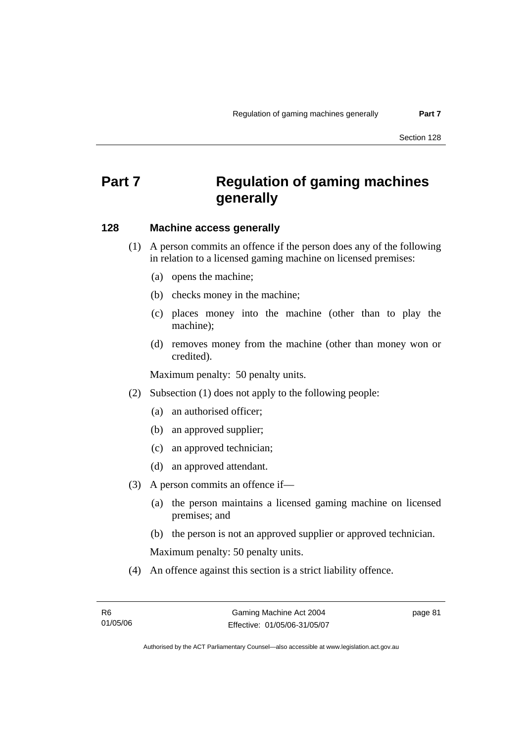# **Part 7 Regulation of gaming machines generally**

#### **128 Machine access generally**

- (1) A person commits an offence if the person does any of the following in relation to a licensed gaming machine on licensed premises:
	- (a) opens the machine;
	- (b) checks money in the machine;
	- (c) places money into the machine (other than to play the machine);
	- (d) removes money from the machine (other than money won or credited).

Maximum penalty: 50 penalty units.

- (2) Subsection (1) does not apply to the following people:
	- (a) an authorised officer;
	- (b) an approved supplier;
	- (c) an approved technician;
	- (d) an approved attendant.
- (3) A person commits an offence if—
	- (a) the person maintains a licensed gaming machine on licensed premises; and
	- (b) the person is not an approved supplier or approved technician.

Maximum penalty: 50 penalty units.

(4) An offence against this section is a strict liability offence.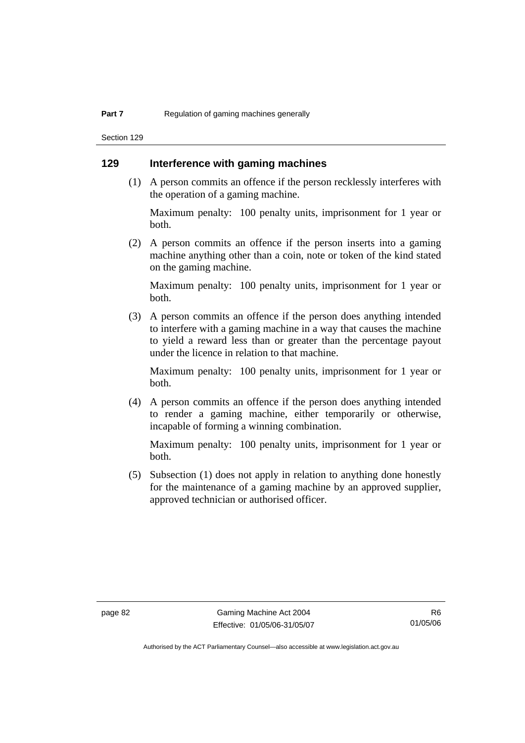Section 129

### **129 Interference with gaming machines**

 (1) A person commits an offence if the person recklessly interferes with the operation of a gaming machine.

Maximum penalty: 100 penalty units, imprisonment for 1 year or both.

 (2) A person commits an offence if the person inserts into a gaming machine anything other than a coin, note or token of the kind stated on the gaming machine.

Maximum penalty: 100 penalty units, imprisonment for 1 year or both.

 (3) A person commits an offence if the person does anything intended to interfere with a gaming machine in a way that causes the machine to yield a reward less than or greater than the percentage payout under the licence in relation to that machine.

Maximum penalty: 100 penalty units, imprisonment for 1 year or both.

 (4) A person commits an offence if the person does anything intended to render a gaming machine, either temporarily or otherwise, incapable of forming a winning combination.

Maximum penalty: 100 penalty units, imprisonment for 1 year or both.

 (5) Subsection (1) does not apply in relation to anything done honestly for the maintenance of a gaming machine by an approved supplier, approved technician or authorised officer.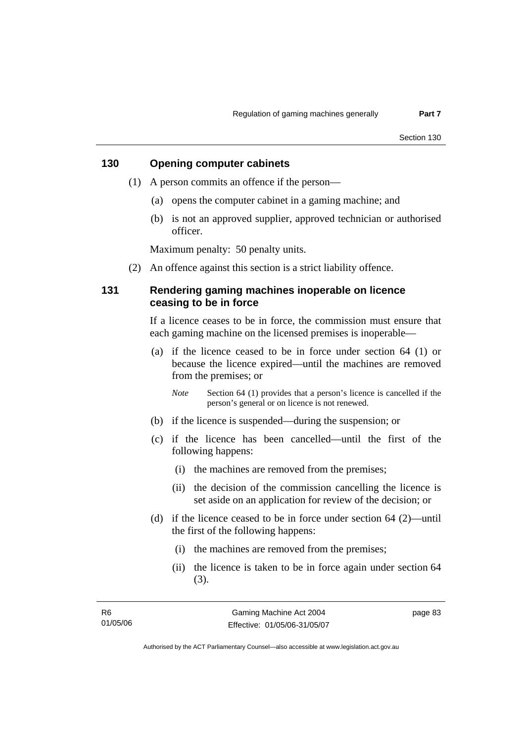### **130 Opening computer cabinets**

- (1) A person commits an offence if the person—
	- (a) opens the computer cabinet in a gaming machine; and
	- (b) is not an approved supplier, approved technician or authorised officer.

Maximum penalty: 50 penalty units.

(2) An offence against this section is a strict liability offence.

#### **131 Rendering gaming machines inoperable on licence ceasing to be in force**

If a licence ceases to be in force, the commission must ensure that each gaming machine on the licensed premises is inoperable—

 (a) if the licence ceased to be in force under section 64 (1) or because the licence expired—until the machines are removed from the premises; or

*Note* Section 64 (1) provides that a person's licence is cancelled if the person's general or on licence is not renewed.

- (b) if the licence is suspended—during the suspension; or
- (c) if the licence has been cancelled—until the first of the following happens:
	- (i) the machines are removed from the premises;
	- (ii) the decision of the commission cancelling the licence is set aside on an application for review of the decision; or
- (d) if the licence ceased to be in force under section 64 (2)—until the first of the following happens:
	- (i) the machines are removed from the premises;
	- (ii) the licence is taken to be in force again under section 64 (3).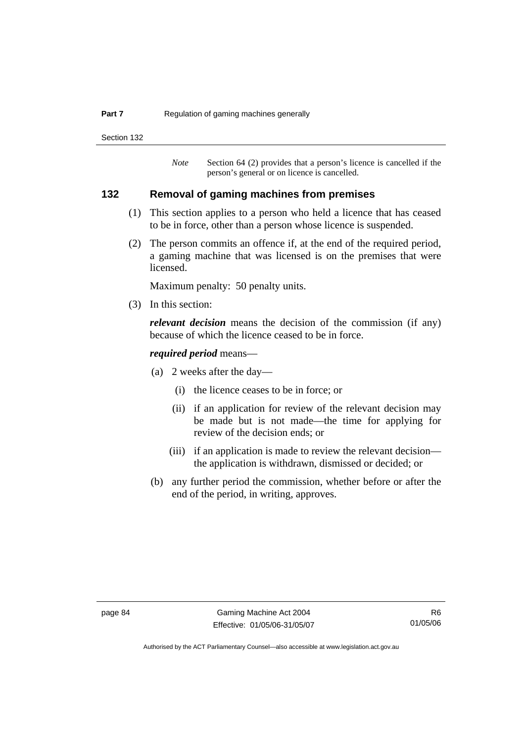#### **Part 7 Regulation of gaming machines generally**

Section 132

*Note* Section 64 (2) provides that a person's licence is cancelled if the person's general or on licence is cancelled.

#### **132 Removal of gaming machines from premises**

- (1) This section applies to a person who held a licence that has ceased to be in force, other than a person whose licence is suspended.
- (2) The person commits an offence if, at the end of the required period, a gaming machine that was licensed is on the premises that were licensed.

Maximum penalty: 50 penalty units.

(3) In this section:

*relevant decision* means the decision of the commission (if any) because of which the licence ceased to be in force.

#### *required period* means—

- (a) 2 weeks after the day—
	- (i) the licence ceases to be in force; or
	- (ii) if an application for review of the relevant decision may be made but is not made—the time for applying for review of the decision ends; or
	- (iii) if an application is made to review the relevant decision the application is withdrawn, dismissed or decided; or
- (b) any further period the commission, whether before or after the end of the period, in writing, approves.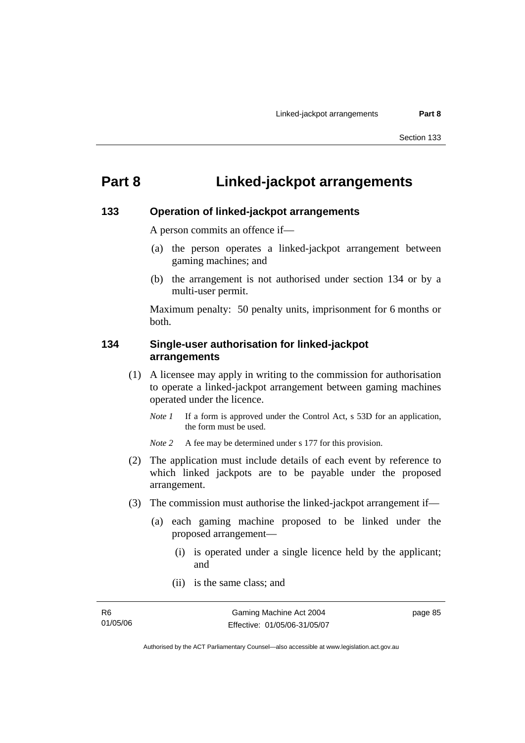# **Part 8 Linked-jackpot arrangements**

#### **133 Operation of linked-jackpot arrangements**

A person commits an offence if—

- (a) the person operates a linked-jackpot arrangement between gaming machines; and
- (b) the arrangement is not authorised under section 134 or by a multi-user permit.

Maximum penalty: 50 penalty units, imprisonment for 6 months or both.

#### **134 Single-user authorisation for linked-jackpot arrangements**

- (1) A licensee may apply in writing to the commission for authorisation to operate a linked-jackpot arrangement between gaming machines operated under the licence.
	- *Note 1* If a form is approved under the Control Act, s 53D for an application, the form must be used.

*Note 2* A fee may be determined under s 177 for this provision.

- (2) The application must include details of each event by reference to which linked jackpots are to be payable under the proposed arrangement.
- (3) The commission must authorise the linked-jackpot arrangement if—
	- (a) each gaming machine proposed to be linked under the proposed arrangement—
		- (i) is operated under a single licence held by the applicant; and
		- (ii) is the same class; and

page 85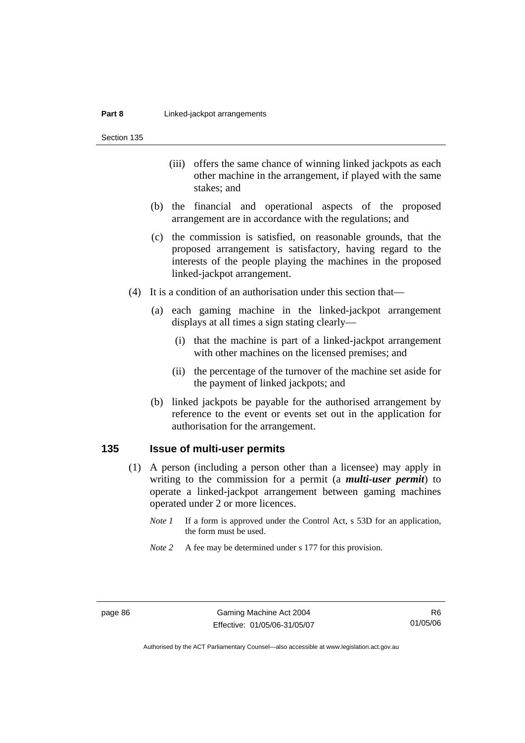Section 135

- (iii) offers the same chance of winning linked jackpots as each other machine in the arrangement, if played with the same stakes; and
- (b) the financial and operational aspects of the proposed arrangement are in accordance with the regulations; and
- (c) the commission is satisfied, on reasonable grounds, that the proposed arrangement is satisfactory, having regard to the interests of the people playing the machines in the proposed linked-jackpot arrangement.
- (4) It is a condition of an authorisation under this section that—
	- (a) each gaming machine in the linked-jackpot arrangement displays at all times a sign stating clearly—
		- (i) that the machine is part of a linked-jackpot arrangement with other machines on the licensed premises; and
		- (ii) the percentage of the turnover of the machine set aside for the payment of linked jackpots; and
	- (b) linked jackpots be payable for the authorised arrangement by reference to the event or events set out in the application for authorisation for the arrangement.

#### **135 Issue of multi-user permits**

- (1) A person (including a person other than a licensee) may apply in writing to the commission for a permit (a *multi-user permit*) to operate a linked-jackpot arrangement between gaming machines operated under 2 or more licences.
	- *Note 1* If a form is approved under the Control Act, s 53D for an application, the form must be used.
	- *Note 2* A fee may be determined under s 177 for this provision.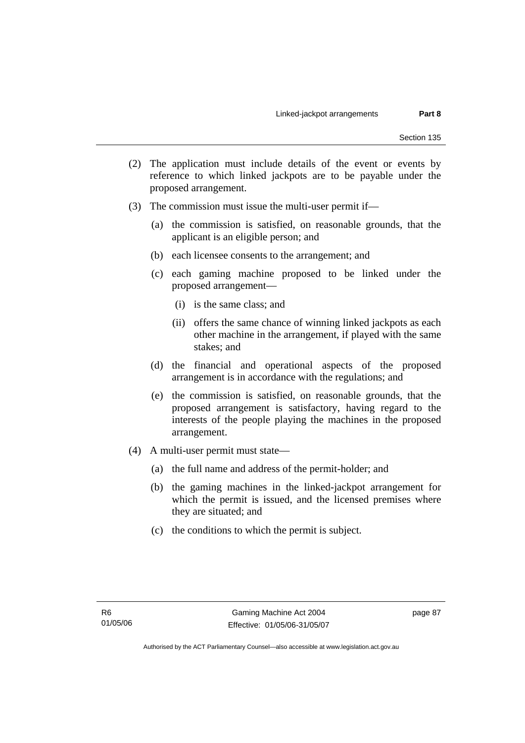- (2) The application must include details of the event or events by reference to which linked jackpots are to be payable under the proposed arrangement.
- (3) The commission must issue the multi-user permit if—
	- (a) the commission is satisfied, on reasonable grounds, that the applicant is an eligible person; and
	- (b) each licensee consents to the arrangement; and
	- (c) each gaming machine proposed to be linked under the proposed arrangement—
		- (i) is the same class; and
		- (ii) offers the same chance of winning linked jackpots as each other machine in the arrangement, if played with the same stakes; and
	- (d) the financial and operational aspects of the proposed arrangement is in accordance with the regulations; and
	- (e) the commission is satisfied, on reasonable grounds, that the proposed arrangement is satisfactory, having regard to the interests of the people playing the machines in the proposed arrangement.
- (4) A multi-user permit must state—
	- (a) the full name and address of the permit-holder; and
	- (b) the gaming machines in the linked-jackpot arrangement for which the permit is issued, and the licensed premises where they are situated; and
	- (c) the conditions to which the permit is subject.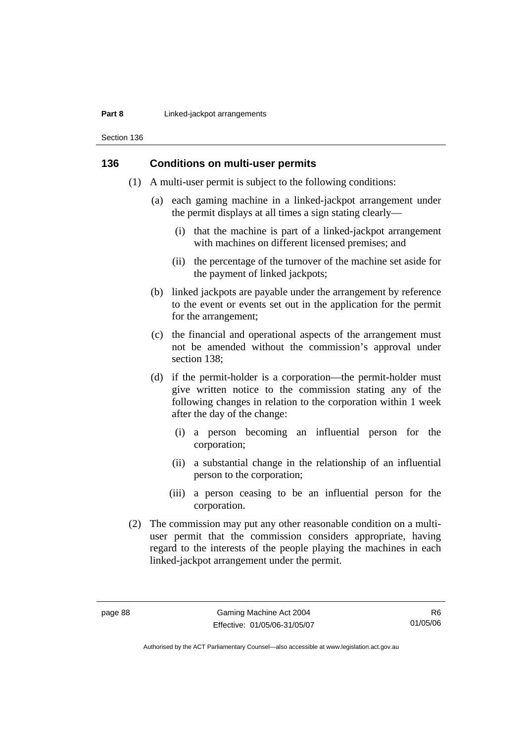#### **Part 8 Linked-jackpot arrangements**

Section 136

#### **136 Conditions on multi-user permits**

- (1) A multi-user permit is subject to the following conditions:
	- (a) each gaming machine in a linked-jackpot arrangement under the permit displays at all times a sign stating clearly—
		- (i) that the machine is part of a linked-jackpot arrangement with machines on different licensed premises; and
		- (ii) the percentage of the turnover of the machine set aside for the payment of linked jackpots;
	- (b) linked jackpots are payable under the arrangement by reference to the event or events set out in the application for the permit for the arrangement;
	- (c) the financial and operational aspects of the arrangement must not be amended without the commission's approval under section 138;
	- (d) if the permit-holder is a corporation—the permit-holder must give written notice to the commission stating any of the following changes in relation to the corporation within 1 week after the day of the change:
		- (i) a person becoming an influential person for the corporation;
		- (ii) a substantial change in the relationship of an influential person to the corporation;
		- (iii) a person ceasing to be an influential person for the corporation.
- (2) The commission may put any other reasonable condition on a multiuser permit that the commission considers appropriate, having regard to the interests of the people playing the machines in each linked-jackpot arrangement under the permit.

R6 01/05/06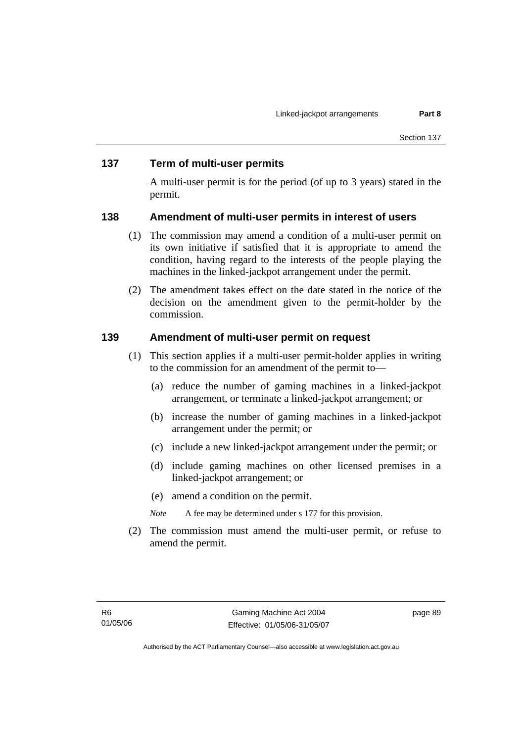#### **137 Term of multi-user permits**

A multi-user permit is for the period (of up to 3 years) stated in the permit.

#### **138 Amendment of multi-user permits in interest of users**

- (1) The commission may amend a condition of a multi-user permit on its own initiative if satisfied that it is appropriate to amend the condition, having regard to the interests of the people playing the machines in the linked-jackpot arrangement under the permit.
- (2) The amendment takes effect on the date stated in the notice of the decision on the amendment given to the permit-holder by the commission.

#### **139 Amendment of multi-user permit on request**

- (1) This section applies if a multi-user permit-holder applies in writing to the commission for an amendment of the permit to—
	- (a) reduce the number of gaming machines in a linked-jackpot arrangement, or terminate a linked-jackpot arrangement; or
	- (b) increase the number of gaming machines in a linked-jackpot arrangement under the permit; or
	- (c) include a new linked-jackpot arrangement under the permit; or
	- (d) include gaming machines on other licensed premises in a linked-jackpot arrangement; or
	- (e) amend a condition on the permit.
	- *Note* A fee may be determined under s 177 for this provision.
- (2) The commission must amend the multi-user permit, or refuse to amend the permit.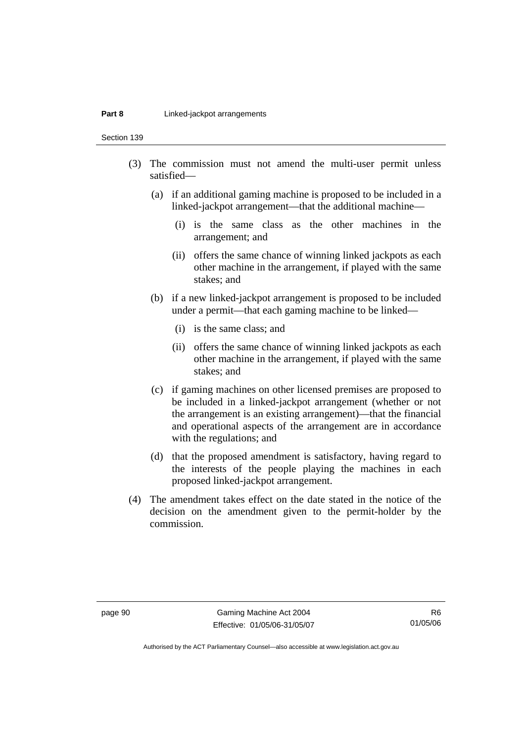#### **Part 8 Linked-jackpot arrangements**

Section 139

- (3) The commission must not amend the multi-user permit unless satisfied—
	- (a) if an additional gaming machine is proposed to be included in a linked-jackpot arrangement—that the additional machine—
		- (i) is the same class as the other machines in the arrangement; and
		- (ii) offers the same chance of winning linked jackpots as each other machine in the arrangement, if played with the same stakes; and
	- (b) if a new linked-jackpot arrangement is proposed to be included under a permit—that each gaming machine to be linked—
		- (i) is the same class; and
		- (ii) offers the same chance of winning linked jackpots as each other machine in the arrangement, if played with the same stakes; and
	- (c) if gaming machines on other licensed premises are proposed to be included in a linked-jackpot arrangement (whether or not the arrangement is an existing arrangement)—that the financial and operational aspects of the arrangement are in accordance with the regulations; and
	- (d) that the proposed amendment is satisfactory, having regard to the interests of the people playing the machines in each proposed linked-jackpot arrangement.
- (4) The amendment takes effect on the date stated in the notice of the decision on the amendment given to the permit-holder by the commission.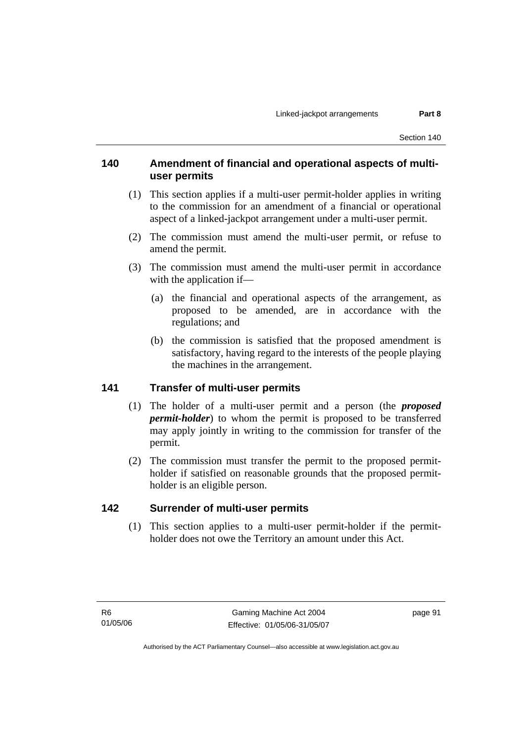### **140 Amendment of financial and operational aspects of multiuser permits**

- (1) This section applies if a multi-user permit-holder applies in writing to the commission for an amendment of a financial or operational aspect of a linked-jackpot arrangement under a multi-user permit.
- (2) The commission must amend the multi-user permit, or refuse to amend the permit.
- (3) The commission must amend the multi-user permit in accordance with the application if—
	- (a) the financial and operational aspects of the arrangement, as proposed to be amended, are in accordance with the regulations; and
	- (b) the commission is satisfied that the proposed amendment is satisfactory, having regard to the interests of the people playing the machines in the arrangement.

#### **141 Transfer of multi-user permits**

- (1) The holder of a multi-user permit and a person (the *proposed permit-holder*) to whom the permit is proposed to be transferred may apply jointly in writing to the commission for transfer of the permit.
- (2) The commission must transfer the permit to the proposed permitholder if satisfied on reasonable grounds that the proposed permitholder is an eligible person.

#### **142 Surrender of multi-user permits**

 (1) This section applies to a multi-user permit-holder if the permitholder does not owe the Territory an amount under this Act.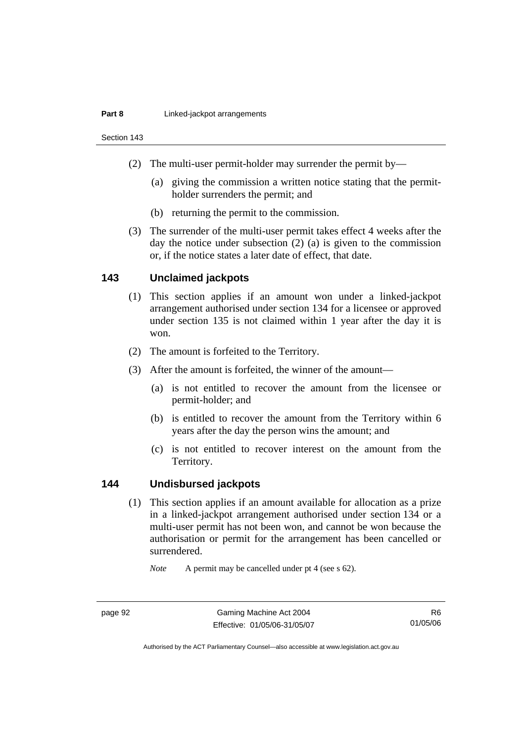#### **Part 8 Linked-jackpot arrangements**

Section 143

- (2) The multi-user permit-holder may surrender the permit by—
	- (a) giving the commission a written notice stating that the permitholder surrenders the permit; and
	- (b) returning the permit to the commission.
- (3) The surrender of the multi-user permit takes effect 4 weeks after the day the notice under subsection (2) (a) is given to the commission or, if the notice states a later date of effect, that date.

#### **143 Unclaimed jackpots**

- (1) This section applies if an amount won under a linked-jackpot arrangement authorised under section 134 for a licensee or approved under section 135 is not claimed within 1 year after the day it is won.
- (2) The amount is forfeited to the Territory.
- (3) After the amount is forfeited, the winner of the amount—
	- (a) is not entitled to recover the amount from the licensee or permit-holder; and
	- (b) is entitled to recover the amount from the Territory within 6 years after the day the person wins the amount; and
	- (c) is not entitled to recover interest on the amount from the Territory.

#### **144 Undisbursed jackpots**

 (1) This section applies if an amount available for allocation as a prize in a linked-jackpot arrangement authorised under section 134 or a multi-user permit has not been won, and cannot be won because the authorisation or permit for the arrangement has been cancelled or surrendered.

*Note* A permit may be cancelled under pt 4 (see s 62).

R6 01/05/06

Authorised by the ACT Parliamentary Counsel—also accessible at www.legislation.act.gov.au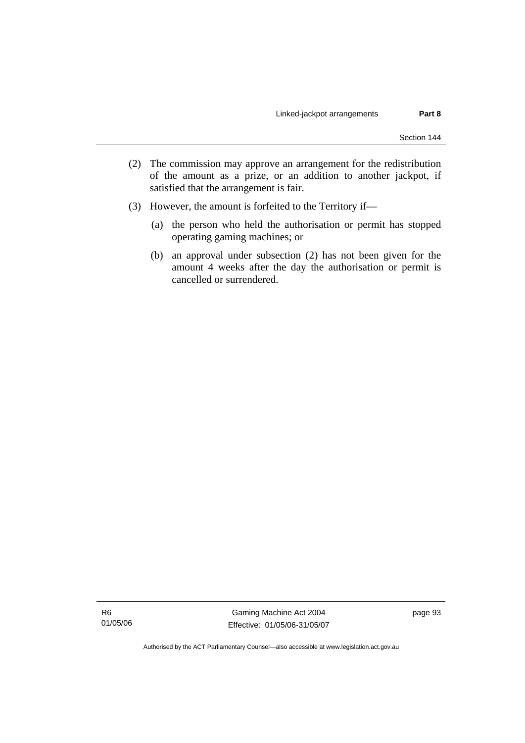- (2) The commission may approve an arrangement for the redistribution of the amount as a prize, or an addition to another jackpot, if satisfied that the arrangement is fair.
- (3) However, the amount is forfeited to the Territory if—
	- (a) the person who held the authorisation or permit has stopped operating gaming machines; or
	- (b) an approval under subsection (2) has not been given for the amount 4 weeks after the day the authorisation or permit is cancelled or surrendered.

R6 01/05/06

Gaming Machine Act 2004 Effective: 01/05/06-31/05/07 page 93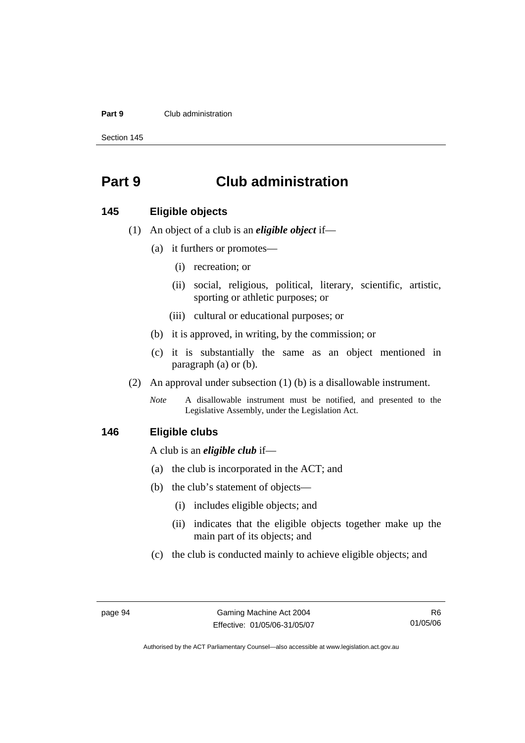#### **Part 9** Club administration

Section 145

# **Part 9 Club administration**

#### **145 Eligible objects**

- (1) An object of a club is an *eligible object* if—
	- (a) it furthers or promotes—
		- (i) recreation; or
		- (ii) social, religious, political, literary, scientific, artistic, sporting or athletic purposes; or
		- (iii) cultural or educational purposes; or
	- (b) it is approved, in writing, by the commission; or
	- (c) it is substantially the same as an object mentioned in paragraph (a) or (b).
- (2) An approval under subsection (1) (b) is a disallowable instrument.
	- *Note* A disallowable instrument must be notified, and presented to the Legislative Assembly, under the Legislation Act.

#### **146 Eligible clubs**

A club is an *eligible club* if—

- (a) the club is incorporated in the ACT; and
- (b) the club's statement of objects—
	- (i) includes eligible objects; and
	- (ii) indicates that the eligible objects together make up the main part of its objects; and
- (c) the club is conducted mainly to achieve eligible objects; and

R6 01/05/06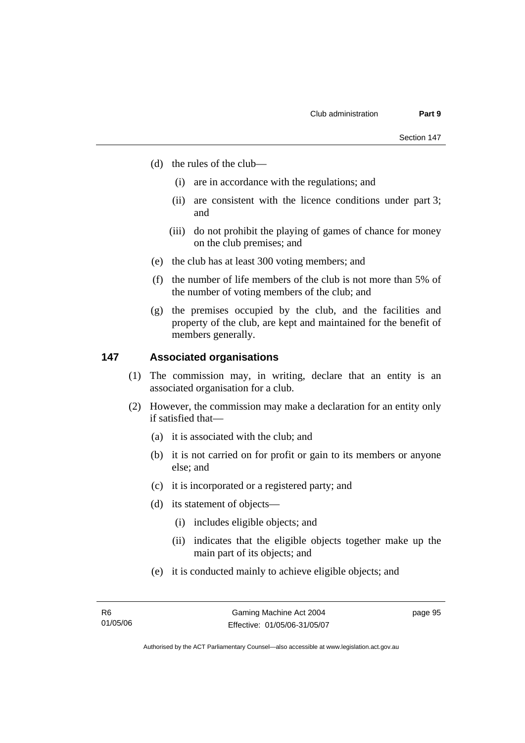- (d) the rules of the club—
	- (i) are in accordance with the regulations; and
	- (ii) are consistent with the licence conditions under part 3; and
	- (iii) do not prohibit the playing of games of chance for money on the club premises; and
- (e) the club has at least 300 voting members; and
- (f) the number of life members of the club is not more than 5% of the number of voting members of the club; and
- (g) the premises occupied by the club, and the facilities and property of the club, are kept and maintained for the benefit of members generally.

#### **147 Associated organisations**

- (1) The commission may, in writing, declare that an entity is an associated organisation for a club.
- (2) However, the commission may make a declaration for an entity only if satisfied that—
	- (a) it is associated with the club; and
	- (b) it is not carried on for profit or gain to its members or anyone else; and
	- (c) it is incorporated or a registered party; and
	- (d) its statement of objects—
		- (i) includes eligible objects; and
		- (ii) indicates that the eligible objects together make up the main part of its objects; and
	- (e) it is conducted mainly to achieve eligible objects; and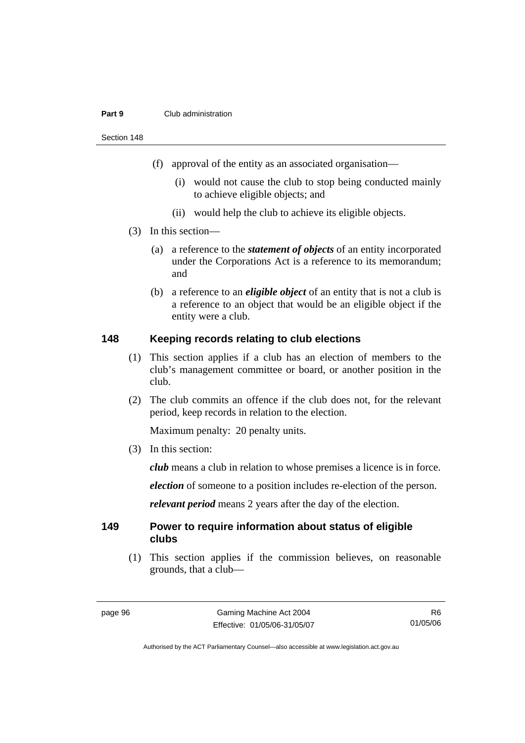#### **Part 9** Club administration

Section 148

- (f) approval of the entity as an associated organisation—
	- (i) would not cause the club to stop being conducted mainly to achieve eligible objects; and
	- (ii) would help the club to achieve its eligible objects.
- (3) In this section—
	- (a) a reference to the *statement of objects* of an entity incorporated under the Corporations Act is a reference to its memorandum; and
	- (b) a reference to an *eligible object* of an entity that is not a club is a reference to an object that would be an eligible object if the entity were a club.

#### **148 Keeping records relating to club elections**

- (1) This section applies if a club has an election of members to the club's management committee or board, or another position in the club.
- (2) The club commits an offence if the club does not, for the relevant period, keep records in relation to the election.

Maximum penalty: 20 penalty units.

(3) In this section:

*club* means a club in relation to whose premises a licence is in force.

*election* of someone to a position includes re-election of the person.

*relevant period* means 2 years after the day of the election.

#### **149 Power to require information about status of eligible clubs**

 (1) This section applies if the commission believes, on reasonable grounds, that a club—

R6 01/05/06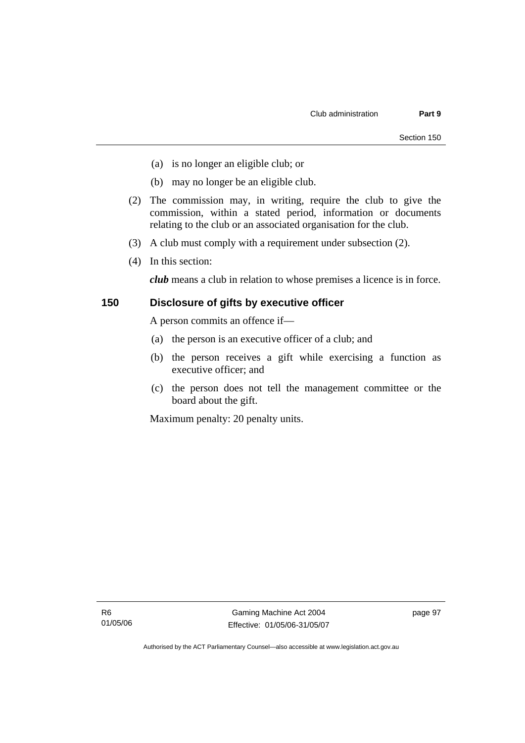- (a) is no longer an eligible club; or
- (b) may no longer be an eligible club.
- (2) The commission may, in writing, require the club to give the commission, within a stated period, information or documents relating to the club or an associated organisation for the club.
- (3) A club must comply with a requirement under subsection (2).
- (4) In this section:

*club* means a club in relation to whose premises a licence is in force.

#### **150 Disclosure of gifts by executive officer**

A person commits an offence if—

- (a) the person is an executive officer of a club; and
- (b) the person receives a gift while exercising a function as executive officer; and
- (c) the person does not tell the management committee or the board about the gift.

Maximum penalty: 20 penalty units.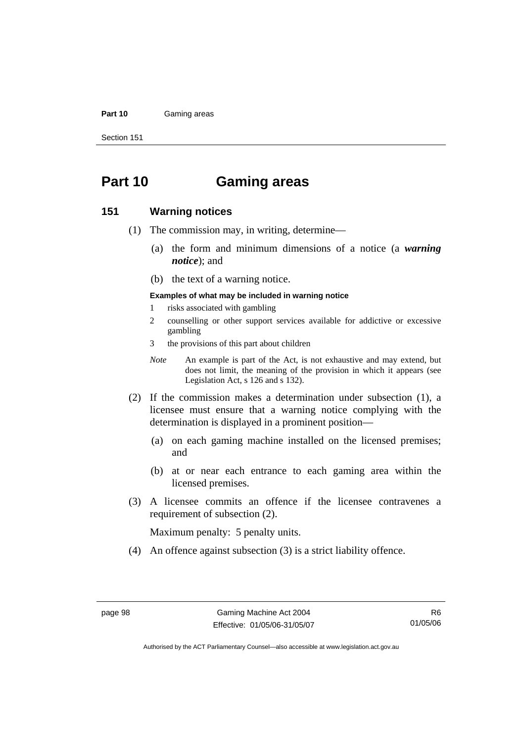#### Part 10 **Gaming areas**

Section 151

# **Part 10 Gaming areas**

#### **151 Warning notices**

- (1) The commission may, in writing, determine—
	- (a) the form and minimum dimensions of a notice (a *warning notice*); and
	- (b) the text of a warning notice.

#### **Examples of what may be included in warning notice**

- 1 risks associated with gambling
- 2 counselling or other support services available for addictive or excessive gambling
- 3 the provisions of this part about children
- *Note* An example is part of the Act, is not exhaustive and may extend, but does not limit, the meaning of the provision in which it appears (see Legislation Act, s 126 and s 132).
- (2) If the commission makes a determination under subsection (1), a licensee must ensure that a warning notice complying with the determination is displayed in a prominent position—
	- (a) on each gaming machine installed on the licensed premises; and
	- (b) at or near each entrance to each gaming area within the licensed premises.
- (3) A licensee commits an offence if the licensee contravenes a requirement of subsection (2).

Maximum penalty: 5 penalty units.

(4) An offence against subsection (3) is a strict liability offence.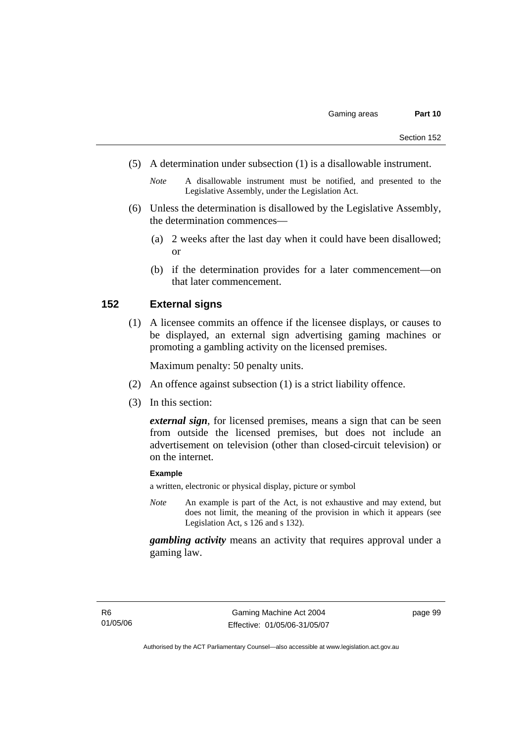- (5) A determination under subsection (1) is a disallowable instrument.
	- *Note* A disallowable instrument must be notified, and presented to the Legislative Assembly, under the Legislation Act.
- (6) Unless the determination is disallowed by the Legislative Assembly, the determination commences—
	- (a) 2 weeks after the last day when it could have been disallowed; or
	- (b) if the determination provides for a later commencement—on that later commencement.

### **152 External signs**

 (1) A licensee commits an offence if the licensee displays, or causes to be displayed, an external sign advertising gaming machines or promoting a gambling activity on the licensed premises.

Maximum penalty: 50 penalty units.

- (2) An offence against subsection (1) is a strict liability offence.
- (3) In this section:

*external sign*, for licensed premises, means a sign that can be seen from outside the licensed premises, but does not include an advertisement on television (other than closed-circuit television) or on the internet.

#### **Example**

a written, electronic or physical display, picture or symbol

*Note* An example is part of the Act, is not exhaustive and may extend, but does not limit, the meaning of the provision in which it appears (see Legislation Act, s 126 and s 132).

*gambling activity* means an activity that requires approval under a gaming law.

page 99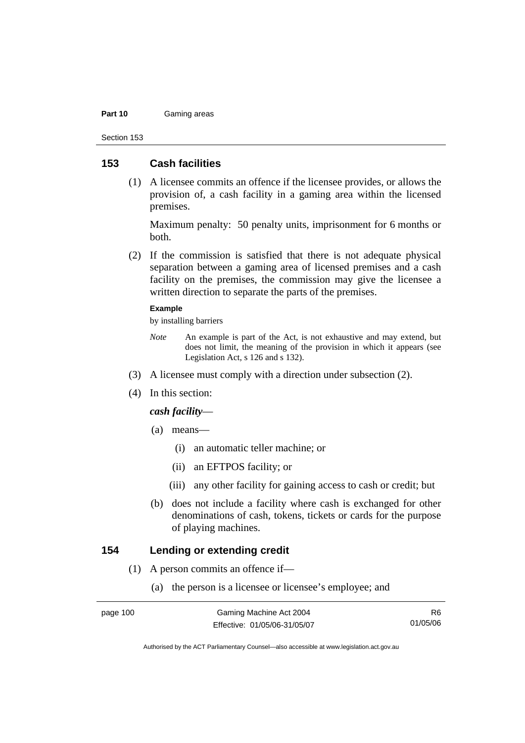#### **Part 10** Gaming areas

Section 153

### **153 Cash facilities**

 (1) A licensee commits an offence if the licensee provides, or allows the provision of, a cash facility in a gaming area within the licensed premises.

Maximum penalty: 50 penalty units, imprisonment for 6 months or both.

 (2) If the commission is satisfied that there is not adequate physical separation between a gaming area of licensed premises and a cash facility on the premises, the commission may give the licensee a written direction to separate the parts of the premises.

#### **Example**

by installing barriers

- *Note* An example is part of the Act, is not exhaustive and may extend, but does not limit, the meaning of the provision in which it appears (see Legislation Act, s 126 and s 132).
- (3) A licensee must comply with a direction under subsection (2).
- (4) In this section:

#### *cash facility*—

- (a) means—
	- (i) an automatic teller machine; or
	- (ii) an EFTPOS facility; or
	- (iii) any other facility for gaining access to cash or credit; but
- (b) does not include a facility where cash is exchanged for other denominations of cash, tokens, tickets or cards for the purpose of playing machines.

### **154 Lending or extending credit**

- (1) A person commits an offence if—
	- (a) the person is a licensee or licensee's employee; and

R6 01/05/06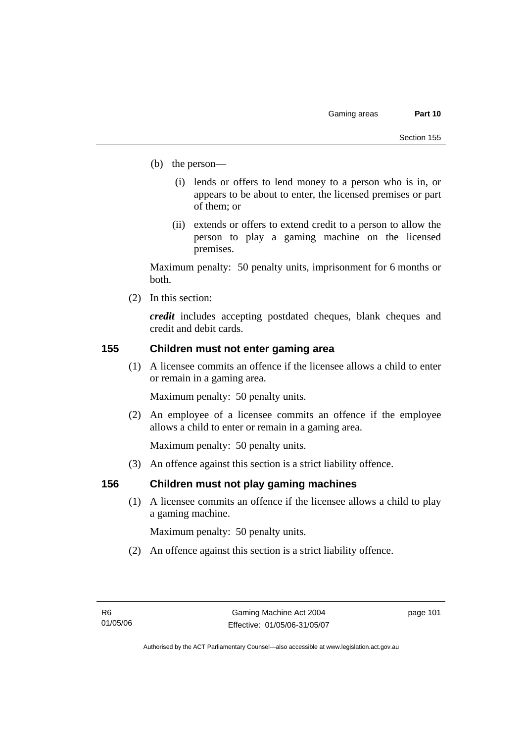- (b) the person—
	- (i) lends or offers to lend money to a person who is in, or appears to be about to enter, the licensed premises or part of them; or
	- (ii) extends or offers to extend credit to a person to allow the person to play a gaming machine on the licensed premises.

Maximum penalty: 50 penalty units, imprisonment for 6 months or both.

(2) In this section:

*credit* includes accepting postdated cheques, blank cheques and credit and debit cards.

### **155 Children must not enter gaming area**

 (1) A licensee commits an offence if the licensee allows a child to enter or remain in a gaming area.

Maximum penalty: 50 penalty units.

 (2) An employee of a licensee commits an offence if the employee allows a child to enter or remain in a gaming area.

Maximum penalty: 50 penalty units.

(3) An offence against this section is a strict liability offence.

### **156 Children must not play gaming machines**

 (1) A licensee commits an offence if the licensee allows a child to play a gaming machine.

Maximum penalty: 50 penalty units.

(2) An offence against this section is a strict liability offence.

page 101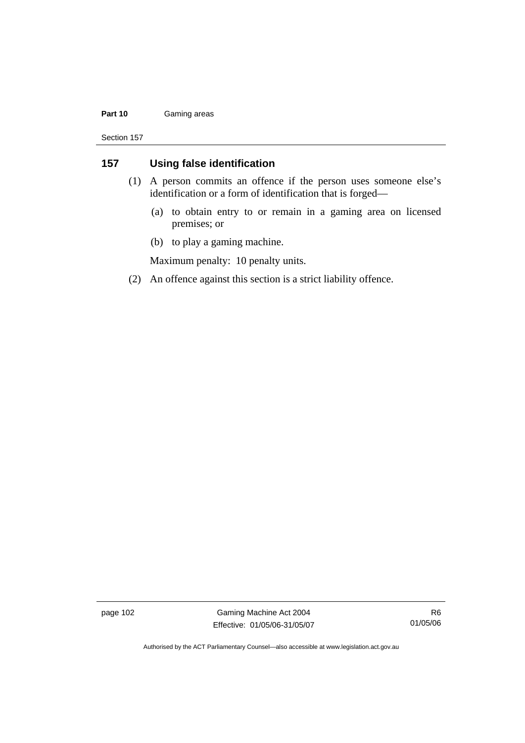#### Part 10 **Gaming areas**

Section 157

### **157 Using false identification**

- (1) A person commits an offence if the person uses someone else's identification or a form of identification that is forged—
	- (a) to obtain entry to or remain in a gaming area on licensed premises; or
	- (b) to play a gaming machine.

Maximum penalty: 10 penalty units.

(2) An offence against this section is a strict liability offence.

page 102 Gaming Machine Act 2004 Effective: 01/05/06-31/05/07

R6 01/05/06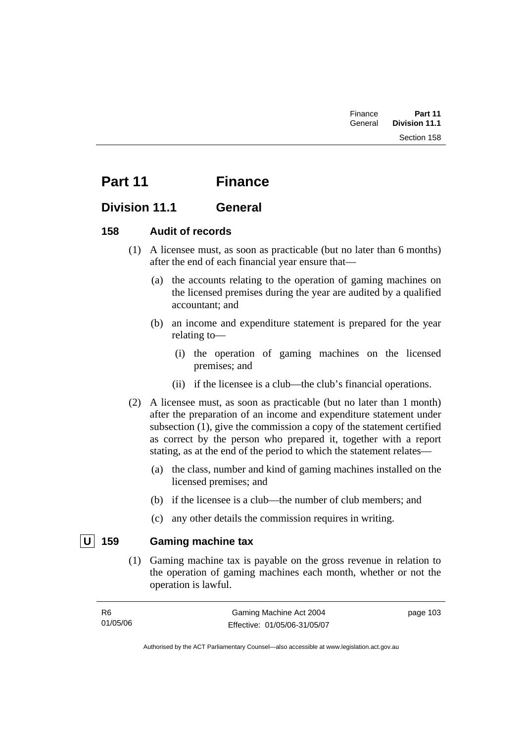## **Part 11 Finance**

## **Division 11.1 General**

### **158 Audit of records**

- (1) A licensee must, as soon as practicable (but no later than 6 months) after the end of each financial year ensure that—
	- (a) the accounts relating to the operation of gaming machines on the licensed premises during the year are audited by a qualified accountant; and
	- (b) an income and expenditure statement is prepared for the year relating to—
		- (i) the operation of gaming machines on the licensed premises; and
		- (ii) if the licensee is a club—the club's financial operations.
- (2) A licensee must, as soon as practicable (but no later than 1 month) after the preparation of an income and expenditure statement under subsection (1), give the commission a copy of the statement certified as correct by the person who prepared it, together with a report stating, as at the end of the period to which the statement relates—
	- (a) the class, number and kind of gaming machines installed on the licensed premises; and
	- (b) if the licensee is a club—the number of club members; and
	- (c) any other details the commission requires in writing.

## **U 159 Gaming machine tax**

 (1) Gaming machine tax is payable on the gross revenue in relation to the operation of gaming machines each month, whether or not the operation is lawful.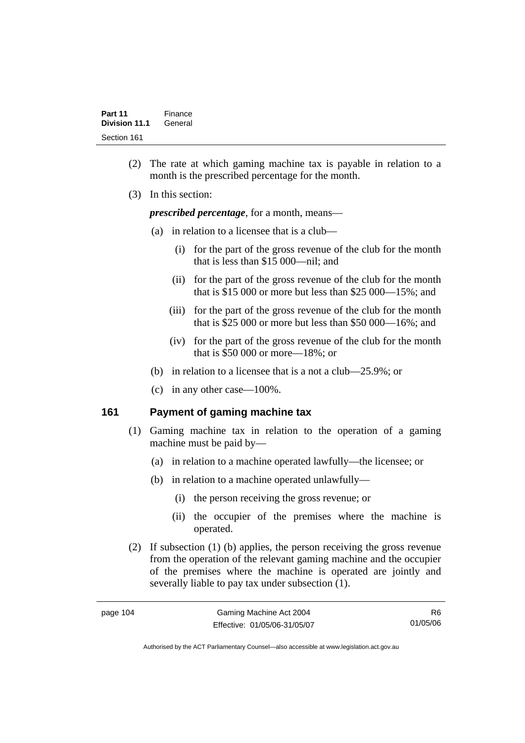- (2) The rate at which gaming machine tax is payable in relation to a month is the prescribed percentage for the month.
- (3) In this section:

*prescribed percentage*, for a month, means—

- (a) in relation to a licensee that is a club—
	- (i) for the part of the gross revenue of the club for the month that is less than \$15 000—nil; and
	- (ii) for the part of the gross revenue of the club for the month that is \$15 000 or more but less than \$25 000—15%; and
	- (iii) for the part of the gross revenue of the club for the month that is \$25 000 or more but less than \$50 000—16%; and
	- (iv) for the part of the gross revenue of the club for the month that is \$50 000 or more—18%; or
- (b) in relation to a licensee that is a not a club—25.9%; or
- (c) in any other case—100%.

### **161 Payment of gaming machine tax**

- (1) Gaming machine tax in relation to the operation of a gaming machine must be paid by—
	- (a) in relation to a machine operated lawfully—the licensee; or
	- (b) in relation to a machine operated unlawfully—
		- (i) the person receiving the gross revenue; or
		- (ii) the occupier of the premises where the machine is operated.
- (2) If subsection (1) (b) applies, the person receiving the gross revenue from the operation of the relevant gaming machine and the occupier of the premises where the machine is operated are jointly and severally liable to pay tax under subsection (1).

R6 01/05/06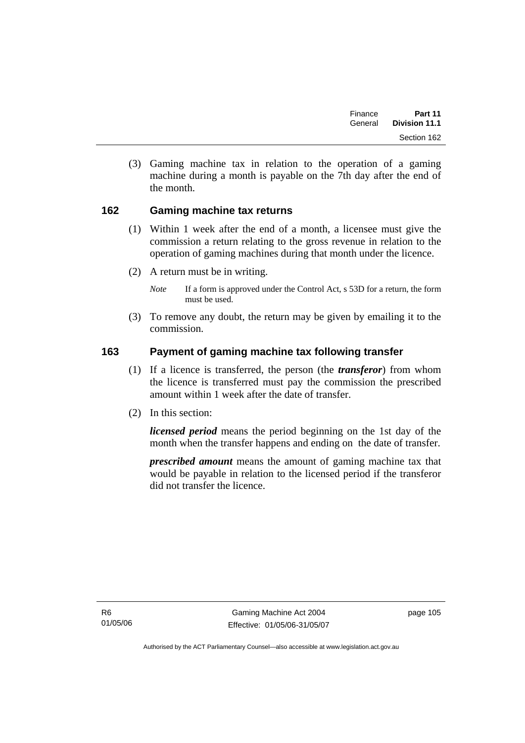| Finance | Part 11              |  |
|---------|----------------------|--|
| General | <b>Division 11.1</b> |  |
|         | Section 162          |  |

 (3) Gaming machine tax in relation to the operation of a gaming machine during a month is payable on the 7th day after the end of the month.

### **162 Gaming machine tax returns**

- (1) Within 1 week after the end of a month, a licensee must give the commission a return relating to the gross revenue in relation to the operation of gaming machines during that month under the licence.
- (2) A return must be in writing.
	- *Note* If a form is approved under the Control Act, s 53D for a return, the form must be used.
- (3) To remove any doubt, the return may be given by emailing it to the commission.

### **163 Payment of gaming machine tax following transfer**

- (1) If a licence is transferred, the person (the *transferor*) from whom the licence is transferred must pay the commission the prescribed amount within 1 week after the date of transfer.
- (2) In this section:

*licensed period* means the period beginning on the 1st day of the month when the transfer happens and ending on the date of transfer.

*prescribed amount* means the amount of gaming machine tax that would be payable in relation to the licensed period if the transferor did not transfer the licence.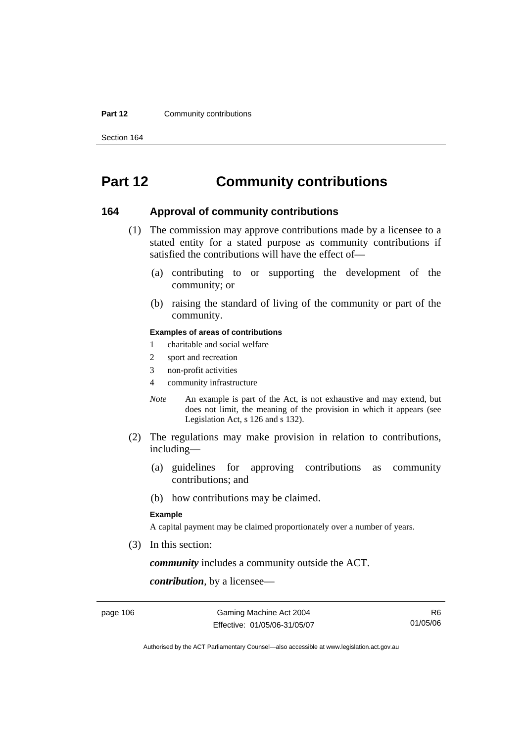#### **Part 12 Community contributions**

Section 164

## **Part 12 Community contributions**

#### **164 Approval of community contributions**

- (1) The commission may approve contributions made by a licensee to a stated entity for a stated purpose as community contributions if satisfied the contributions will have the effect of—
	- (a) contributing to or supporting the development of the community; or
	- (b) raising the standard of living of the community or part of the community.

#### **Examples of areas of contributions**

- 1 charitable and social welfare
- 2 sport and recreation
- 3 non-profit activities
- 4 community infrastructure
- *Note* An example is part of the Act, is not exhaustive and may extend, but does not limit, the meaning of the provision in which it appears (see Legislation Act, s 126 and s 132).
- (2) The regulations may make provision in relation to contributions, including—
	- (a) guidelines for approving contributions as community contributions; and
	- (b) how contributions may be claimed.

#### **Example**

A capital payment may be claimed proportionately over a number of years.

(3) In this section:

*community* includes a community outside the ACT.

*contribution*, by a licensee—

page 106 Gaming Machine Act 2004 Effective: 01/05/06-31/05/07

R6 01/05/06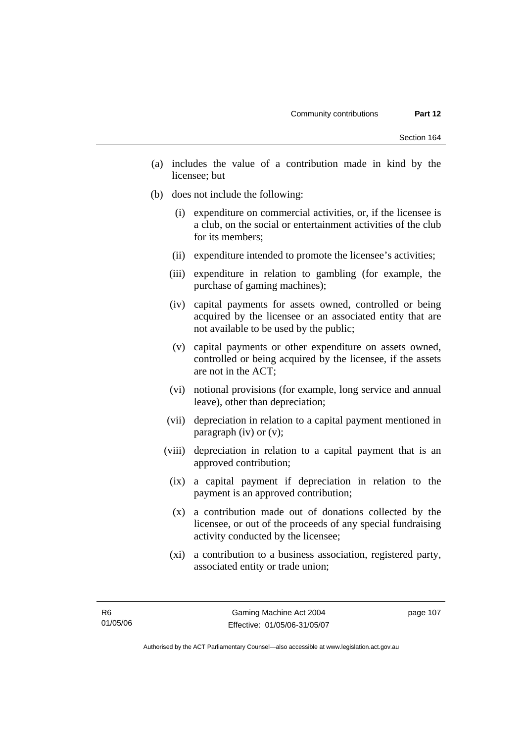- (a) includes the value of a contribution made in kind by the licensee; but
- (b) does not include the following:
	- (i) expenditure on commercial activities, or, if the licensee is a club, on the social or entertainment activities of the club for its members;
	- (ii) expenditure intended to promote the licensee's activities;
	- (iii) expenditure in relation to gambling (for example, the purchase of gaming machines);
	- (iv) capital payments for assets owned, controlled or being acquired by the licensee or an associated entity that are not available to be used by the public;
	- (v) capital payments or other expenditure on assets owned, controlled or being acquired by the licensee, if the assets are not in the ACT;
	- (vi) notional provisions (for example, long service and annual leave), other than depreciation;
	- (vii) depreciation in relation to a capital payment mentioned in paragraph (iv) or (v);
	- (viii) depreciation in relation to a capital payment that is an approved contribution;
		- (ix) a capital payment if depreciation in relation to the payment is an approved contribution;
		- (x) a contribution made out of donations collected by the licensee, or out of the proceeds of any special fundraising activity conducted by the licensee;
		- (xi) a contribution to a business association, registered party, associated entity or trade union;

page 107

Authorised by the ACT Parliamentary Counsel—also accessible at www.legislation.act.gov.au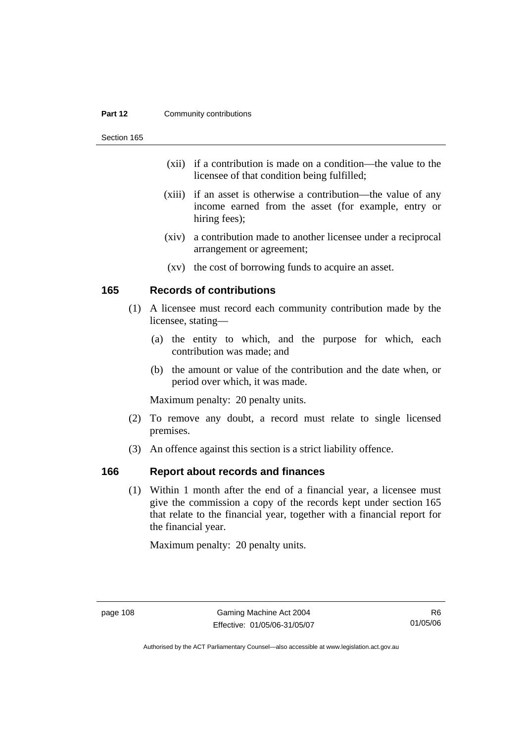#### **Part 12 Community contributions**

Section 165

- (xii) if a contribution is made on a condition—the value to the licensee of that condition being fulfilled;
- (xiii) if an asset is otherwise a contribution—the value of any income earned from the asset (for example, entry or hiring fees);
- (xiv) a contribution made to another licensee under a reciprocal arrangement or agreement;
- (xv) the cost of borrowing funds to acquire an asset.

### **165 Records of contributions**

- (1) A licensee must record each community contribution made by the licensee, stating—
	- (a) the entity to which, and the purpose for which, each contribution was made; and
	- (b) the amount or value of the contribution and the date when, or period over which, it was made.

Maximum penalty: 20 penalty units.

- (2) To remove any doubt, a record must relate to single licensed premises.
- (3) An offence against this section is a strict liability offence.

### **166 Report about records and finances**

 (1) Within 1 month after the end of a financial year, a licensee must give the commission a copy of the records kept under section 165 that relate to the financial year, together with a financial report for the financial year.

Maximum penalty: 20 penalty units.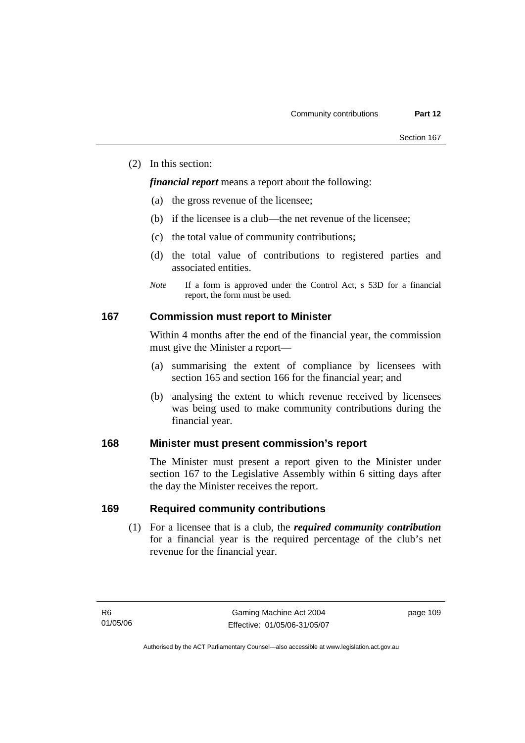(2) In this section:

*financial report* means a report about the following:

- (a) the gross revenue of the licensee;
- (b) if the licensee is a club—the net revenue of the licensee;
- (c) the total value of community contributions;
- (d) the total value of contributions to registered parties and associated entities.
- *Note* If a form is approved under the Control Act, s 53D for a financial report, the form must be used.

### **167 Commission must report to Minister**

Within 4 months after the end of the financial year, the commission must give the Minister a report—

- (a) summarising the extent of compliance by licensees with section 165 and section 166 for the financial year; and
- (b) analysing the extent to which revenue received by licensees was being used to make community contributions during the financial year.

### **168 Minister must present commission's report**

The Minister must present a report given to the Minister under section 167 to the Legislative Assembly within 6 sitting days after the day the Minister receives the report.

### **169 Required community contributions**

 (1) For a licensee that is a club, the *required community contribution* for a financial year is the required percentage of the club's net revenue for the financial year.

page 109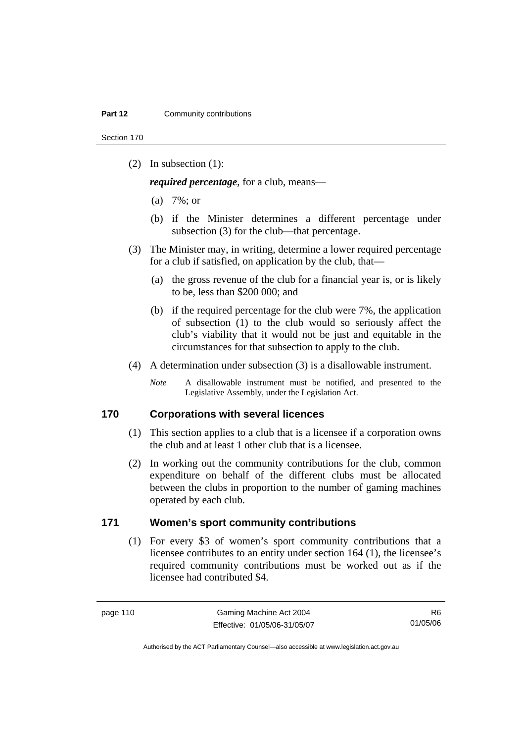Section 170

(2) In subsection (1):

*required percentage*, for a club, means—

- (a) 7%; or
- (b) if the Minister determines a different percentage under subsection (3) for the club—that percentage.
- (3) The Minister may, in writing, determine a lower required percentage for a club if satisfied, on application by the club, that—
	- (a) the gross revenue of the club for a financial year is, or is likely to be, less than \$200 000; and
	- (b) if the required percentage for the club were 7%, the application of subsection (1) to the club would so seriously affect the club's viability that it would not be just and equitable in the circumstances for that subsection to apply to the club.
- (4) A determination under subsection (3) is a disallowable instrument.
	- *Note* A disallowable instrument must be notified, and presented to the Legislative Assembly, under the Legislation Act.

### **170 Corporations with several licences**

- (1) This section applies to a club that is a licensee if a corporation owns the club and at least 1 other club that is a licensee.
- (2) In working out the community contributions for the club, common expenditure on behalf of the different clubs must be allocated between the clubs in proportion to the number of gaming machines operated by each club.

### **171 Women's sport community contributions**

 (1) For every \$3 of women's sport community contributions that a licensee contributes to an entity under section 164 (1), the licensee's required community contributions must be worked out as if the licensee had contributed \$4.

R6 01/05/06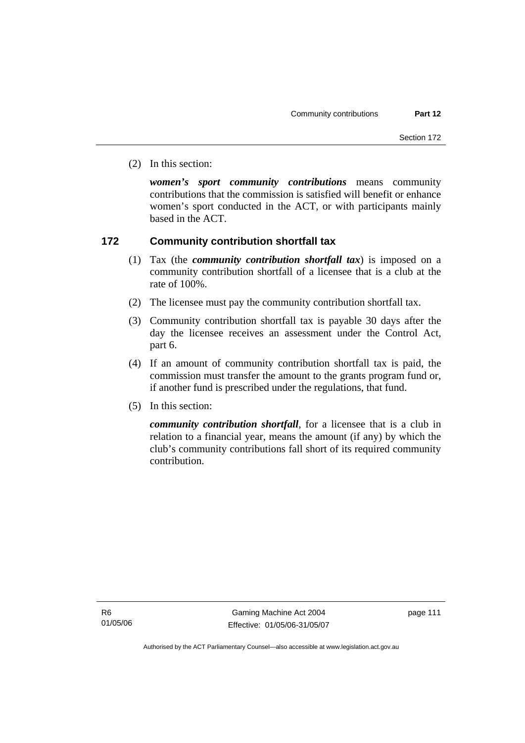(2) In this section:

*women's sport community contributions* means community contributions that the commission is satisfied will benefit or enhance women's sport conducted in the ACT, or with participants mainly based in the ACT.

### **172 Community contribution shortfall tax**

- (1) Tax (the *community contribution shortfall tax*) is imposed on a community contribution shortfall of a licensee that is a club at the rate of 100%.
- (2) The licensee must pay the community contribution shortfall tax.
- (3) Community contribution shortfall tax is payable 30 days after the day the licensee receives an assessment under the Control Act, part 6.
- (4) If an amount of community contribution shortfall tax is paid, the commission must transfer the amount to the grants program fund or, if another fund is prescribed under the regulations, that fund.
- (5) In this section:

*community contribution shortfall*, for a licensee that is a club in relation to a financial year, means the amount (if any) by which the club's community contributions fall short of its required community contribution.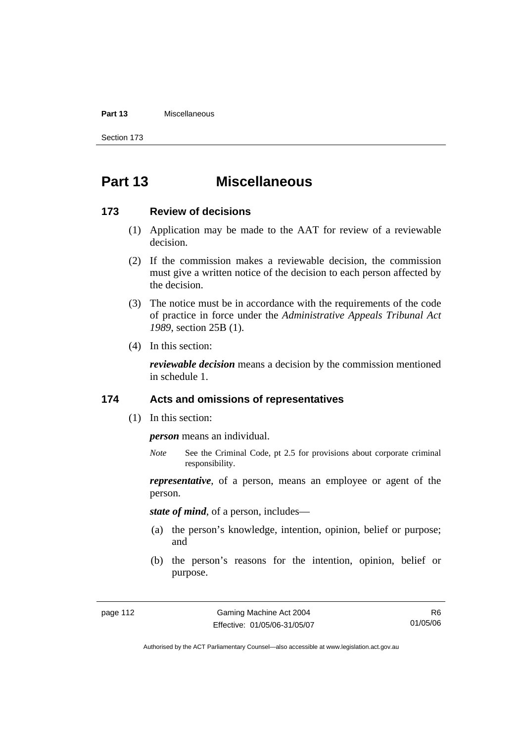#### **Part 13** Miscellaneous

Section 173

## **Part 13 Miscellaneous**

#### **173 Review of decisions**

- (1) Application may be made to the AAT for review of a reviewable decision.
- (2) If the commission makes a reviewable decision, the commission must give a written notice of the decision to each person affected by the decision.
- (3) The notice must be in accordance with the requirements of the code of practice in force under the *Administrative Appeals Tribunal Act 1989*, section 25B (1).
- (4) In this section:

*reviewable decision* means a decision by the commission mentioned in schedule 1.

#### **174 Acts and omissions of representatives**

(1) In this section:

*person* means an individual.

*Note* See the Criminal Code, pt 2.5 for provisions about corporate criminal responsibility.

*representative*, of a person, means an employee or agent of the person.

*state of mind*, of a person, includes—

- (a) the person's knowledge, intention, opinion, belief or purpose; and
- (b) the person's reasons for the intention, opinion, belief or purpose.

R6 01/05/06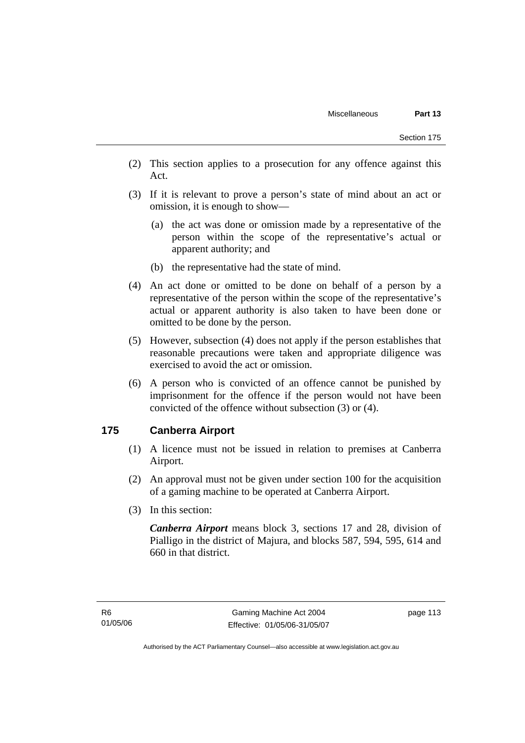- (2) This section applies to a prosecution for any offence against this Act.
- (3) If it is relevant to prove a person's state of mind about an act or omission, it is enough to show—
	- (a) the act was done or omission made by a representative of the person within the scope of the representative's actual or apparent authority; and
	- (b) the representative had the state of mind.
- (4) An act done or omitted to be done on behalf of a person by a representative of the person within the scope of the representative's actual or apparent authority is also taken to have been done or omitted to be done by the person.
- (5) However, subsection (4) does not apply if the person establishes that reasonable precautions were taken and appropriate diligence was exercised to avoid the act or omission.
- (6) A person who is convicted of an offence cannot be punished by imprisonment for the offence if the person would not have been convicted of the offence without subsection (3) or (4).

### **175 Canberra Airport**

- (1) A licence must not be issued in relation to premises at Canberra Airport.
- (2) An approval must not be given under section 100 for the acquisition of a gaming machine to be operated at Canberra Airport.
- (3) In this section:

*Canberra Airport* means block 3, sections 17 and 28, division of Pialligo in the district of Majura, and blocks 587, 594, 595, 614 and 660 in that district.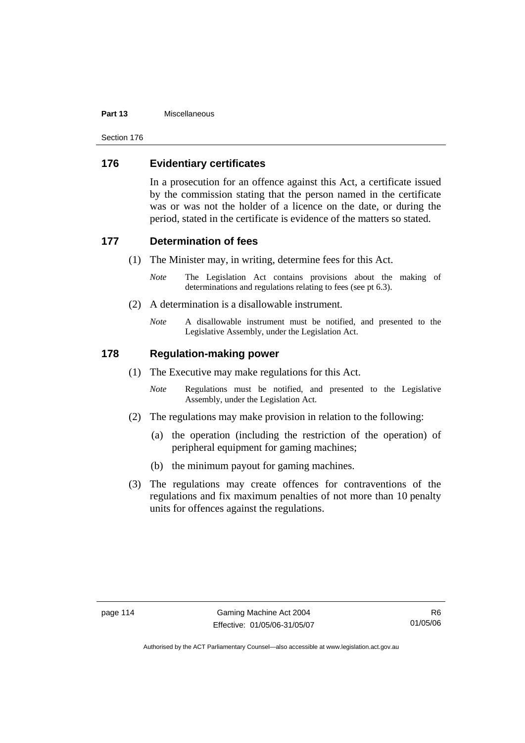#### **Part 13** Miscellaneous

Section 176

### **176 Evidentiary certificates**

In a prosecution for an offence against this Act, a certificate issued by the commission stating that the person named in the certificate was or was not the holder of a licence on the date, or during the period, stated in the certificate is evidence of the matters so stated.

#### **177 Determination of fees**

- (1) The Minister may, in writing, determine fees for this Act.
	- *Note* The Legislation Act contains provisions about the making of determinations and regulations relating to fees (see pt 6.3).
- (2) A determination is a disallowable instrument.
	- *Note* A disallowable instrument must be notified, and presented to the Legislative Assembly, under the Legislation Act.

### **178 Regulation-making power**

- (1) The Executive may make regulations for this Act.
	- *Note* Regulations must be notified, and presented to the Legislative Assembly, under the Legislation Act.
- (2) The regulations may make provision in relation to the following:
	- (a) the operation (including the restriction of the operation) of peripheral equipment for gaming machines;
	- (b) the minimum payout for gaming machines.
- (3) The regulations may create offences for contraventions of the regulations and fix maximum penalties of not more than 10 penalty units for offences against the regulations.

R6 01/05/06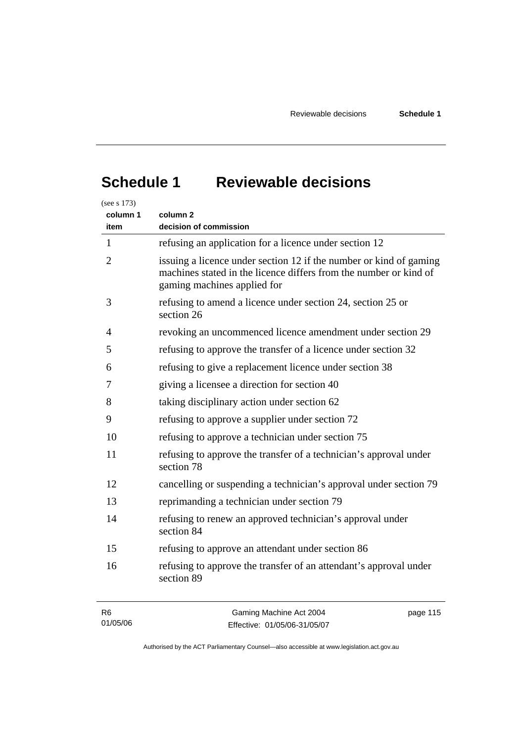# **Schedule 1 Reviewable decisions**

| (see s 173)<br>column 1<br>item | column <sub>2</sub><br>decision of commission                                                                                                                          |  |  |  |
|---------------------------------|------------------------------------------------------------------------------------------------------------------------------------------------------------------------|--|--|--|
| 1                               | refusing an application for a licence under section 12                                                                                                                 |  |  |  |
| $\overline{2}$                  | issuing a licence under section 12 if the number or kind of gaming<br>machines stated in the licence differs from the number or kind of<br>gaming machines applied for |  |  |  |
| 3                               | refusing to amend a licence under section 24, section 25 or<br>section 26                                                                                              |  |  |  |
| 4                               | revoking an uncommenced licence amendment under section 29                                                                                                             |  |  |  |
| 5                               | refusing to approve the transfer of a licence under section 32                                                                                                         |  |  |  |
| 6                               | refusing to give a replacement licence under section 38                                                                                                                |  |  |  |
| 7                               | giving a licensee a direction for section 40                                                                                                                           |  |  |  |
| 8                               | taking disciplinary action under section 62                                                                                                                            |  |  |  |
| 9                               | refusing to approve a supplier under section 72                                                                                                                        |  |  |  |
| 10                              | refusing to approve a technician under section 75                                                                                                                      |  |  |  |
| 11                              | refusing to approve the transfer of a technician's approval under<br>section 78                                                                                        |  |  |  |
| 12                              | cancelling or suspending a technician's approval under section 79                                                                                                      |  |  |  |
| 13                              | reprimanding a technician under section 79                                                                                                                             |  |  |  |
| 14                              | refusing to renew an approved technician's approval under<br>section 84                                                                                                |  |  |  |
| 15                              | refusing to approve an attendant under section 86                                                                                                                      |  |  |  |
| 16                              | refusing to approve the transfer of an attendant's approval under<br>section 89                                                                                        |  |  |  |
| R <sub>6</sub>                  | Gaming Machine Act 2004<br>page 115                                                                                                                                    |  |  |  |

Authorised by the ACT Parliamentary Counsel—also accessible at www.legislation.act.gov.au

Effective: 01/05/06-31/05/07

01/05/06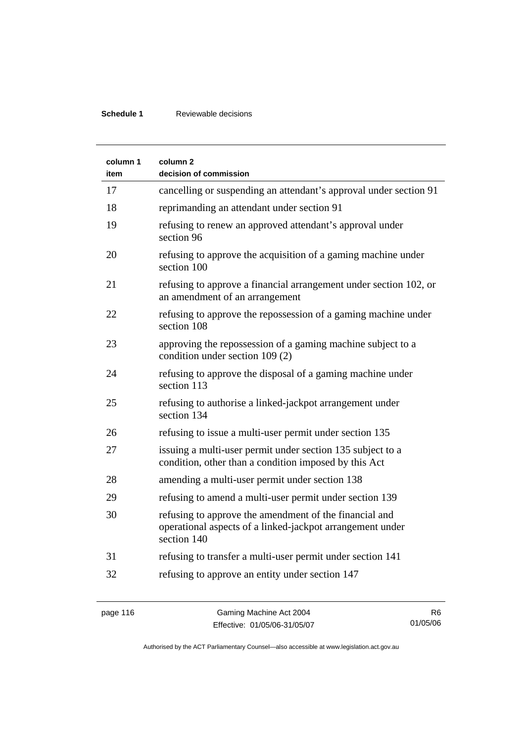### **Schedule 1** Reviewable decisions

| column 1<br>item | column <sub>2</sub><br>decision of commission                                                                                      |
|------------------|------------------------------------------------------------------------------------------------------------------------------------|
| 17               | cancelling or suspending an attendant's approval under section 91                                                                  |
| 18               | reprimanding an attendant under section 91                                                                                         |
| 19               | refusing to renew an approved attendant's approval under<br>section 96                                                             |
| 20               | refusing to approve the acquisition of a gaming machine under<br>section 100                                                       |
| 21               | refusing to approve a financial arrangement under section 102, or<br>an amendment of an arrangement                                |
| 22               | refusing to approve the repossession of a gaming machine under<br>section 108                                                      |
| 23               | approving the repossession of a gaming machine subject to a<br>condition under section 109 (2)                                     |
| 24               | refusing to approve the disposal of a gaming machine under<br>section 113                                                          |
| 25               | refusing to authorise a linked-jackpot arrangement under<br>section 134                                                            |
| 26               | refusing to issue a multi-user permit under section 135                                                                            |
| 27               | issuing a multi-user permit under section 135 subject to a<br>condition, other than a condition imposed by this Act                |
| 28               | amending a multi-user permit under section 138                                                                                     |
| 29               | refusing to amend a multi-user permit under section 139                                                                            |
| 30               | refusing to approve the amendment of the financial and<br>operational aspects of a linked-jackpot arrangement under<br>section 140 |
| 31               | refusing to transfer a multi-user permit under section 141                                                                         |
| 32               | refusing to approve an entity under section 147                                                                                    |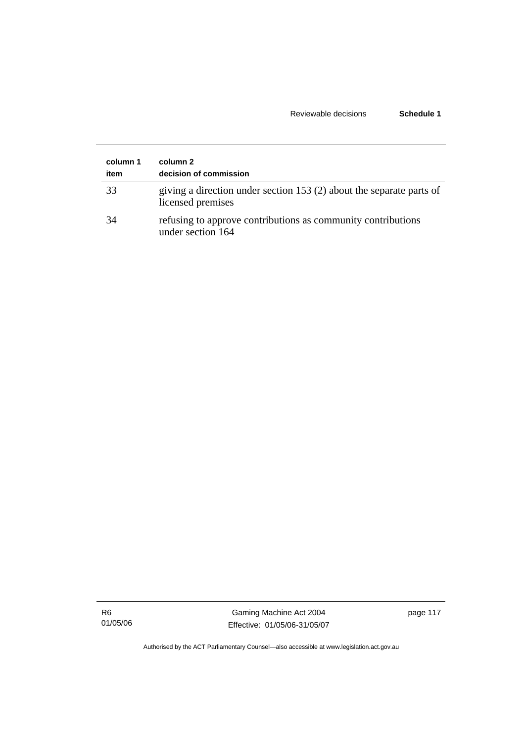### Reviewable decisions **Schedule 1**

| column 1<br>item | column 2<br>decision of commission                                                        |
|------------------|-------------------------------------------------------------------------------------------|
| 33               | giving a direction under section 153 (2) about the separate parts of<br>licensed premises |
| 34               | refusing to approve contributions as community contributions<br>under section 164         |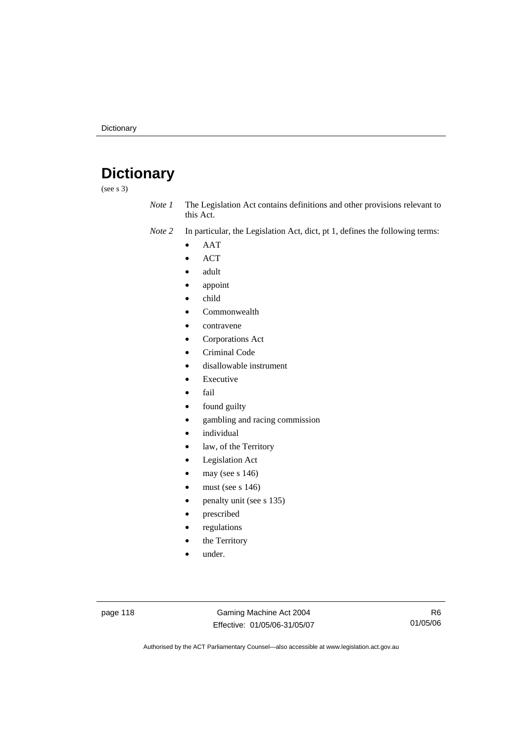## **Dictionary**

(see s 3)

*Note 1* The Legislation Act contains definitions and other provisions relevant to this Act.

*Note 2* In particular, the Legislation Act, dict, pt 1, defines the following terms:

- AAT
- ACT
- adult
- appoint
- child
- Commonwealth
- contravene
- Corporations Act
- Criminal Code
- disallowable instrument
- **Executive**
- fail
- found guilty
- gambling and racing commission
- *individual*
- law, of the Territory
- Legislation Act
- may (see s 146)
- must (see s  $146$ )
- penalty unit (see s 135)
- prescribed
- regulations
- the Territory
- under.

page 118 Gaming Machine Act 2004 Effective: 01/05/06-31/05/07

R6 01/05/06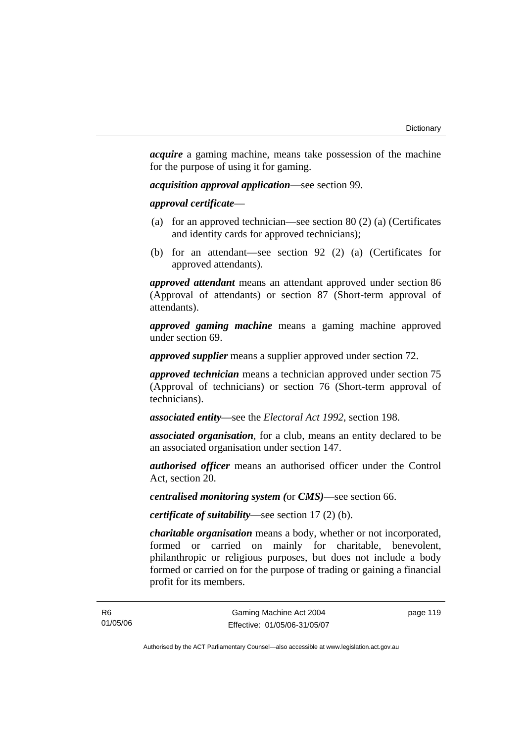*acquire* a gaming machine, means take possession of the machine for the purpose of using it for gaming.

*acquisition approval application*—see section 99.

*approval certificate*—

- (a) for an approved technician—see section 80 (2) (a) (Certificates and identity cards for approved technicians);
- (b) for an attendant—see section 92 (2) (a) (Certificates for approved attendants).

*approved attendant* means an attendant approved under section 86 (Approval of attendants) or section 87 (Short-term approval of attendants).

*approved gaming machine* means a gaming machine approved under section 69.

*approved supplier* means a supplier approved under section 72.

*approved technician* means a technician approved under section 75 (Approval of technicians) or section 76 (Short-term approval of technicians).

*associated entity*—see the *Electoral Act 1992*, section 198.

*associated organisation*, for a club, means an entity declared to be an associated organisation under section 147.

*authorised officer* means an authorised officer under the Control Act, section 20.

*centralised monitoring system (*or *CMS)*—see section 66.

*certificate of suitability*—see section 17 (2) (b).

*charitable organisation* means a body, whether or not incorporated, formed or carried on mainly for charitable, benevolent, philanthropic or religious purposes, but does not include a body formed or carried on for the purpose of trading or gaining a financial profit for its members.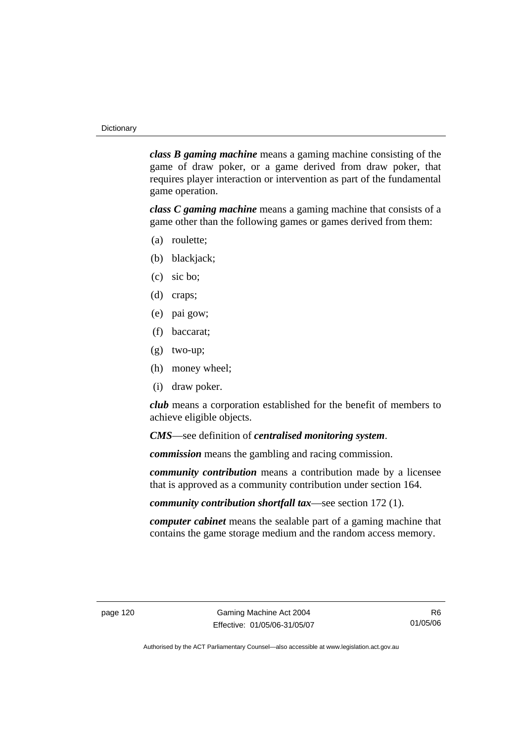*class B gaming machine* means a gaming machine consisting of the game of draw poker, or a game derived from draw poker, that requires player interaction or intervention as part of the fundamental game operation.

*class C gaming machine* means a gaming machine that consists of a game other than the following games or games derived from them:

- (a) roulette;
- (b) blackjack;
- (c) sic bo;
- (d) craps;
- (e) pai gow;
- (f) baccarat;
- (g) two-up;
- (h) money wheel;
- (i) draw poker.

*club* means a corporation established for the benefit of members to achieve eligible objects.

*CMS*—see definition of *centralised monitoring system*.

*commission* means the gambling and racing commission.

*community contribution* means a contribution made by a licensee that is approved as a community contribution under section 164.

*community contribution shortfall tax*—see section 172 (1).

*computer cabinet* means the sealable part of a gaming machine that contains the game storage medium and the random access memory.

R6 01/05/06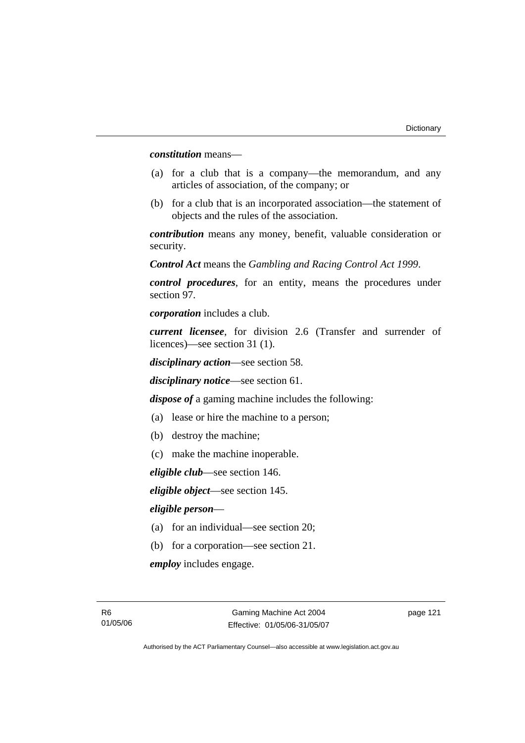*constitution* means—

- (a) for a club that is a company—the memorandum, and any articles of association, of the company; or
- (b) for a club that is an incorporated association—the statement of objects and the rules of the association.

*contribution* means any money, benefit, valuable consideration or security.

*Control Act* means the *Gambling and Racing Control Act 1999*.

*control procedures*, for an entity, means the procedures under section 97.

*corporation* includes a club.

*current licensee*, for division 2.6 (Transfer and surrender of licences)—see section 31 (1).

*disciplinary action*—see section 58.

*disciplinary notice*—see section 61.

*dispose of* a gaming machine includes the following:

- (a) lease or hire the machine to a person;
- (b) destroy the machine;
- (c) make the machine inoperable.

*eligible club*—see section 146.

*eligible object*—see section 145.

#### *eligible person*—

- (a) for an individual—see section 20;
- (b) for a corporation—see section 21.

*employ* includes engage.

page 121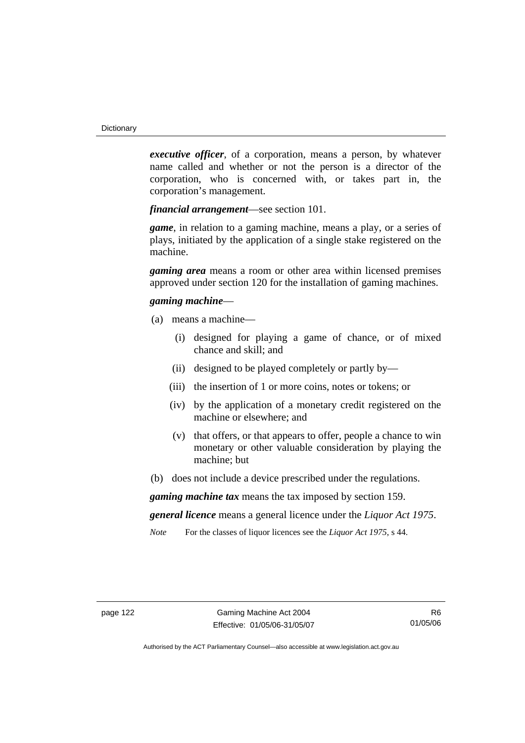*executive officer*, of a corporation, means a person, by whatever name called and whether or not the person is a director of the corporation, who is concerned with, or takes part in, the corporation's management.

*financial arrangement*—see section 101.

*game*, in relation to a gaming machine, means a play, or a series of plays, initiated by the application of a single stake registered on the machine.

*gaming area* means a room or other area within licensed premises approved under section 120 for the installation of gaming machines.

#### *gaming machine*—

- (a) means a machine—
	- (i) designed for playing a game of chance, or of mixed chance and skill; and
	- (ii) designed to be played completely or partly by—
	- (iii) the insertion of 1 or more coins, notes or tokens; or
	- (iv) by the application of a monetary credit registered on the machine or elsewhere; and
	- (v) that offers, or that appears to offer, people a chance to win monetary or other valuable consideration by playing the machine; but
- (b) does not include a device prescribed under the regulations.

*gaming machine tax* means the tax imposed by section 159.

*general licence* means a general licence under the *Liquor Act 1975*.

*Note* For the classes of liquor licences see the *Liquor Act 1975*, s 44.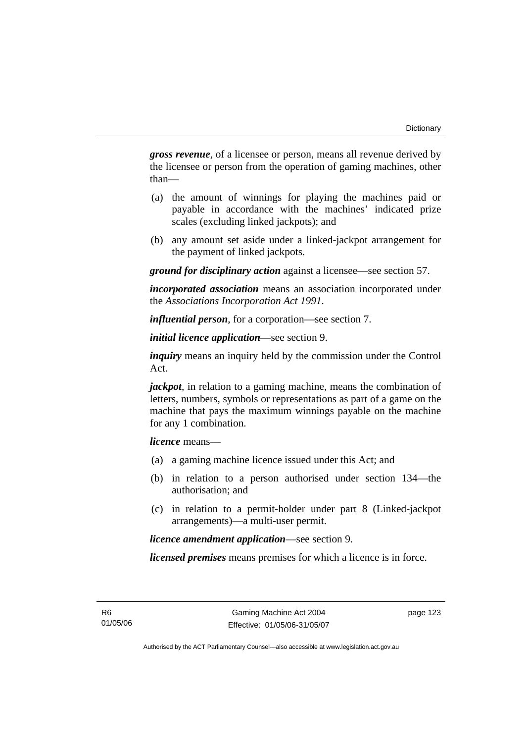*gross revenue*, of a licensee or person, means all revenue derived by the licensee or person from the operation of gaming machines, other than—

- (a) the amount of winnings for playing the machines paid or payable in accordance with the machines' indicated prize scales (excluding linked jackpots); and
- (b) any amount set aside under a linked-jackpot arrangement for the payment of linked jackpots.

*ground for disciplinary action* against a licensee—see section 57.

*incorporated association* means an association incorporated under the *Associations Incorporation Act 1991*.

*influential person*, for a corporation—see section 7.

*initial licence application*—see section 9.

*inquiry* means an inquiry held by the commission under the Control Act.

*jackpot*, in relation to a gaming machine, means the combination of letters, numbers, symbols or representations as part of a game on the machine that pays the maximum winnings payable on the machine for any 1 combination.

*licence* means—

- (a) a gaming machine licence issued under this Act; and
- (b) in relation to a person authorised under section 134—the authorisation; and
- (c) in relation to a permit-holder under part 8 (Linked-jackpot arrangements)—a multi-user permit.

*licence amendment application*—see section 9.

*licensed premises* means premises for which a licence is in force.

R6 01/05/06 page 123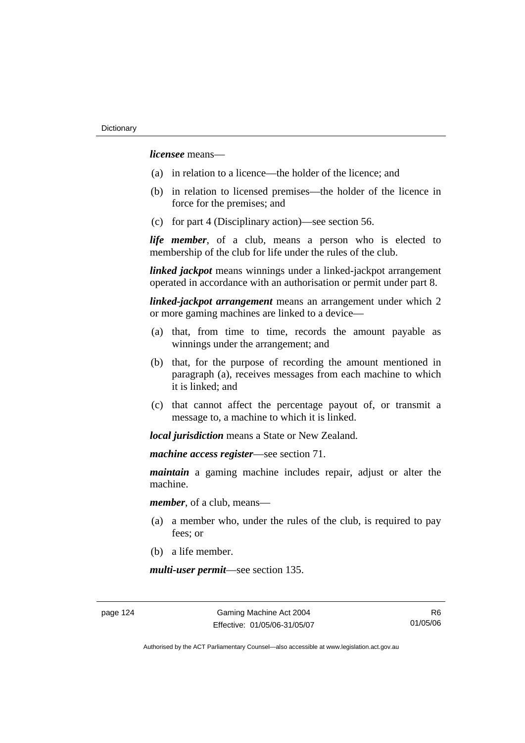*licensee* means—

- (a) in relation to a licence—the holder of the licence; and
- (b) in relation to licensed premises—the holder of the licence in force for the premises; and
- (c) for part 4 (Disciplinary action)—see section 56.

*life member*, of a club, means a person who is elected to membership of the club for life under the rules of the club.

*linked jackpot* means winnings under a linked-jackpot arrangement operated in accordance with an authorisation or permit under part 8.

*linked-jackpot arrangement* means an arrangement under which 2 or more gaming machines are linked to a device—

- (a) that, from time to time, records the amount payable as winnings under the arrangement; and
- (b) that, for the purpose of recording the amount mentioned in paragraph (a), receives messages from each machine to which it is linked; and
- (c) that cannot affect the percentage payout of, or transmit a message to, a machine to which it is linked.

*local jurisdiction* means a State or New Zealand.

*machine access register*—see section 71.

*maintain* a gaming machine includes repair, adjust or alter the machine.

*member*, of a club, means—

- (a) a member who, under the rules of the club, is required to pay fees; or
- (b) a life member.

*multi-user permit*—see section 135.

page 124 Gaming Machine Act 2004 Effective: 01/05/06-31/05/07

R6 01/05/06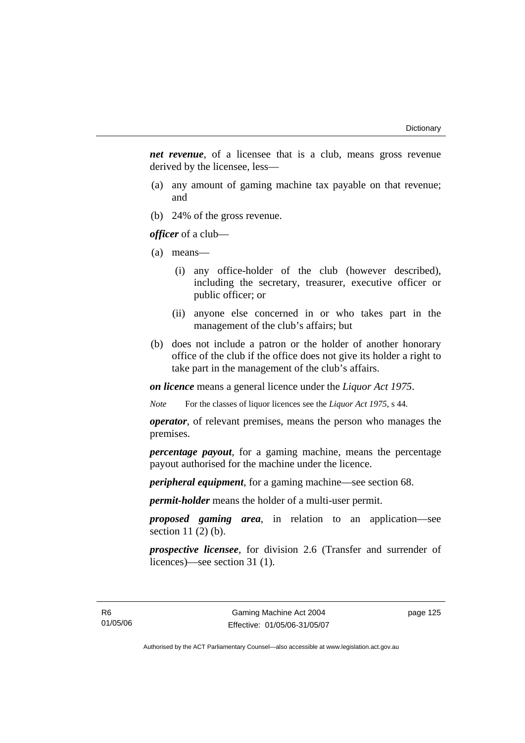*net revenue*, of a licensee that is a club, means gross revenue derived by the licensee, less—

- (a) any amount of gaming machine tax payable on that revenue; and
- (b) 24% of the gross revenue.

*officer* of a club—

- (a) means—
	- (i) any office-holder of the club (however described), including the secretary, treasurer, executive officer or public officer; or
	- (ii) anyone else concerned in or who takes part in the management of the club's affairs; but
- (b) does not include a patron or the holder of another honorary office of the club if the office does not give its holder a right to take part in the management of the club's affairs.

*on licence* means a general licence under the *Liquor Act 1975*.

*Note* For the classes of liquor licences see the *Liquor Act 1975*, s 44.

*operator*, of relevant premises, means the person who manages the premises.

*percentage payout*, for a gaming machine, means the percentage payout authorised for the machine under the licence.

*peripheral equipment*, for a gaming machine—see section 68.

*permit-holder* means the holder of a multi-user permit.

*proposed gaming area*, in relation to an application—see section 11 (2) (b).

*prospective licensee*, for division 2.6 (Transfer and surrender of licences)—see section 31 (1).

page 125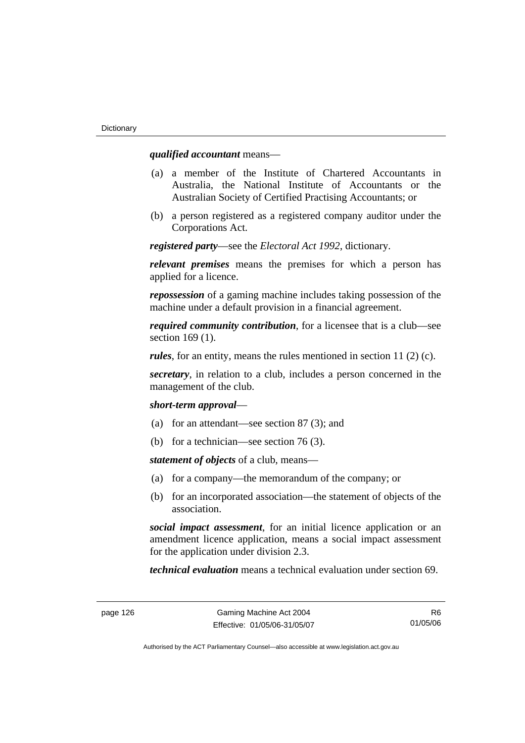#### *qualified accountant* means—

- (a) a member of the Institute of Chartered Accountants in Australia, the National Institute of Accountants or the Australian Society of Certified Practising Accountants; or
- (b) a person registered as a registered company auditor under the Corporations Act.

*registered party*—see the *Electoral Act 1992*, dictionary.

*relevant premises* means the premises for which a person has applied for a licence.

*repossession* of a gaming machine includes taking possession of the machine under a default provision in a financial agreement.

*required community contribution*, for a licensee that is a club—see section 169 (1).

*rules*, for an entity, means the rules mentioned in section 11 (2) (c).

*secretary*, in relation to a club, includes a person concerned in the management of the club.

*short-term approval*—

- (a) for an attendant—see section 87 (3); and
- (b) for a technician—see section 76 (3).

*statement of objects* of a club, means—

- (a) for a company—the memorandum of the company; or
- (b) for an incorporated association—the statement of objects of the association.

*social impact assessment*, for an initial licence application or an amendment licence application, means a social impact assessment for the application under division 2.3.

*technical evaluation* means a technical evaluation under section 69.

R6 01/05/06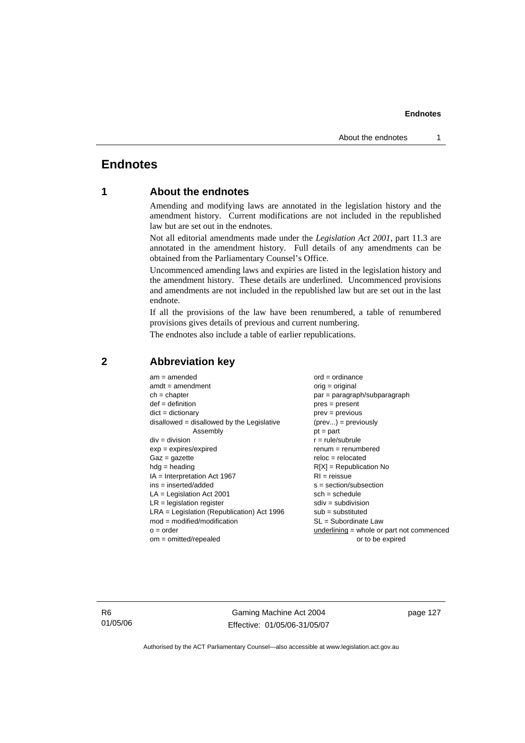### **Endnotes**

### **1 About the endnotes**

Amending and modifying laws are annotated in the legislation history and the amendment history. Current modifications are not included in the republished law but are set out in the endnotes.

Not all editorial amendments made under the *Legislation Act 2001*, part 11.3 are annotated in the amendment history. Full details of any amendments can be obtained from the Parliamentary Counsel's Office.

Uncommenced amending laws and expiries are listed in the legislation history and the amendment history. These details are underlined. Uncommenced provisions and amendments are not included in the republished law but are set out in the last endnote.

If all the provisions of the law have been renumbered, a table of renumbered provisions gives details of previous and current numbering.

The endnotes also include a table of earlier republications.

| $am = amended$                               | $ord = ordinance$                         |  |
|----------------------------------------------|-------------------------------------------|--|
| $amdt = amendment$                           | $orig = original$                         |  |
| $ch = chapter$                               | $par = paragraph/subparagraph$            |  |
| $def = definition$                           | $pres = present$                          |  |
| $dict = dictionary$                          | $prev = previous$                         |  |
| $disallowed = disallowed by the Legislative$ | $(\text{prev}) = \text{previously}$       |  |
| Assembly                                     | $pt = part$                               |  |
| $div = division$                             | $r = rule/subrule$                        |  |
| $exp = expires/expired$                      | $renum = renumbered$                      |  |
| $Gaz = gazette$                              | $reloc = relocated$                       |  |
| $hdg =$ heading                              | $R[X]$ = Republication No                 |  |
| $IA = Interpretation Act 1967$               | $RI = reissue$                            |  |
| $ins = inserted/added$                       | $s = section/subsection$                  |  |
| $LA =$ Legislation Act 2001                  | $sch = schedule$                          |  |
| $LR =$ legislation register                  | $sdiv = subdivision$                      |  |
| $LRA =$ Legislation (Republication) Act 1996 | $sub =$ substituted                       |  |
| $mod = modified/modification$                | SL = Subordinate Law                      |  |
| $o = order$                                  | underlining = whole or part not commenced |  |
| $om = omitted/report$                        | or to be expired                          |  |
|                                              |                                           |  |

#### **2 Abbreviation key**

R6 01/05/06

Gaming Machine Act 2004 Effective: 01/05/06-31/05/07 page 127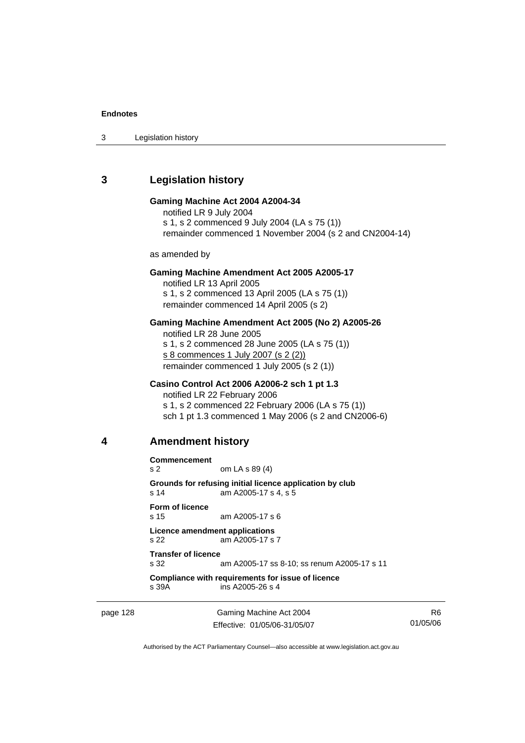3 Legislation history

### **3 Legislation history**

#### **Gaming Machine Act 2004 A2004-34**

notified LR 9 July 2004 s 1, s 2 commenced 9 July 2004 (LA s 75 (1)) remainder commenced 1 November 2004 (s 2 and CN2004-14)

as amended by

#### **Gaming Machine Amendment Act 2005 A2005-17**

notified LR 13 April 2005 s 1, s 2 commenced 13 April 2005 (LA s 75 (1)) remainder commenced 14 April 2005 (s 2)

#### **Gaming Machine Amendment Act 2005 (No 2) A2005-26**

notified LR 28 June 2005 s 1, s 2 commenced 28 June 2005 (LA s 75 (1)) s 8 commences 1 July 2007 (s 2 (2)) remainder commenced 1 July 2005 (s 2 (1))

#### **Casino Control Act 2006 A2006-2 sch 1 pt 1.3**

notified LR 22 February 2006 s 1, s 2 commenced 22 February 2006 (LA s 75 (1)) sch 1 pt 1.3 commenced 1 May 2006 (s 2 and CN2006-6)

#### **4 Amendment history**

**Commencement**  s 2 om LA s 89 (4) **Grounds for refusing initial licence application by club**  s 14 am A2005-17 s 4, s 5 **Form of licence**  s 15 am A2005-17 s 6 **Licence amendment applications**  s 22 am A2005-17 s 7 **Transfer of licence**  s 32 am A2005-17 ss 8-10; ss renum A2005-17 s 11 **Compliance with requirements for issue of licence**  s 39A ins A2005-26 s 4

page 128 Gaming Machine Act 2004 Effective: 01/05/06-31/05/07

R6 01/05/06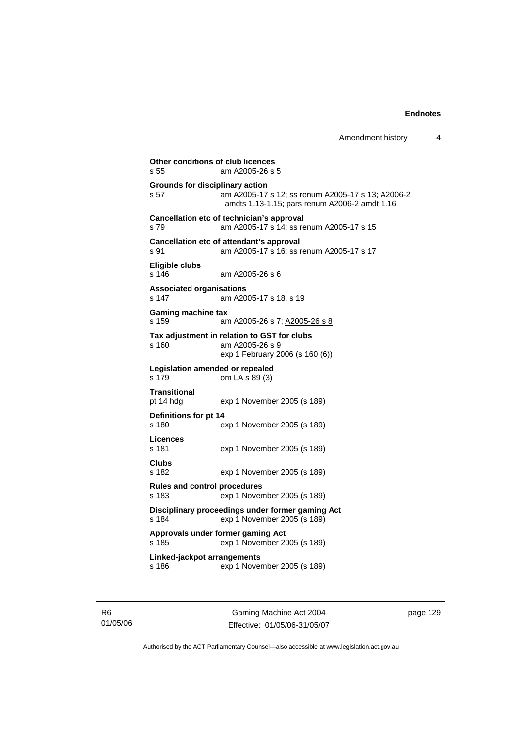Amendment history 4

```
Other conditions of club licences 
s 55 am A2005-26 s 5 
Grounds for disciplinary action 
s 57 am A2005-17 s 12; ss renum A2005-17 s 13; A2006-2 
                 amdts 1.13-1.15; pars renum A2006-2 amdt 1.16 
Cancellation etc of technician's approval 
s 79 am A2005-17 s 14; ss renum A2005-17 s 15 
Cancellation etc of attendant's approval 
s 91 am A2005-17 s 16; ss renum A2005-17 s 17 
Eligible clubs 
s 146 am A2005-26 s 6 
Associated organisations 
s 147 am A2005-17 s 18, s 19 
Gaming machine tax 
s 159 am A2005-26 s 7; A2005-26 s 8
Tax adjustment in relation to GST for clubs 
s 160 am A2005-26 s 9 
                 exp 1 February 2006 (s 160 (6)) 
Legislation amended or repealed 
s 179 om LA s 89 (3) 
Transitional 
                exp 1 November 2005 (s 189)
Definitions for pt 14 
s 180 exp 1 November 2005 (s 189) 
Licences 
                exp 1 November 2005 (s 189)
Clubs 
s 182 exp 1 November 2005 (s 189) 
Rules and control procedures 
s 183 exp 1 November 2005 (s 189) 
Disciplinary proceedings under former gaming Act 
s 184 exp 1 November 2005 (s 189) 
Approvals under former gaming Act 
s 185 exp 1 November 2005 (s 189) 
Linked-jackpot arrangements 
s 186 exp 1 November 2005 (s 189)
```
Gaming Machine Act 2004 Effective: 01/05/06-31/05/07 page 129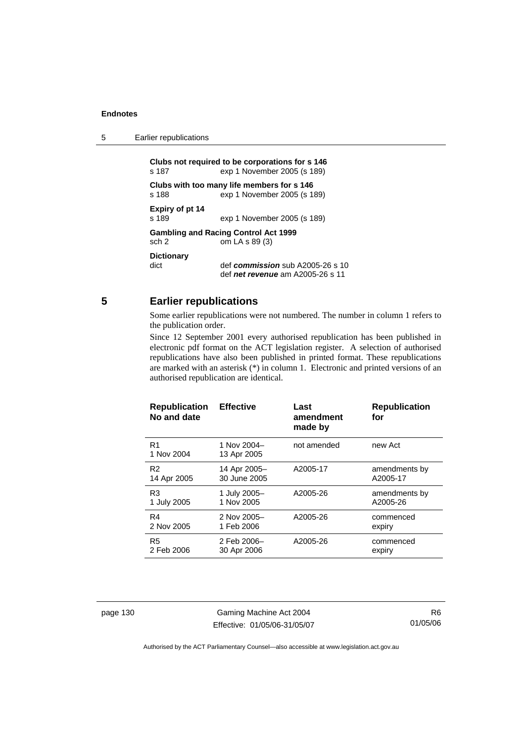5 Earlier republications

**Clubs not required to be corporations for s 146**  s 187 exp 1 November 2005 (s 189) **Clubs with too many life members for s 146**  exp 1 November 2005 (s 189) **Expiry of pt 14**  exp 1 November 2005 (s 189) **Gambling and Racing Control Act 1999**  sch 2 om LA s 89 (3) **Dictionary**  def *commission* sub A2005-26 s 10 def *net revenue* am A2005-26 s 11

#### **5 Earlier republications**

Some earlier republications were not numbered. The number in column 1 refers to the publication order.

Since 12 September 2001 every authorised republication has been published in electronic pdf format on the ACT legislation register. A selection of authorised republications have also been published in printed format. These republications are marked with an asterisk (\*) in column 1. Electronic and printed versions of an authorised republication are identical.

| <b>Republication</b><br>No and date | <b>Effective</b>           | Last<br>amendment<br>made by | <b>Republication</b><br>for |
|-------------------------------------|----------------------------|------------------------------|-----------------------------|
| R <sub>1</sub><br>1 Nov 2004        | 1 Nov 2004-<br>13 Apr 2005 | not amended                  | new Act                     |
| R <sub>2</sub>                      | 14 Apr 2005-               | A2005-17                     | amendments by               |
| 14 Apr 2005                         | 30 June 2005               |                              | A2005-17                    |
| R <sub>3</sub>                      | 1 July 2005-               | A2005-26                     | amendments by               |
| 1 July 2005                         | 1 Nov 2005                 |                              | A2005-26                    |
| R <sub>4</sub>                      | 2 Nov 2005-                | A2005-26                     | commenced                   |
| 2 Nov 2005                          | 1 Feb 2006                 |                              | expiry                      |
| R <sub>5</sub>                      | 2 Feb 2006-                | A2005-26                     | commenced                   |
| 2 Feb 2006                          | 30 Apr 2006                |                              | expiry                      |

page 130 Gaming Machine Act 2004 Effective: 01/05/06-31/05/07

R6 01/05/06